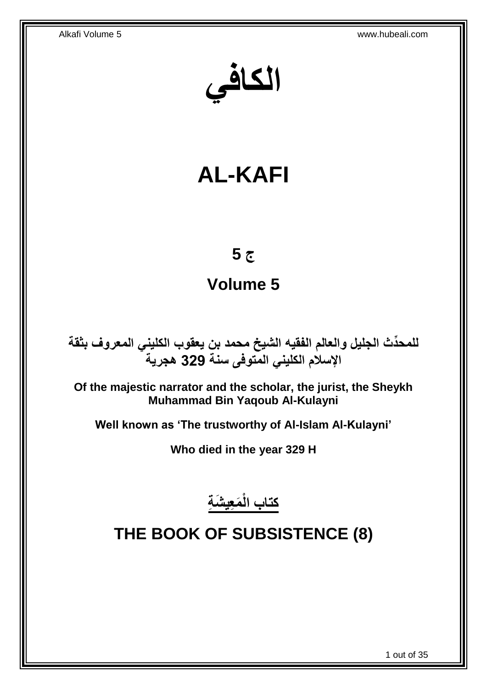**الكافي**

# **AL-KAFI**

# **ج 5**

# **Volume 5**

**دث الجليل والعالم الفقيه الشيخ محمد بن يعقوب الكليني المعروف بثقة للمح ِّ اإلسالم الكليني المتوفى سنة 329 هجرية**

**Of the majestic narrator and the scholar, the jurist, the Sheykh Muhammad Bin Yaqoub Al-Kulayni**

**Well known as 'The trustworthy of Al-Islam Al-Kulayni'**

**Who died in the year 329 H**

**َم ِعي َش ِة كتاب الْ**

# <span id="page-0-0"></span>**THE BOOK OF SUBSISTENCE (8)**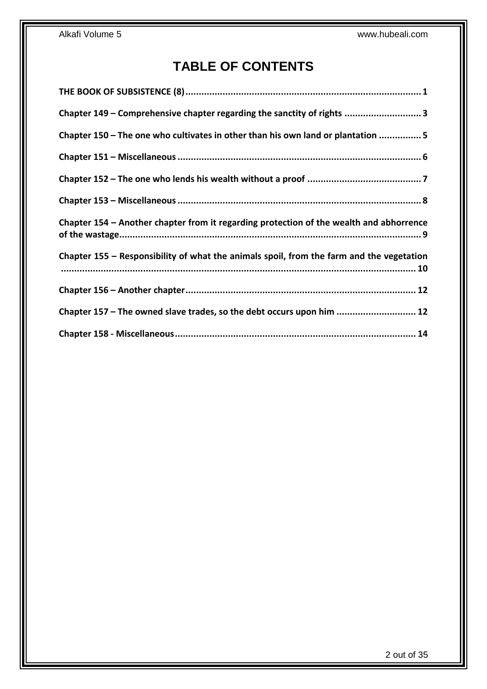# **TABLE OF CONTENTS**

| Chapter 149 - Comprehensive chapter regarding the sanctity of rights 3                   |
|------------------------------------------------------------------------------------------|
| Chapter 150 - The one who cultivates in other than his own land or plantation 5          |
|                                                                                          |
|                                                                                          |
|                                                                                          |
| Chapter 154 – Another chapter from it regarding protection of the wealth and abhorrence  |
| Chapter 155 – Responsibility of what the animals spoil, from the farm and the vegetation |
|                                                                                          |
| Chapter 157 - The owned slave trades, so the debt occurs upon him  12                    |
|                                                                                          |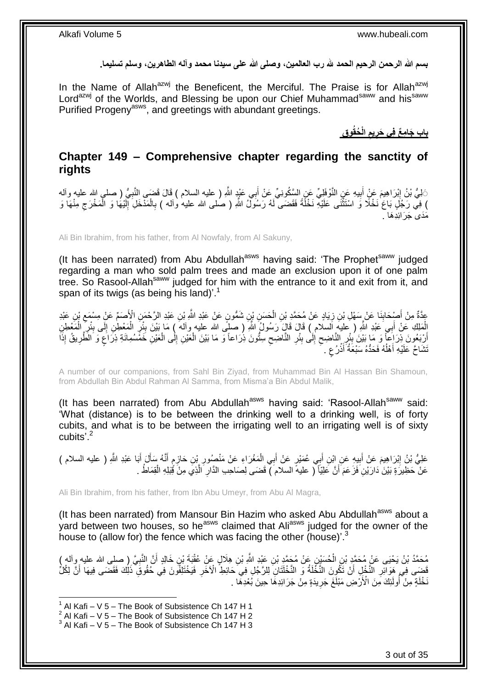**بسم هللا الرحمن الرحيم الحمد هلل رب العالمين، وصلى هللا على سيدنا محمد وآله الطاهرين، وسلم تسليما.**

In the Name of Allah<sup>azwj</sup> the Beneficent, the Merciful. The Praise is for Allah<sup>azwj</sup> Lord<sup>azwj</sup> of the Worlds, and Blessing be upon our Chief Muhammad<sup>saww</sup> and his<sup>saww</sup> Purified Progeny<sup>asws</sup>, and greetings with abundant greetings.

> **ُحقُو ِق الْ يم باب َجا ِم ٌع فِي َحر ِ ِ**

## <span id="page-2-0"></span>**Chapter 149 – Comprehensive chapter regarding the sanctity of rights**

َ َالِيُّ بْنُ إِبْرَاهِيمَ عَنٍْ أَبِيهِ عَنِ النَّوْفَلِيِّ عَنِ السَّكُونِيِّ عَنْ أَبِي عَيْدٍ اللَّهِ ( عليه السلام ) قَالَ قَضَهي النَّبِيُّ ( صلى الله عليه وأله **!** َ יִי<br>י ِ ) فِيَّ رَجُلٍ بَاعَ ٰنَخْلًا وَ اسْتَثْنَى عَلَيْهِ نَخْلَةً فَقَضَى لَهُ رَسُولٌ اللّهِ ( صلى الله عليه وألمه ) بِالْمَذْخَلِ آلِنْيُهَا وَ الْمَخْرَجِ مِنْهَا وَ ْ ِ ْ ِ ْ لَ ِ ِ<br>مَد*َى َ* جَرَ ائدَهَا

Ali Bin Ibrahim, from his father, from Al Nowfaly, from Al Sakuny,

(It has been narrated) from Abu Abdullah<sup>asws</sup> having said: 'The Prophet<sup>saww</sup> judged regarding a man who sold palm trees and made an exclusion upon it of one palm tree. So Rasool-Allah<sup>saww</sup> judged for him with the entrance to it and exit from it, and span of its twigs (as being his land)'.<sup>1</sup>

عِدَّةٌ مِنْ أَصْبِحَابِنَا عَنْ سَهْلِ بْنِ زِيَادٍ عَنْ مُحَمَّدِ بْنِ الْحَسَنِ بْنِ شَمُّونٍ عَنْ عَبْدِ اللَّهِ بْنِ عَبْدِ الرَّحْمَنِ الْأَصَمِّ عَنْ مِسْمَع بْنِ عَبْدِ ْ ¦ **∣** ِ الْمَلِكِ عَنْ أَبِي َعْبْدِ اللَّهِ ( عليهِ اَلسلام ) قَالَ قَالَ رَسُولُ اللَّهِ ( صليًى الله عليه وآله ) مَا بَيْنَ بِئْرِ الْمَعْطِنِ إِلَى بِئْرِ الْمَعْطِنِ ْ ֦֧֦֦֧֦֧֦֧֦֧֦֧֦֧֝ ِ َ ْ ْ ِ ِ ِ أَرْبَعُونَ ذِرَاعاً وَ مَا بَيْنَ بِبْرِ النَّاضِحِ إِلَى بِئْرِ النَّاضِحِ سِتُّونَ ذِرَاعاً وَ مَا بَيْنَ الْعَيْنِ إِلَٰى الْعَيْنِ خَمَّسُمِائَةِ ذِرَاعَ وَ الطَّرِيقُ إِذَا ِ **!** ِ  $\zeta$ ِ **∣** اً ِ ;<br>; ْ ِ ْ ِ نَشَاحَّ عَلَيْهِ أَهْلُهُ فَحَدُّهُ سَبْعَةُ أَذْرُعِ لَ ٍ **ٔ** َ ا<br>ا َ

A number of our companions, from Sahl Bin Ziyad, from Muhammad Bin Al Hassan Bin Shamoun, from Abdullah Bin Abdul Rahman Al Samma, from Misma'a Bin Abdul Malik,

(It has been narrated) from Abu Abdullah<sup>asws</sup> having said: 'Rasool-Allah<sup>saww</sup> said: 'What (distance) is to be between the drinking well to a drinking well, is of forty cubits, and what is to be between the irrigating well to an irrigating well is of sixty cubits<sup>'.2</sup>

عَلِيُّ بْنُ إِبْرَاهِيمَ عَنْ أَبِيهِ عَنِ إِبْنِ أَبِي عُمَيْرٍ عَنْ أَبِي الْمَغْرَاءِ عَنْ مَنْصُورِ بْنِ حَازِمٍ أَنَّهُ سَأَلَ أَبَا عَبْدِ اللَّهِ ( عليه السلام ) َ ֖֦֦֦֦֦֦֖֦֚֚֚֩֘֝֝֝֝֝֝֝֬֝֝ ِ ِ ْ َ َ **!** َ ِ َ َ عَنْ ۖ حَظِيرَ ةٍ بَيْنَ ٰدَارَيْنِ ۖ فَزَ عَمَ ۖ أَنَّ عَلِيّاً ۖ ( عليهٔ السلام ) ۖ فَضَى لِصَاحِبِ الذَّارِ الَّذِي مِنْ قُتِلِهِ الْقِمَاطُ . اُ ْ َّ ِ

Ali Bin Ibrahim, from his father, from Ibn Abu Umeyr, from Abu Al Magra,

(It has been narrated) from Mansour Bin Hazim who asked Abu Abdullah<sup>asws</sup> about a yard between two houses, so he<sup>asws</sup> claimed that Ali<sup>asws</sup> judged for the owner of the house to (allow for) the fence which was facing the other (house)<sup>3</sup>

مُحَمَّدُ بْنُ يَحْيَى عَنْ مُحَمَّدٍ بْنِ الْحُسَيْنِ عَنْ مُحَمَّدٍ بْنِ عَبْدِ اللَّهِ بْنِ هِلَالٍ عَنْ عُقْدَةً بْنِ خَالِدٍ أَنَّ النَّبِيَّ ( صلى الله عليه وأله )<br>. ْ ِ َ َفَضَى فِي هَوَائِرِ النَّخْلِ أَنْ تَكُوِنَ النَّخْلَةُ وَ النَّخْلَتَانِ لِلرَّجُلِ فِي َحَائِطِ الْآخَرِ فَيَخْتَلِفُونَ فِي حُقُوقِ ذَلِكَ فَقَضَى فِيهَا أَنَّ لِكُلُّ ِ َ ِ َ نَخْلَةٍ مِنْ أُولَئِكَ مِنَ الْأَرْضِ مَبْلَغَ جَرِيدَةٍ مِنْ جَرَائِدِهَا حِينَ بُعْدِهَا . ِ ِ<br>ُ

<sup>1</sup>  $1$  Al Kafi – V 5 – The Book of Subsistence Ch 147 H 1

 $2$  Al Kafi – V 5 – The Book of Subsistence Ch 147 H 2

 $3$  Al Kafi – V 5 – The Book of Subsistence Ch 147 H 3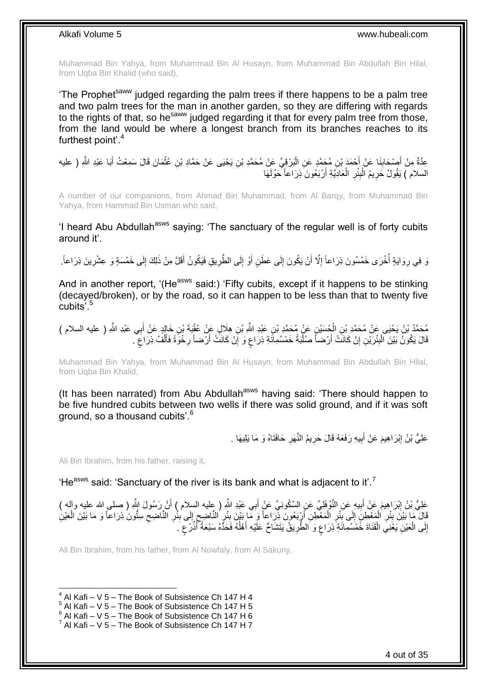Muhammad Bin Yahya, from Muhammad Bin Al Husayn, from Muhammad Bin Abdullah Bin Hilal, from Uqba Bin Khalid (who said),

'The Prophet<sup>saww</sup> judged regarding the palm trees if there happens to be a palm tree and two palm trees for the man in another garden, so they are differing with regards to the rights of that, so he saww judged regarding it that for every palm tree from those, from the land would be where a longest branch from its branches reaches to its furthest point'.<sup>4</sup>

عِدَّةٌ مِنْ أَصْحَابِنَا عَنْ أَحْمَدَ بْنِ مُحَمَّدٍ عَنِ الْبَرْقِيِّ عَنْ مُحَمَّدِ بْنِ يَحْيَى عَنْ حَمَّادِ بْنِ عُثْمَانَ قَالَ سَمِعْتُ أَبَا عَبْدِ اللَّهِ ( عليه ْ ْ َ **∣** َ السلام ) يَقُولُ حَرِيمُ الْبِئْرِ الْعَادِيَّةِ أَرْبَعُونَ ذِرَاعاً حَوْلَهَا اُ ْ ِ **∣** ْ ِ

A number of our companions, from Ahmad Bin Muhammad, from Al Barqy, from Muhammad Bin Yahya, from Hammad Bin Usman who said,

'I heard Abu Abdullah<sup>asws</sup> saying: 'The sanctuary of the regular well is of forty cubits around it'.

ِ زَ وَايَةٍ أُخْرَى خَمْسُونَ ذِرَاعاً إِلَّا أَنْ يَكُونَ إِلَى عَطَنٍ أَوْ إِلَى الطَّرِيقِ فَيَكُونُ أَقَلَّ مِنْ ذَلِكَ إِلَى خَمْسَةٍ وَ عِشْرِينَ ذِرَاعاً. ا<br>ا ِ ِ ِ َ **∶** ِ َ ∣∣<br>∶ َ

And in another report, '(He<sup>asws</sup> said:) 'Fifty cubits, except if it happens to be stinking (decayed/broken), or by the road, so it can happen to be less than that to twenty five cubits'<sup>5</sup>

مُحَمَّدُ بْنُ يَحْيَى عَنْ مُحَمَّدِ بْنِ الْحُسَيْنِ عَنْ مُحَمَّدِ بْنِ عَبْدِ اللَّهِ بْنِ هِلَالٍ عَنْ عُقْبَةَ بْنِ خَالٍدٍ عَنْ أَبِي عَبْدِ اللَّهِ ( عليه السلام )<br>مَذْ مَنْ يَحْيَى عَنْ مُحَمَّدِ بْنِ الْحُسَيْنِ ْ َ قَالَ يَكُونُ بَيْنَ الْبِئْرَيْنِ إِنْ كَانَتْ أَرْضناً صُلْبَةً خَمْسُمِائَةِ ذِرَاعٍ وَ إِنْ كَانَتْ أَرْضناً رِخْوَةً فَأَلْفُ ذِرَاعٍ ۖ. ِ ْ ٍ ْ ĺ **∶** َ יֲ<br>י ;<br>; ْ َ יֲ<br>י

Muhammad Bin Yahya, from Muhammad Bin Al Husayn, from Muhammad Bin Abdullah Bin Hilal, from Uqba Bin Khalid,

(It has been narrated) from Abu Abdullah<sup>asws</sup> having said: 'There should happen to be five hundred cubits between two wells if there was solid ground, and if it was soft ground, so a thousand cubits'.<sup>6</sup>

> عَلِيُّ بْنُ إِبْرَاهِيمَ عَنْ أَبِيهِ رَفَعَهُ قَالَ حَرِيمُ النَّهَرِ حَافَتَاهُ وَ مَا يَلِيهَا . **∶ ∶ !** َ ِ

Ali Bin Ibrahim, from his father, raising it,

'He<sup>asws</sup> said: 'Sanctuary of the river is its bank and what is adjacent to it'.<sup>7</sup>

َ عَلِيُّ بْنُ إِبْرَاهِيمَ عَنْ أَبِيهِ عَنِ النَّوْفَلِيِّ عَنِ السَّكُونِيِّ عَنْ أَبِي عَبْدِ اللَّهِ ( طِيه السلام ) أَنَّ رَسُولَ اللَّهِ ( صلى الله عليه وآله ) َ ِ َ ِ **∶** قَالَ مَا بَيْنَ بِئْرِ الْمَعْطِنَِ إِلَى بِئْرِ الْمَعْطِنِ ٱرْبَعُونَ ذِرَاعاً وَ مَا بَيْنَ بِئْرٍ النَّاضِحِ إِلَى بِئْرِ النَّاضِحِ سِتُّونَ ذِرَاعاً وَ مَا بَيْنَ الْعَيْنِ  $\frac{1}{2}$ ِ ِ ِ ¦ اُ ْ ِ **∣**  $\frac{1}{2}$ ْ **∶ ∣** ْ ِ إِلَى الْعَيْنِ يَغْنِيَ الْقَنَاةَ خَمْسُمِائَةِ ذِرَاعٍ وَ الطَّرِيقُ يَتَشَاحُ عَلَيْهِ أَهْلُهُ فَحَدُّهُ سَبْعَةُ أَنْزُعٍ َ ْ ْ ِ ٍ **ٔ** َ ا<br>ا َ **∶** ٍ

Ali Bin Ibrahim, from his father, from Al Nowfaly, from Al Sakuny,

 $4$  Al Kafi – V 5 – The Book of Subsistence Ch 147 H 4

 $<sup>5</sup>$  Al Kafi – V 5 – The Book of Subsistence Ch 147 H 5</sup>

 $6$  Al Kafi – V 5 – The Book of Subsistence Ch 147 H 6

 $^7$  Al Kafi – V 5 – The Book of Subsistence Ch 147 H 7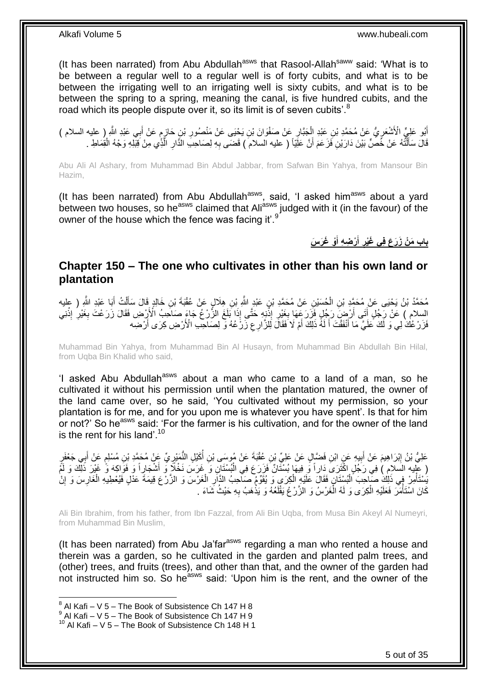(It has been narrated) from Abu Abdullah<sup>asws</sup> that Rasool-Allah<sup>saww</sup> said: 'What is to be between a regular well to a regular well is of forty cubits, and what is to be between the irrigating well to an irrigating well is sixty cubits, and what is to be between the spring to a spring, meaning the canal, is five hundred cubits, and the road which its people dispute over it, so its limit is of seven cubits'.<sup>8</sup>

أَبُو عَلِيٍّ الْأَشْعَرِيُّ عَنْ مُحَمَّدِ بْنِ عَبْدِ إِلْجَبَّارٍ عَنْ صَفْوَانَ بْنِ يَحْيَى عَنْ مَنْصُورِ بْنِ حَازِمٍ عَنْ أَبِي عَبْدِ اللَّهِ ( عليه السلام ) ֖֖֖֖֧֧֧֧ׅ֧ׅ֧֧֧ׅ֧ׅ֧ׅ֧֛֛֪֧֚֚֚֚֚֚֚֚֚֚֚֚֚֚֚֚֚֚֚֚֚֚֚֝֝֝֝֝֝֝֟֓֝֓֝֓֜֝֬֜֓֝֬֜֜֜֓֝֬֜֓֜֝֬ ِ ِ ِ ْ **ٍ** َ َ قَالَ سَأَلْتُهُ عَنْ خُصٌّ بَيْنَ دَارَيْنِ فَزَعَمَ أَنَّ عَلِّيّاً ( عليه السلام ) قَضَى بِهِ لِصَاحِبِ الذَّارِ الَّذِي مِنْ قِبْلِهِ وَجْهُ الْقِمَاطِ . اً ֦֦֖֦֪֦֧֦֪֦֧֦֪֦֧֦֪֦֪֦֪֦֪֪֦֖֧֦֘֝֟֘֝֟֘֟֟֟֟֟֟֟֟֓֡֟֟֟֟֟֓֡֟֟֟֟֩֞֟֩֞֟֓֞֟֩֕֞֟֟֓֞֟֟֓֟֩֓֞֟֟֩֓֞֟֟֟֟֟֟֩֓֞ َ ْ َّ **∶ ∶** 

Abu Ali Al Ashary, from Muhammad Bin Abdul Jabbar, from Safwan Bin Yahya, from Mansour Bin Hazim,

(It has been narrated) from Abu Abdullah<sup>asws</sup>, said, 'I asked him<sup>asws</sup> about a yard between two houses, so he<sup>asws</sup> claimed that Ali<sup>asws</sup> judged with it (in the favour) of the owner of the house which the fence was facing it'.<sup>9</sup>

> **ْو َغ َر َس ْر ِض ِه أ أ باب َم ْن َز َر َع فِي َغْير َ َ ِ**

### <span id="page-4-0"></span>**Chapter 150 – The one who cultivates in other than his own land or plantation**

مُحَمَّدُ بْنُ يَحْيَى عَنْ مُحَمَّدِ بْنِ الْحُسَيْنِ عَنْ مُحَمَّدِ بْنِ عَبْدٍ اللَّهِ بْنِ هِلَالٍ عَنْ عُقْبَةَ بْنِ خَالِدٍ قَالَ سَأَلْتُ أَبَا عَبْدِ اللَّهِ ( عِليه ْ َ ْ اً<br>أ  $\frac{1}{2}$ السلام ) عَنْ رَجُلٍ أَتَى أَرْضٍ رَجُلٍ فَزَرَ عَهَا بِغَيْرِ إِذْنِهِ حَتَّى إِذَا بَلَغَ الزَّرْعُ جَاءَ صَاحِبُ الْأَرْضِ فَقَالَ زَرَعْتَ بِغَيْرِ إِنْنِي ا<br>: ِ ِ اُ َ **ٔ** ِ ِ فَرَ رُعُكَ لِي وَ لَكَ عَلَيَّ مَا أَنْفَقْتَ أَ لَهُ ذَلِكَ أَمْ لَا فَقَالَ لِلزَّارِعِ زَرَٰ عُهُ وَ لِصَاحِبِ الْأَرْضِ كِرَى أَرْضِه ِ ا<br>ا لَ َ َ َ

Muhammad Bin Yahya, from Muhammad Bin Al Husayn, from Muhammad Bin Abdullah Bin Hilal, from Uqba Bin Khalid who said,

'I asked Abu Abdullah<sup>asws</sup> about a man who came to a land of a man, so he cultivated it without his permission until when the plantation matured, the owner of the land came over, so he said, 'You cultivated without my permission, so your plantation is for me, and for you upon me is whatever you have spent'. Is that for him or not?' So he<sup>asws</sup> said: 'For the farmer is his cultivation, and for the owner of the land is the rent for his land'.<sup>10</sup>

عَلِيُّ بْنُ إِبْرَاهِيمَ عَنْ أَبِيهِ عَنِ ابْنِ فَضَّالٍ عَنْ عَلِيِّ بْنِ عُقْبَةَ عَنْ مُوسَى بْنِ أَكَيْلِ النُّمَيْرِيِّ عَنْ مُحَمَّدِ بْنِ مُسْلِمٍ عَنْ أَبِي جَعْفَرٍ **∶** ُ **!** َ ِ َ م ( عِلْيه السَلامِ ) فِي رَجُلٍ اكْتَرَىَ دَاراً وَ فِيهَا بُسْتَانٌ فَزَرَعَ فِي الْبُسْتَانِ وَ غَرَسَ نَخْلَا وَ أَشْجَارِاً وَ فَوَاكِهَ وَ غَيْرَ ذَلِّكَ وَ لَمَّ َ ْ يُسْتَأْمِرْ فِي ذَلِكَ صَاحِبَ الْبُسْتَانِ فَقَالَ عَلَيْهِ الْكِرَى وَ يُقَوِّمُ صَاحِبُ الدَّارِ الْغَرْسَ وَ الزَّرْعَ قِيمَةً عَذْلٍ فَيُعْطِيهِ الْغَارِسَ وَ إِنْ ْ ِ ْ ْ ِ ِ ْ كَانَ اسْتَأْمَرَ فَعَلَيْهِ الْكِرَى وَ لَهُ الْغَرْسُ وَ الزَّرْ عُ يَقْلَعُهُ وَ يَذْهَبُ بِهِ حَيْثُ شَاءَ **∶** ا<br>ـ لَ ْ ْ :<br>ا

Ali Bin Ibrahim, from his father, from Ibn Fazzal, from Ali Bin Uqba, from Musa Bin Akeyl Al Numeyri, from Muhammad Bin Muslim,

(It has been narrated) from Abu Ja'far<sup>asws</sup> regarding a man who rented a house and therein was a garden, so he cultivated in the garden and planted palm trees, and (other) trees, and fruits (trees), and other than that, and the owner of the garden had not instructed him so. So he<sup>asws</sup> said: 'Upon him is the rent, and the owner of the

 $^8$  Al Kafi – V 5 – The Book of Subsistence Ch 147 H 8

 $^9$  Al Kafi – V 5 – The Book of Subsistence Ch 147 H 9

 $10$  Al Kafi – V 5 – The Book of Subsistence Ch 148 H 1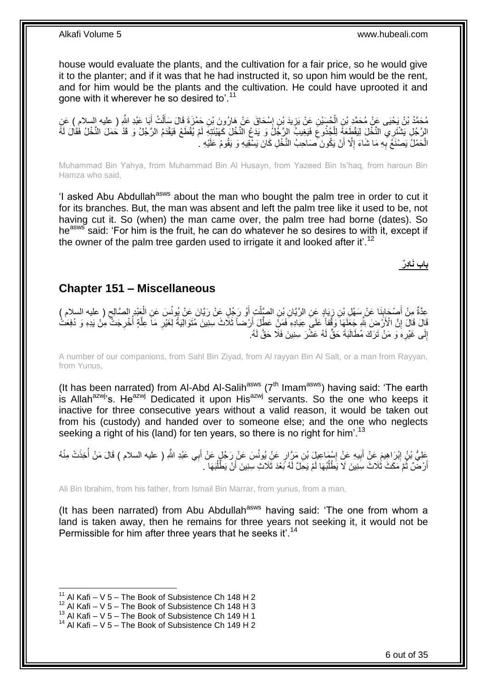house would evaluate the plants, and the cultivation for a fair price, so he would give it to the planter; and if it was that he had instructed it, so upon him would be the rent, and for him would be the plants and the cultivation. He could have uprooted it and gone with it wherever he so desired to'.<sup>11</sup>

مُحَمَّدُ بْنُ يَحْيَى عَنْ مُحَمَّدِ بْنِ الْحُسَيْنِ عَنْ يَزِيدَ بْنِ إِسْحَاقَ عَنْ هَارُونَ بْنِ حَمْزَةَ قَالَ سَأَلْتُ أَبَا عَبْدِ اللَّهِ ( عليه السلام ) عَنِ<br>دِيَنِدَ نُصِّفَ عَنْ مُحَمَّدٍ بِنَ أَمْرُهُ مُحَمَّ ْ َ ֦֦֦֦֦֚֚֚֝֝֝֝֝֝֝ ِ ْ َ الرَّجُلِ يَشْتَرِي النَّخْلَ لِيَقْطَعَهُ لِلْجُذُوعَ فَيَغِيبُ الرَّجَلُ وَ يَدَعُ النَّخْلَ كَهَيْئَتِهِ لَمْ يُقْطَعْ فَيَقْدَمُ الرَّجُلُ وَ قَدْ حَمَلَ النَّخْلُ فَقَالَ لَهُ ِ ْ الْحَمْلُ يَصْنَعُ بِهِ مَا شَاءَ إِلَّا أَنْ يَكُونَ ۖصَاحِبُ النَّخْلِ كَانَ يَسْقِيهِ وَ يَقُومُ عَلَيْهِ ۚ َ ِ **∶** ْ

Muhammad Bin Yahya, from Muhammad Bin Al Husayn, from Yazeed Bin Is'haq, from haroun Bin Hamza who said,

'I asked Abu Abdullah<sup>asws</sup> about the man who bought the palm tree in order to cut it for its branches. But, the man was absent and left the palm tree like it used to be, not having cut it. So (when) the man came over, the palm tree had borne (dates). So he<sup>asws</sup> said: 'For him is the fruit, he can do whatever he so desires to with it, except if the owner of the palm tree garden used to irrigate it and looked after it'.<sup>12</sup>

**باب َناِدٌر**

### <span id="page-5-0"></span>**Chapter 151 – Miscellaneous**

عِدَّةٌ مِنْ أَصْحَابِنَا عَنْ سَهْلِ بْنِ زِيَادٍ عَنِ الرَّيَّانِ بْنِ الصَّلْتِ أَوْ رَجُلٍ عَنْ رَيَّانَ عَنْ يُونُسَ عَنِ الْغَذِرِ الصَّالِحِ ( عليه السلام ) َ ْ ِ **∣** َ ِ ْ قَالَ فِلَّ الْأَرْضَ لِلَّهِ جَعَلَهَا ۖ وَقَّفاً عَلَى عِبَادِهِ فَمَنٌّ عَطِّلَ أَرْضاً ثَلَاثَ سِنِينَ مُنَوَالِيَةً لِغَيْرِ مَا عِلَّةٍ أُخْرِجَتْ مِنْ يَدِهِ وَ دُفِعَتْ ِ ِ ا<br>أ َّ ِ َ إِلَى غَيْرِهِ وَ مَنْ تَرَكَ مُطَالَبَةَ حَقٍّ لَهُ عَشْرَ سِنِينَ فَلَا حَقَّ لَهُ. ِ ِ

A number of our companions, from Sahl Bin Ziyad, from Al rayyan Bin Al Salt, or a man from Rayyan, from Yunus,

(It has been narrated) from Al-Abd Al-Salih<sup>asws</sup> ( $7<sup>th</sup>$  Imam<sup>asws</sup>) having said: 'The earth is Allah<sup>azwj</sup>'s. He<sup>azwj</sup> Dedicated it upon His<sup>azwj</sup> servants. So the one who keeps it inactive for three consecutive years without a valid reason, it would be taken out from his (custody) and handed over to someone else; and the one who neglects seeking a right of his (land) for ten years, so there is no right for him'.<sup>13</sup>

عَلِيُّ بْنُ إِبْرَاهِيمَ عَنْ أَبِيهِ عَنْ إِسْمَاعِيلَ بْنِ مَرَّارٍ عَنْ يُونُسَ عَنْ رَجُلٍ عَنْ أَبِي عَبْدِ اللَّهِ ( عليه السلام ) قَالَ مَنْ أُخِذَتْ مِنْهُ<br>يَسْمَى بِي الْبَرَاهِيمَ عَنْ أَبِيهِ عَنْ إِسْمَاعِيلَ َ ا<br>: ِ َ ِ أَرْضَّنَّ ثُمَّ مَكَثَ ثُلَاثَ سِنِينَ لَا يَطْلُبُهَا لَمْ يَحِلَّ لَهُ بَعْدَ ثَلَاثِ سِنِينَ أَنْ يَطْلُبُهَا . ا<br>ا ُ َ ُ

Ali Bin Ibrahim, from his father, from Ismail Bin Marrar, from yunus, from a man,

(It has been narrated) from Abu Abdullah<sup>asws</sup> having said: 'The one from whom a land is taken away, then he remains for three years not seeking it, it would not be Permissible for him after three years that he seeks it.<sup>14</sup>

 $11$  Al Kafi – V 5 – The Book of Subsistence Ch 148 H 2

 $12$  Al Kafi – V 5 – The Book of Subsistence Ch 148 H 3

<sup>&</sup>lt;sup>13</sup> Al Kafi – V 5 – The Book of Subsistence Ch 149 H 1

 $14$  Al Kafi – V 5 – The Book of Subsistence Ch 149 H 2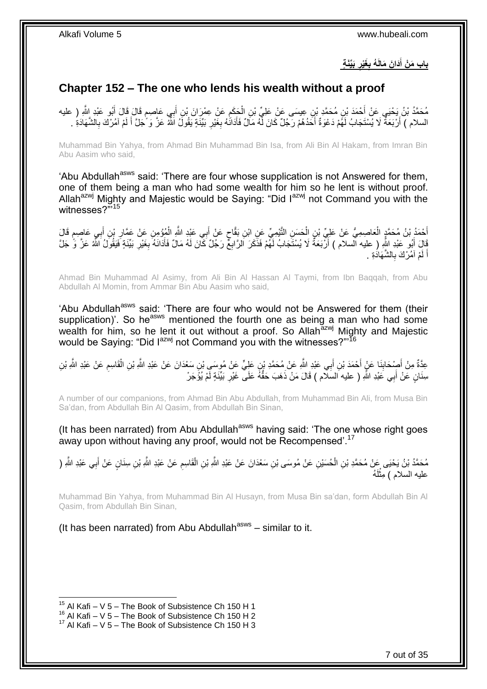**َبِّيَن ة َغْير ُه ب َدا َن َمالَ باب َم ْن أ ِ ِ َ**

## <span id="page-6-0"></span>**Chapter 152 – The one who lends his wealth without a proof**

مُحَمَّدُ بْنُ يَحْيَي عَنْ أَحْمَدَ بْنِ مُحَمَّدٍ بْنِ عِيسَى عَنْ عَلِيِّ بْنِ الْحَكَمِ عَنْ عِمْرَانَ بْنِ أَبِي عَاصِمٍ قَالَ قَالَ أَبُو عَبْدِ اللَّهِ ( عليه َ ֧֖֖֖֧֧֖֧֧֧֧֧ׅ֧֧֧֧֧֚֚֚֚֓֝֝֝֝֟֓֟֓֝֬֝֓֝֓֝֬֟֓֟֓֟֓֟֓֝֬֝֬֝֓֝֬֜֓֝֬֝֓֝֬֝֬֝ َ ِ ْ السلام ) أَرْبَعَةٌ لَا يُسْتَجَابُ لَهُمْ دَعْوَةٌ أَحَدُهُمْ رَجُلٌ كَانَ لَّهُ مَالٌ فَأَدَانَٰهُ بِغَيْرِ بَيِّنَةٍ يَقُولُ اللَّهُ عَزَّ وَ َٰجَلَّ أَ لَمْ آمُرْكَ بِالشَّهَادَةِ . **ٍ** ِ َ .<br>ا اً **∶** لَ َ

Muhammad Bin Yahya, from Ahmad Bin Muhammad Bin Isa, from Ali Bin Al Hakam, from Imran Bin Abu Aasim who said,

'Abu Abdullah<sup>asws</sup> said: 'There are four whose supplication is not Answered for them, one of them being a man who had some wealth for him so he lent is without proof. Allah<sup>azwj</sup> Mighty and Majestic would be Saying: "Did I<sup>azwj</sup> not Command you with the witnesses?"<sup>15</sup>

أَحْمَدُ بْنُ مُحَمَّدٍ الْعَاصِمِيُّ عَنْ عَلِيِّ بْنِ الْحَسَنِ الثَّيْمِيِّ عَنِ ابْنِ بَقَّاحٍ عَنْ أَبِي ع<br>بَدْ الْمَوْمِنِ عَنْ عَمَّلٍ الْعَاصِمِيُّ عَنْ عَلِيِّ بْنِ الْحَسَنِ الثَّيْمِيِّ عَنِ ابْنِ بَقَّاحٍ عَنْ َ ٍ ْ ْ َ ֧֖֖֖֖֧֧֖֖֧֧֧֛֛֧֛֛֛֚֚֚֚֚֚֚֚֚֓֝֝֬֝֟֓֝֓֝֓֝֬֟֓֟֓֟֓֝֓֝֓֜֜֜֡֬֜֝֬֜֜ َ ِ َ قَالَ أَبُو عَبْدِ اللَّهِ ( عليه السلام ) أَرْبَعَةٌ لَا يُسْتَجَابُ لَهُمْ فَذَكَرَ الرَّابِعٌ رَجُلٌ كَانَ لَهُ مَالٌ فَأَدَانَهُ بِغَيْرِ بَيِّنَةٍ فَيَقُولُ اللَّهُ عَزَّ وَ جَلَّ ِ َ َ ِ ِ اً لَمْ آمُرْكَ بِالشَّهَادَةِ . **∶** لَ َ

Ahmad Bin Muhammad Al Asimy, from Ali Bin Al Hassan Al Taymi, from Ibn Baqqah, from Abu Abdullah Al Momin, from Ammar Bin Abu Aasim who said,

'Abu Abdullah<sup>asws</sup> said: 'There are four who would not be Answered for them (their supplication)'. So he<sup>asws</sup> mentioned the fourth one as being a man who had some wealth for him, so he lent it out without a proof. So Allah<sup>azwj</sup> Mighty and Majestic would be Saying: "Did I<sup>azwj</sup> not Command you with the witnesses?"'<sup>16</sup>

َ عِدَّةٌ مِنْ أَصْحَابِنَا عَنْ أَحْمَدَ بْنِ أَبِي عَبْدِ اللَّهِ عَنْ مُحَمَّدِ بْنِ عَلِيٍّ عَنْ مُوسَىٍ بْنِ سَعْدَانَ عَنْ عَبْدِ اللَّهِ بْنِ شَرْ أَقَاسِمِ عَنْ عَبْدِ اللَّهِ بْنِ **∣** َ ِ ْ سِنَانٍ عَنْ أَبِي عَبْدِ اللَّهِ ( عليه السَلَّام ) قَالَ مَنْ ذَهَبَ حَقُّهُ عَلَى ۖ غَيْرِ بَيِّنَةٍ لَّمْ يُؤَجَرْ ِ َ

A number of our companions, from Ahmad Bin Abu Abdullah, from Muhammad Bin Ali, from Musa Bin Sa'dan, from Abdullah Bin Al Qasim, from Abdullah Bin Sinan,

(It has been narrated) from Abu Abdullah<sup>asws</sup> having said: 'The one whose right goes away upon without having any proof, would not be Recompensed'.<sup>17</sup>

مُحَمَّدُ بْنُ يَحْيَى عَنْ مُحَمَّدِ بْنِ الْحُسَيْنِ عَنْ مُوسَى بْنِ سَعْدَانَ عَنْ عَبْدِ اللَّهِ بْنِ الْقَاسِمِ عَنْ عَبْدِ اللَّهِ مُنْ عَبْدِ اللَّهِ ( ِ ْ ْ َ عليه السلام ) مِثْلَهُ لَ ْ

Muhammad Bin Yahya, from Muhammad Bin Al Husayn, from Musa Bin sa'dan, form Abdullah Bin Al Qasim, from Abdullah Bin Sinan,

(It has been narrated) from Abu Abdullah<sup>asws</sup> – similar to it.

<sup>&</sup>lt;sup>15</sup> Al Kafi – V 5 – The Book of Subsistence Ch 150 H 1

 $^{16}$  Al Kafi – V 5 – The Book of Subsistence Ch 150 H 2

 $17$  Al Kafi – V 5 – The Book of Subsistence Ch 150 H 3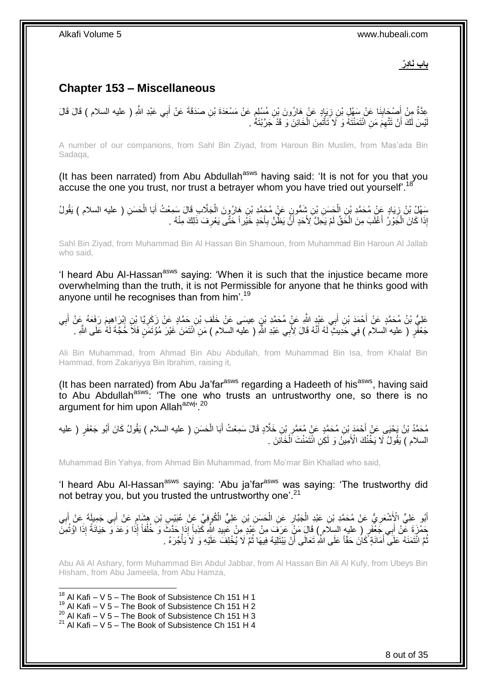**باب َناِدٌر**

# <span id="page-7-0"></span>**Chapter 153 – Miscellaneous**

عِدَّةٌ مِنْ أَصْحَابِنَا عَنْ سَهْلٍ بْنِ زِيَإِدٍ عَنْ هَارُونَ بْنِ مُسْلِمٍ عَنْ مَسْعَدَةَ بْنِ صَدَقَةَ عَنْ أَبِي عَبْدِ اللَّهِ ( عليه السلام ) قَالَ قَالَ ֧֧֧֧֧֚֚֚֚֚֚֚֚֚֚֚֚֚֓֝֡֓֓֓֡֓֓֓֡֓֝֓ ِ ِ َ َ يْسَ لَكَ أَنْ تَتَّهِمَ مَنِ ائْتَمَنْتَهُ وَ لَا َتَأْتَمِنَ الْخَائِنَ وَ قَدْ جَرَّبْتَهُ . ْ ْ لَ

A number of our companions, from Sahl Bin Ziyad, from Haroun Bin Muslim, from Mas'ada Bin Sadaqa,

(It has been narrated) from Abu Abdullah<sup>asws</sup> having said: 'It is not for you that you accuse the one you trust, nor trust a betrayer whom you have tried out yourself'.<sup>18</sup>

سَهْلُ بْنُ زِيَادٍ عَنْ مُحَمَّدِ بْنِ الْحَسَنِ بْنِ شَمُّونٍ عَنْ مُحَمَّدِ بْنِ هَارُوٍنَ الْجَلَّابِ قَالَ سَمِعْتُ أَبَا الْحَسَنِ ( عليه السلام ) يَقُولُ ْ ِ ْ َ ْ إِذَا كَانَ الْجَوْرُ أَغْلَبَ مِنَ الْحَقِّ لَمْ يَحِلَّ لِأَحَدٍ أَنَّ يَظُنَّ بِأَحَدٍ خَيْراً حَتَّى يَعْرِفَ ذَلِكَ مِنْهُ . ِ َ **∶** َ ْ ا<br>ا ْ

Sahl Bin Ziyad, from Muhammad Bin Al Hassan Bin Shamoun, from Muhammad Bin Haroun Al Jallab who said,

'I heard Abu Al-Hassan<sup>asws</sup> saying: 'When it is such that the injustice became more overwhelming than the truth, it is not Permissible for anyone that he thinks good with anyone until he recognises than from him<sup>'.19</sup>

عَلِيُّ بْنُ مُحَمَّدٍ عَنْ أَحْمَدَ بْنِ أَبِي عَيْدٍ اللَّهِ عَنٍْ مُحَمَّدِ بْنِِ عِيسَى عَنْ خَلَفٍ بْنِ حَمَّادٍ عَنْ زَكَرِيًا بِْنِ إِبْرِ اهِيمَ رَفَعَهُ عَنْ أَبِي َ ِ َ  $\frac{1}{2}$ ِ جَعْفَرٍ ( عليه السلام ) فِي حَدِيثٍ ۖ لَهُ أَنَّهُ قَالَ لِأَبِي عَبْدِ اللَّهِ ( عليه السلام ) مَنِ اَئْتَمَنَ غَيْرَ مُؤْتَمَنٍ فَلَا حَٰجَةَ لَهُ عَلَى اللَّهِ . َ

Ali Bin Muhammad, from Ahmad Bin Abu Abdullah, from Muhammad Bin Isa, from Khalaf Bin Hammad, from Zakariyya Bin Ibrahim, raising it,

(It has been narrated) from Abu Ja'far<sup>asws</sup> regarding a Hadeeth of his<sup>asws</sup>, having said to Abu Abdullah<sup>asws.</sup> 'The one who trusts an untrustworthy one, so there is no argument for him upon Allah<sup>azwj, 20</sup>

مُحَمَّدُ بْنُ يَحْيَى عَنْ أَحْمَدَ بْنِ مُحَمَّدٍ عَنْ مُعَمَّرٍ بْنِ خَلَّادٍ قَالَ سَمِعْتُ أَبَا الْحَسَنِ ( عليه السلام ) يَقُولُ كَانَ أَبُو جَعْفَرٍ ( عليه َ ِ َ ْ السلام ) يَقُولُ لَا يَخُنْكَ الْأَمِينُ وَ لَكِنِ ائْتَمَنْتَ الْخَاَئِنَ . ْ

Muhammad Bin Yahya, from Ahmad Bin Muhammad, from Mo'mar Bin Khallad who said,

'I heard Abu Al-Hassan<sup>asws</sup> saying: 'Abu ja'far<sup>asws</sup> was saying: 'The trustworthy did not betray you, but you trusted the untrustworthy one'.<sup>21</sup>

أَبُو عَلِيٍّ الْإَِشْعَرِ يُّ عَنْ مُحَمَّدِ بْنِ عَبْدِ الْجَبَّارِ عَنِ الْحَسَنِ بْنِ عَلِيٍّ الْكُوفِيِّ عَنْ عُبَيْسٍ بْنِ هِشَامٍ عَنْ أَبِي جَمِيلَةَ عَنْ أَبِي ْ ِ ْ ِ ِ َ ֧֩֘׆֧ ِ َ ْ ِّضْرَةَ عِّنْ أَبِي جَعْْفَرٍ ( عليه السلام ) قَالَ مَنْ عَرَفَ مِنْ عَبْدِ مِنْ عَبِيدِ اللَّهِ كَذِباً إِذَا حَدَّثَ وَ خُلْفاً إِذَا وَعَدَ وَ خِيَانَةً إِذَا اوُثُمِنَّ ِ ُّمَّ ائْتَمَنَهُ عَلَى أَمَانَةٍ كَانَ حَقّاً عَلَى اللَّهِ تَعَالَى أَنْ يَبْتَلِيَهُ فِيهَا ثُمَّ لَا يُخْلِفَ عَلَيْهِ وَ لَا يَأْجُرَهُ . َ ُ ْ ُ اُ

Abu Ali Al Ashary, form Muhammad Bin Abdul Jabbar, from Al Hassan Bin Ali Al Kufy, from Ubeys Bin Hisham, from Abu Jameela, from Abu Hamza,

1  $18$  Al Kafi – V 5 – The Book of Subsistence Ch 151 H 1

- $19$  Al Kafi V 5 The Book of Subsistence Ch 151 H 2
- 20 Al Kafi V  $5 -$  The Book of Subsistence Ch 151 H 3

<sup>21</sup> Al Kafi – V 5 – The Book of Subsistence Ch 151 H 4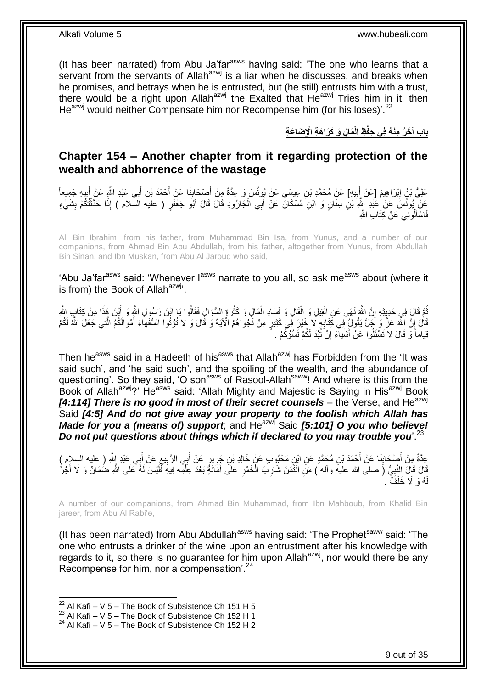(It has been narrated) from Abu Ja'far<sup>asws</sup> having said: 'The one who learns that a servant from the servants of Allah $a$ <sup>azwj</sup> is a liar when he discusses, and breaks when he promises, and betrays when he is entrusted, but (he still) entrusts him with a trust, there would be a right upon Allah<sup>azwj</sup> the Exalted that He<sup>azwj</sup> Tries him in it, then  $He^{azwj}$  would neither Compensate him nor Recompense him (for his loses)'.<sup>22</sup>

**َما ِل َو َكَرا َه ِة اْإلِ َضا َع ِة ِظ الْ باب آ َخ ُر ِمْن ُه فِي ِحفْ**

## <span id="page-8-0"></span>**Chapter 154 – Another chapter from it regarding protection of the wealth and abhorrence of the wastage**

عَلِيُّ بْنُ إِبْرَاهِيمَ [عَلْ أَبِيهِ] عَنْ مُحَمَّدِ بْنِ عِيسَى عَنْ يُونُسَ وَ عِدَّةٌ مِنْ أَصْحَابِذَا عَنْ أَحْمَدَ بْنِ أَبِي عَبْدِ اللَّهِ عَنْ أَبِيهِ جَمِيعاً ِ َ ِ ِ َ َ َ  $\frac{1}{2}$ َ ِعَنْ بُونُسَ عَنْ عَبْدِ ابِثَّهِ بْنِ سِنَانٍ وَ ابْنِ مُسْكَانَ عَنْ أَبِي الْجَارُودِ قَالَ قَالَ أَبُو جَعْفَرٍ ( عليه السلام ) إِذَا حَدَّثْتُكُمْ بِشَيْءٍ َ ْ ِ ْ فَاسْأَلُونِي عَنْ كِتَابِ اللَّهِ َ

Ali Bin Ibrahim, from his father, from Muhammad Bin Isa, from Yunus, and a number of our companions, from Ahmad Bin Abu Abdullah, from his father, altogether from Yunus, from Abdullah Bin Sinan, and Ibn Muskan, from Abu Al Jaroud who said,

'Abu Ja'far<sup>asws</sup> said: 'Whenever l<sup>asws</sup> narrate to you all, so ask me<sup>asws</sup> about (where it is from) the Book of Allah $a$ <sup>azwj</sup>.

ُمَّ قَالَ فِي حَدِيِثِهِ إِنَّ اللَّهَ نَهَى عَنِ الْقِيلِ وَ الْقَالِ وَ فَسَادِ الْمَالِ وَ كَثْرَةِ السُّؤَالِ فَقَالُوا يَا ابْنَ رَسُولِ النَّهِ وَ أَيْنَ هَذَا مِنْ كِتَابٍ النَّهِ **ٔ** ْ ْ ْ יֲ<br>י ُ َ قَالَ إِنَّ اللَّهَ عَزَّ وَ جَلَّ يَقُولُ فِي كَتَابِهِ لَا خَيْرَ فِي كَثِيرٍ مِنْ نَجْواهُمْ الْآيَةَ وَ قَالَ وَ لا تُؤْتُوا السُّفَهاءَ أَمْوالَكُمُ الَّتِي جَعَلَ اللَّهُ لَكُمْ ِ **׀** َّ َ قِياماً وَ قَالَ لا تَسْئَلُوا عَنْ أَشْيآءَ إِنْ َتُبْدَ لَكُمْ تَسُوُّكُمْ . יֲ<br>י َ

Then he<sup>asws</sup> said in a Hadeeth of his<sup>asws</sup> that Allah<sup>azwj</sup> has Forbidden from the 'It was said such', and 'he said such', and the spoiling of the wealth, and the abundance of questioning'. So they said, 'O son<sup>asws</sup> of Rasool-Allah<sup>saww</sup>! And where is this from the Book of Allah<sup>azwj</sup>?' He<sup>asws</sup> said: 'Allah Mighty and Majestic is Saying in His<sup>azwj</sup> Book [4:114] There is no good in most of their secret counsels - the Verse, and He<sup>azwj</sup> Said *[4:5] And do not give away your property to the foolish which Allah has Made for you a (means of) support*; and He<sup>azwj</sup> Said [5:101] O you who believe! *Do not put questions about things which if declared to you may trouble you*'.<sup>23</sup>

عِدَّةٌ مِنْ أَصْحَابِنَا عَنْ أَحْمَدَ بْنِ مُحَمَّدٍ عَنِ ابْنِ مَحْبُوبٍ عَنْ خَالِدِ بْنِ جَرِيرٍ عَنْ أَبِي الرَّبِيعِ عَنْ أَبِي عَبْدِ إِلَّهِ ( عليه السِلإِم )<br>ِ ِ ِ َ ِ **∣** َ َ وَّلَ قَالَ النَّبِيُّ (َ صلى الله عليهَ وأله ) مَنَ انْتَمَنَ شَارِبَ الْخَمْرِ عَلَى أَمَانَةٍ بَعْدَ عِلْمِهِ فِيهِ فَمَنِسَ لَهُ عَلَى اللَّهِ ضُمَانٌ وَ لَا أَجْرُ َ **∶** ْ **∶** ¦ َ ْ هُ وَ لَا خَلَفَّ . لَ

A number of our companions, from Ahmad Bin Muhammad, from Ibn Mahboub, from Khalid Bin jareer, from Abu Al Rabi'e,

(It has been narrated) from Abu Abdullah<sup>asws</sup> having said: 'The Prophet<sup>saww</sup> said: 'The one who entrusts a drinker of the wine upon an entrustment after his knowledge with regards to it, so there is no guarantee for him upon Allah $a$ <sup>zwj</sup>, nor would there be any Recompense for him, nor a compensation<sup>'.24</sup>

 $22$  Al Kafi – V 5 – The Book of Subsistence Ch 151 H 5

<sup>&</sup>lt;sup>23</sup> Al Kafi – V 5 – The Book of Subsistence Ch 152 H 1

 $24$  Al Kafi – V 5 – The Book of Subsistence Ch 152 H 2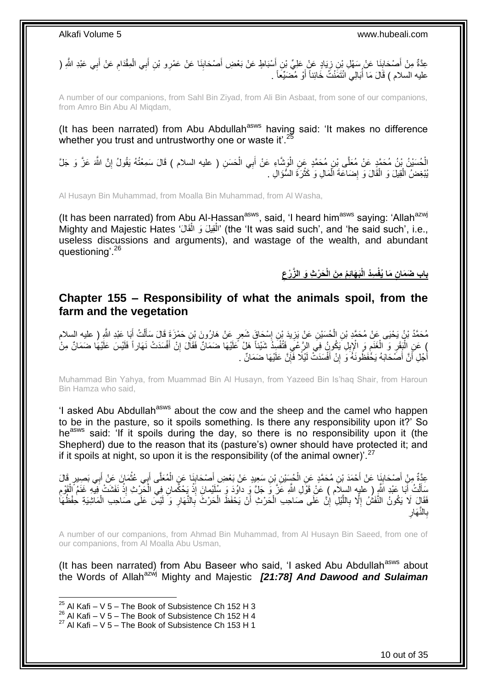**∶** عِدَّةٌ مِنْ أَصْحَابِنَا عَنْ سَهْلِ بْنِ زِيَادٍ عَنْ عَلِيِّ بْنِ أَسْبَاطٍ عَنْ بَعْضِ أَصْحَابِنَا عَنْ عَمْرِو بْنِ أَبِي الْمِقْدَامِ عَنْ أَبِي عَبْدِ الثَّهِ ( َ ِ َ ِ ِ َ ِ ْ عليه السلام ) قَالَ مَا أَبَالِي ائْتَمَنْتُ خَائِناً أَوْ مُضَيِّعاً . َ ُ

A number of our companions, from Sahl Bin Ziyad, from Ali Bin Asbaat, from sone of our companions, from Amro Bin Abu Al Miqdam,

(It has been narrated) from Abu Abdullah<sup>asws</sup> having said: 'It makes no difference whether you trust and untrustworthy one or waste it'.<sup>25</sup>

الْحُسَيْنُ بْنُ مُحَمَّدٍ عَنْ مُعَلَّى بْنِ مُحَمَّدٍ عَنِ الْوَشَّاءِ عَنْ أَبِي الْحَسَنِ ( عليه السلام ) قَالَ سَمِعْتُهُ يَقُولُ إِنَّ اللَّهَ عَزَّ وَ جَلَّ<br>الْحُسَيْنُ بْنُ مُحَمَّدٍ عَنْ مُعَلَّى بْنِ مُحَمَّدٍ ع ْ ْ َ ْ ِ يُبْغِضُ الْقِيلَ وَ الْقَالَ وَ إِضَاعَةَ الْمَالِ وَ كَثْرَةَ السُّؤَالِ . **ٔ** ْ ِ ْ ْ

Al Husayn Bin Muhammad, from Moalla Bin Muhammad, from Al Washa,

(It has been narrated) from Abu Al-Hassan<sup>asws</sup>, said, 'I heard him<sup>asws</sup> saying: 'Allah<sup>azwj</sup> Mighty and Majestic Hates 'الْقِيلَ وَ الْقَالُ' (the 'It was said such', and 'he said such', i.e., ْ ْ useless discussions and arguments), and wastage of the wealth, and abundant questioning<sup>'.26</sup>

> **ِ َح ْر ِث َو ال َّز ْرع ُم ِم َن الْ َب َهائِ ِسُد الْ ِن َما ُيفْ باب َض َما**

### <span id="page-9-0"></span>**Chapter 155 – Responsibility of what the animals spoil, from the farm and the vegetation**

مُحَمَّدُ بْنُ يَحْيَى عَنْ مُحَمَّدِ بْنِ الْحُسَيْنِ عَنْ يَزِيدَ بْنِ إِسْحَاقَ شَعِرٍ عَنْ هَارُونَ بْنِ حَمْزَةَ قَالَ سَأَلْتُ أَبَا عَبْدِ اللَّهِ ( عليه السلام<br>. َ ْ ĺ ِ ِ ْ ْ عَنِ الْبَقَرِ وَ الْغَنَمِ وَ الْإِبْلِ يَكُونُ فِي الرَّعْبِ فَتُفْسِدُ شَيْئاً هَلْ عَلَيْهَا ضَمَانٌ وَقَالَ إِنْ أَفْسَدَتْ نَهَاراً فَلَيْسَ عَلَيْهَا ضَمَانٌ مِنْ ِ ِ ֖֧֧֧֧֧ׅ֧֧֧֧֧֧֧֧֧֧֚֚֚֚֚֚֚֚֚֚֚֚֚֚֚֚֚֚֚֚֚֚֚֚֚֚֚֝֝֝֝֝֝֝֝֝֝֓֝֓֝֓֝֓֜֝֓֝֓֝֬֝֓֝֬֝֓֝֬֜֝֬ ْ ِ ْ َ أُجْلِ أَنَّ أَصَدَابَهُ يَخْفَظُونَهُ َوَ إِنْ أَفْسَدَتْ لَيْلًا فَإِنَّ عَلَيْهَا ضَمَانٌ . ِ َ ِ َ ر<br>ا َ

Muhammad Bin Yahya, from Muammad Bin Al Husayn, from Yazeed Bin Is'haq Shair, from Haroun Bin Hamza who said,

'I asked Abu Abdullah<sup>asws</sup> about the cow and the sheep and the camel who happen to be in the pasture, so it spoils something. Is there any responsibility upon it?' So he<sup>asws</sup> said: 'If it spoils during the day, so there is no responsibility upon it (the Shepherd) due to the reason that its (pasture's) owner should have protected it; and if it spoils at night, so upon it is the responsibility (of the animal owner)<sup>'.27</sup>

َّ عِدَّةٌ مِنْ أَصْحَابِنَا عَنْ أَحْمَدَ بْنِ مُحَمَّدٍ عَنِ الْجُسَيْنِ بْنِ سَعِيدٍ عَنْ بَعْضِ أَصْحَابِنَا عَنِ الْمُعَلَّى أَبِي عُثْمَانَ عَنْ أَبِي بَصِيرٍ قَالَ<br>وَأَمْرُ مِنْ أَسْحَابِنَا عَنْ أَحْمَدَ بْنِ مُحَمَّد ْ ِ َ ْ َ **ِ** َ َ **ٔ** َ سَأَلْتُ أَبَا عَبْدِ الَّذِي ( عليه السِلاَم ) عَلْ قَوْلِ اللَّهِ عَنَّ وَ جَلَّ وَ داوُدَ وَ سُلَيْمانَ إِذْ يَحْكُمانِ فِي الْحَرْثِ إِذْ نَفَشَتْ فِيهِ غَنَمُ الْقَوْمِ َ ْ َ  $\ddot{\phantom{a}}$ ْ **ٔ** ْ **ٔ** فَقَالٍ لَا يَكُونُ النَّفَشُ إِلَّا بِاللَّيْلِ إِنَّ عَلَى صَاحِبِ الْحَرْثِ أَنْ يَحْفَظَ الْحَرْثَ بِالنَّهَارِ وَ لَيْسَ عَلَى صَاحِبِ الْمَاشِيَةِ حِفْظُهَا ِ ِ ْ اُ ْ اٍ َّ **∶** ِ ْ بِالنَّـهَارِ ِ ِ

A number of our companions, from Ahmad Bin Muhammad, from Al Husayn Bin Saeed, from one of our companions, from Al Moalla Abu Usman,

(It has been narrated) from Abu Baseer who said, 'I asked Abu Abdullah<sup>asws</sup> about the Words of Allahazwj Mighty and Majestic *[21:78] And Dawood and Sulaiman* 

 $25$  Al Kafi – V 5 – The Book of Subsistence Ch 152 H 3

<sup>26</sup> Al Kafi – V 5 – The Book of Subsistence Ch 152 H 4

 $27$  Al Kafi – V 5 – The Book of Subsistence Ch 153 H 1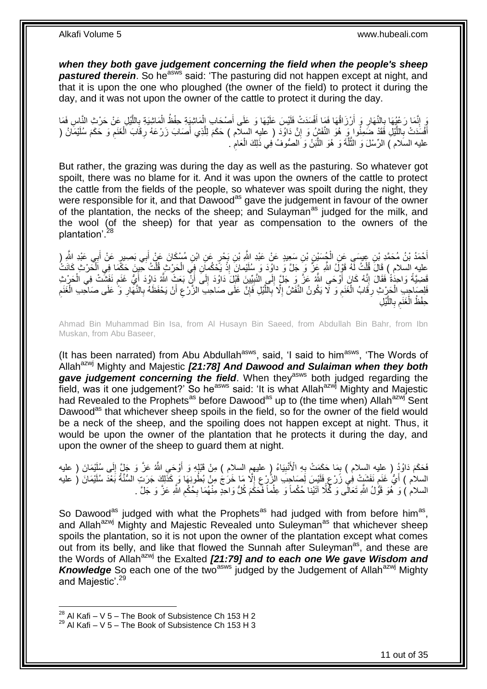*when they both gave judgement concerning the field when the people's sheep*  **pastured therein.** So he<sup>asws</sup> said: 'The pasturing did not happen except at night, and that it is upon the one who ploughed (the owner of the field) to protect it during the day, and it was not upon the owner of the cattle to protect it during the day.

وَ إِنَّمَا رَعْيُهَا بِالنَّهَارِ وَ أَرْزَاقُهَا فَمَا أَفْسَدَتْ فَلَيْسَ عَلَيْهَا وَ عَلَى أَصْحَابِ الْمَاشِيَةِ حِفْظُ الْمَاشِيَةِ بِاللَّيْلِ عِنْ حَرْثِ النَّاسِ فَمَا ْ َ َ اُ ِ ِ ِ َّ ِ ْ أَفْسَدَتْ بِاللَّيْلِ فَقَدْ ضَمِنُوا وَرِ هُوَ النَّفَشُِ وَ إِنَّ دَاوُدَ ( عليه السلام ) حَكَمَ لِلَّذِي أَصَابَ زَرْعَهُ رِقَابَ الْغَنَمِ وَ حَكَمَ سُلَيْمَانُ ( ِ َّ **∶** َ ِ ْ ِ َّ عليه السَلام ) الرِّسْلَ وَ الثَّلَّةَ وَ هُوَ اللَّبْنُ وَ الصُّوفُ فِي ذَلِكَ الْعَام<sup>ْ `</sup> ِ ْ ر<br>ا َّ

But rather, the grazing was during the day as well as the pasturing. So whatever got spoilt, there was no blame for it. And it was upon the owners of the cattle to protect the cattle from the fields of the people, so whatever was spoilt during the night, they were responsible for it, and that Dawood<sup>as</sup> gave the judgement in favour of the owner of the plantation, the necks of the sheep; and Sulayman<sup>as</sup> judged for the milk, and the wool (of the sheep) for that year as compensation to the owners of the plantation<sup>'.28</sup>

َ أَحْمَدُ بْنُ مُحَمَّدِ بْنِ عِيسَى عَنِ الْجُسَيْنِ بْنِ سَعِيدٍ عَنْ عَبْدِ اللَّهِ بْنِ بَحْرٍ عَنِ ابْنِ مُسْكَانَ عَنْ أَبِي بَصِيرٍ عَنْ أَبِي عَبْدِ اللَّهِ ( ْ َ َ **ٔ** ِ السلام ) قَالَ قُلْتُ لَهُ قَوْلَ اللَّهِ عَزَّ وَ حَلَّ وَ داوُدَ وَ سُلَيْمانَ إِذْ يَحْكُمانِ فِي الْحَرْثِ قُلْتُ حَبِنَ حَكَمَا فِي اَلْحَرْثِ كَانَتُ ْ ْ ْ َّفَضِيَّةً وَاحِدَٰةً فَقَالَ إِنَّهُ كَانَ أَوْحَىِ اللَّهُ عَنَّ وَ جَلَّ إِلَى النَّبِيِّينَ قَبْلَ دَاوُدَ إِلَى أَنِّ بَعَثٍ اللَّهُ دَاوُدَ أَيُّ غَنَم نَفَشَّتْ فِي الْحَرْثِ اُ ِ !! ِ ا<br>ا ֧֖֦֧֦֦֧֦֧֧֧֦֧֧֦֧֧֦֧֦֧֧֧֧֧֦֧֦֧֦֧֦֧֧֧֧֧֧֧֧֧֧֧֧֦֧֧֧֧֧֧֧֧֧֚֚֚֚֝֟֟֓֝֬֝֝֓֝֬֝֓֝֬֝֓֝֬֝֓֝֓֝֓֝֓֝֬֓֝֓֝֬ ْ ֧֖֧֦֧֦֧֦֧֦֚֝֝֝֝֝ َ فَلِصَاحِبِ الْحَرْثِ رِقَابُ الْغَنَمِ وَ لَا يَكُونُ النَّفَشُ إِلَّا بِاللَّيْلِ فَإِنَّ عَلَى صَاحِبِ الزَّرْعِ أَنْ يَحْفَظَهُ بِالنَّهَارِ وَ ُ عَلَى صَاحِبِ الْغَنَمِ ِ َ ِ ِ َّ ِ ِ **ُ** ْ **∶** ْ **∶** ْ ِ ِل ْي َّ الل **∶** ب ِ َغَنم ْ حِفْظُ الْ

Ahmad Bin Muhammad Bin Isa, from Al Husayn Bin Saeed, from Abdullah Bin Bahr, from Ibn Muskan, from Abu Baseer,

(It has been narrated) from Abu Abdullah<sup>asws</sup>, said, 'I said to him<sup>asws</sup>, 'The Words of Allah<sup>azwj</sup> Mighty and Majestic [21:78] And Dawood and Sulaiman when they both gave judgement concerning the field. When they<sup>asws</sup> both judged regarding the  $\frac{3}{10}$  field, was it one judgement?' So he<sup>asws</sup> said: 'It is what Allah<sup>azwj</sup> Mighty and Majestic had Revealed to the Prophets<sup>as</sup> before Dawood<sup>as</sup> up to (the time when) Allah<sup>azwj</sup> Sent Dawood<sup>as</sup> that whichever sheep spoils in the field, so for the owner of the field would be a neck of the sheep, and the spoiling does not happen except at night. Thus, it would be upon the owner of the plantation that he protects it during the day, and upon the owner of the sheep to guard them at night.

فَحَكَمَ دَاوُدُ ( عليه السلام ) بِمَا حَكَمَتْ بِهِ الْأَنْبِيَاءُ (ٍ عليهمِ السلام ) مِنْ قَبْلِهِ وَ أَوْحَىِ اللَّهُ عَزَّ وَ جَلٍّ إِلَى سُلَيْمَانَ ( عليه َ ِ **∶** ِ ِ السلام ) أَيُّ غَنَمْ نَفَشَتْ فِي زَرْعٍ فَلَيْسَ لِصَاحِبِ الزَّرْعِ إِلَّا مَا خَرَجْ مِنْ بُطُونِهَا وَ كَذَلِكَ جَرَت السُّنَّةُ بَعْدَ سُلَيْمَانَ ( عليه ِ ِ ; م السلام ) وَ هُوَ قَوْلُ اللَّهِ تَعَالَى وَ كُلَّا آَتَيْنا ُحُكْماً وَ عِلْماً فَحَكَّمَ كُلُّ وَاحِدٍ مِنْهُمَا بِحُكْمِ اللَّهِ عَزَّ وَ جَلَّ . ِ ِ ْ

So Dawood<sup>as</sup> judged with what the Prophets<sup>as</sup> had judged with from before him<sup>as</sup>, and Allah<sup>azwj</sup> Mighty and Majestic Revealed unto Suleyman<sup>as</sup> that whichever sheep spoils the plantation, so it is not upon the owner of the plantation except what comes out from its belly, and like that flowed the Sunnah after Suleyman<sup>as</sup>, and these are the Words of Allah<sup>azwj</sup> the Exalted **[21:79] and to each one We gave Wisdom and Knowledge** So each one of the two<sup>asws</sup> judged by the Judgement of Allah<sup>azwj</sup> Mighty and Majestic'.<sup>29</sup>

 $^{28}$  Al Kafi – V 5 – The Book of Subsistence Ch 153 H 2

 $29$  Al Kafi – V 5 – The Book of Subsistence Ch 153 H 3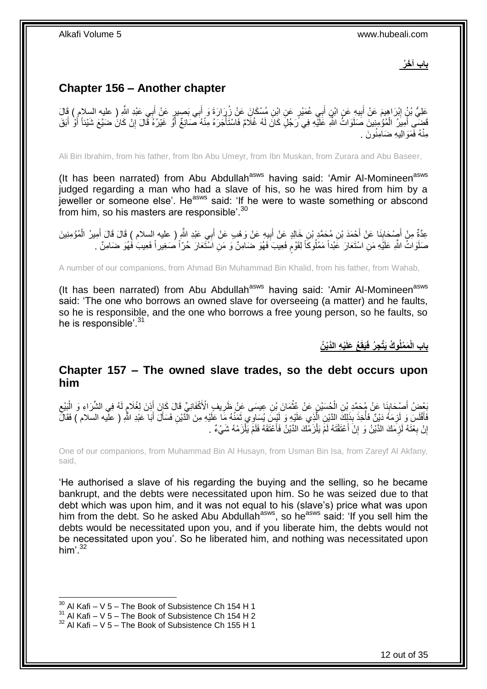**باب آ َخ ُر**

# <span id="page-11-0"></span>**Chapter 156 – Another chapter**

َ عَلِيُّ بْنُِ إِبْرَاهِيمَ عَنْ أَبِيهِ عَنِ ابْنِ أَبِي عُمَيْرٍ عَنِ ابْنِ مُسْكَانَ عَنْ زُِرَارَةَ وَ أَبِي بَصِيرٍ عَنْ أَبِي عَبْدِ اللَّهِ ( عليه السلام ) قَالَ َ َ **!** َ فَضِّي أَمِيَرُ الْمُؤْمِنِينَ صَلَوَاتُ اللَّهِ عَلَيْهِ فِي رَجُلٍ كَانَ لَهُ غُلامٌ فَاسْتَأْجَرَهُ مِنْهُ صَائِغٌ أَوٌ غَيْرُهُ فَّالَ إِنْ كَانَ ضَيَّعَ شَيْئاً أَوْ أَبَقَ ْ َ َ َ ِ َ ہ<br>أ لَ مِنْهُ فَمَوَالِيهِ ضَامِنُونَ .

Ali Bin Ibrahim, from his father, from Ibn Abu Umeyr, from Ibn Muskan, from Zurara and Abu Baseer,

(It has been narrated) from Abu Abdullah<sup>asws</sup> having said: 'Amir Al-Momineen<sup>asws</sup> judged regarding a man who had a slave of his, so he was hired from him by a jeweller or someone else'. He<sup>asws</sup> said: 'If he were to waste something or abscond from him, so his masters are responsible'.<sup>30</sup>

عِدَّةٌ مِنْ أَصْحَابِنَا عَنْ أَحْمَدَ بْنِ مُحَمَّدٍ بْنِ خَالِدٍ عَنْ أَبِيهِ عَنْ وَهْبِ عَنْ أَبِي عَبْدِ اللَّهِ ( عليه السلام ) قَالَ قَالَ أُمِيرُ الْمُؤْمِنِينَ َ **!** َ َ **∣** َ ْ َ صَلَوَاتُ اللَّهِ عَلَيْهِ مَنِ اسْتَعَارَ عََبْداً مَمْلُوكَاً لِقَوْمٍ فَعِيبَ فَهُوَ ضَامِنٌ وَ مَنِ اسْتَعَارَ حُرّاً صَغِيراً فَعِيبَ فَهُوَ ضَامِنٌ . ٍ

A number of our companions, from Ahmad Bin Muhammad Bin Khalid, from his father, from Wahab,

(It has been narrated) from Abu Abdullah<sup>asws</sup> having said: 'Amir Al-Momineen<sup>asws</sup> said: 'The one who borrows an owned slave for overseeing (a matter) and he faults, so he is responsible, and the one who borrows a free young person, so he faults, so he is responsible'.<sup>31</sup>

**ْي ِه الَّدْي ُن ُع َعلَ َيقَ ِج ُر فَ َم ْملُو ُك َيَّت باب الْ**

## <span id="page-11-1"></span>**Chapter 157 – The owned slave trades, so the debt occurs upon him**

ُّبِعْضُ أَصْحَابِنَا عَنْ مُحَمَّدِ بْنِ الْحُسَيْنِ عَنْ عُثْمَانَ بْنِ عِيسَى عَنْ ظَرِيفٍ الْأَكْفَانِيِّ قَالَ كَانَ أَذِنَ لِغُلَامٍ لَهُ فِي الشَّرَاءِ وَ الْبَيْعِ<br>يَقَوْمُ الصَّحَابِ بِنَ مُرْسَلِينَ اللَّهُ وَال َ **ٍ ٔ** ْ  $\ddot{\phantom{a}}$ َ ِ ْ لَ ¦a<br>¦ فَأَفْلَسَ وَ لَزِمَهُ دَيْنٌ فَأُخِذَ بِذَلِكَ الدَّيْنِ الَّذِي عَلَيْهِ وَ لَيْسَ بُسَاوِي ثَمَنُهُ مَا عَل<br>فَأَفْلَسَ وَ لَزِمَهُ دَيْنٌ فَأُخِذَ بِذَاءَ مَنْ الَّذِي عَلَيْهِ وَ لَيْسَ بِسَاوِي ثَمَنُهُ مَا بِقَالَةٍ المستقبل المستقبل المستقبل المستقبل المستقبل المستقبل المستقبل المستقبل المستقبل المستقبل المستقبل المستقبل ال<br>والمستقبل المستقبل المستقبل المستقبل المستقبل المستقبل المستقبل المستقبل المستقبل المستقبل المستقبل المستقبل ا ِ لَ َ َ َ َّ إِنْ بِعْنَهُ لَزِمَكَ الدَّيْنُ وَ إِنْ أَعْتَقْتَهُ لَمْ يَلْزَمْكَ الدَّيْنُ فَأَعْتَقَهُ فَلَمْ يَلْزَمْهُ شَيْءٌ . ْ ا<br>استعمال ْ َ ِ **∶** ِ <u>֖֚֚֚֚֚֚֚֓</u>

One of our companions, from Muhammad Bin Al Husayn, from Usman Bin Isa, from Zareyf Al Akfany, said,

'He authorised a slave of his regarding the buying and the selling, so he became bankrupt, and the debts were necessitated upon him. So he was seized due to that debt which was upon him, and it was not equal to his (slave's) price what was upon him from the debt. So he asked Abu Abdullah<sup>asws</sup>, so he<sup>asws</sup> said: 'If you sell him the debts would be necessitated upon you, and if you liberate him, the debts would not be necessitated upon you'. So he liberated him, and nothing was necessitated upon him'. $^{32}$ 

 $30$  Al Kafi – V 5 – The Book of Subsistence Ch 154 H 1

 $31$  Al Kafi – V 5 – The Book of Subsistence Ch 154 H 2

 $32$  Al Kafi – V 5 – The Book of Subsistence Ch 155 H 1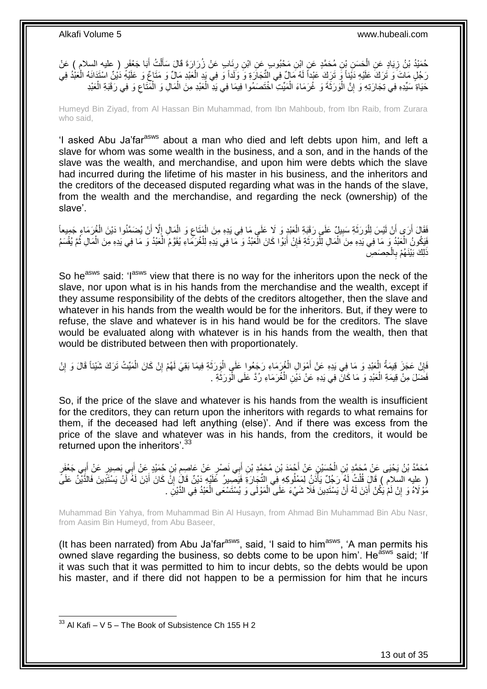حُمَيْدُ بْنُ زِيَادٍ عَنِ الْحَسَنِ بْنِ مُحَمَّدٍ عَنِ ابْنِ مَحْبُوبٍ عَنِ ابْنِ رِئَابٍ عَنْ زُرَارَةَ قَالَ سَأَلْتُ أَبَا جَعْفَرٍ ( عليه السلام ) عَنْ َ ْ ĺ ِ ْ ِ رَجُلٍ مَاتَ وَ تَرَكَ عَلَيْهِ دَيْناً وَ تَرَكَ عَبْداً لَهُ مَالٌ فِي الثِّجَارَةِ وَ وَلَداً وَ فِي يَدِ الْعَبْدِ مَالٌ وَ مَنَاعٌ وَ عَلَيْهِ دَيْنٌ اسْتَدَانَهُ الْعَبْدُ فِي لَ ْ ْ ْ حَيَاةِ ۗسَيِّدِهِ فِي تِجَارَتِهِ وَ إِنَّ الْوَرَثَةَ وَ غُرَمَاءَ الْمَيِّتِ اخْتَصَمُوا فِيمَا فِي يَدِّ الْعَبْدِ مِنَ الْمَالِ وَ الْمَثَاعِ وَ فِي رَقَبَةِ الْعَبْدِ ْ ْ ْ ِ ْ ِ ْ

Humeyd Bin Ziyad, from Al Hassan Bin Muhammad, from Ibn Mahboub, from Ibn Raib, from Zurara who said,

'I asked Abu Ja'far<sup>asws</sup> about a man who died and left debts upon him, and left a slave for whom was some wealth in the business, and a son, and in the hands of the slave was the wealth, and merchandise, and upon him were debts which the slave had incurred during the lifetime of his master in his business, and the inheritors and the creditors of the deceased disputed regarding what was in the hands of the slave, from the wealth and the merchandise, and regarding the neck (ownership) of the slave'.

فَقَالَ أَرَى أَنْ لَيْسَ لِلْوَرَثَةِ سَبِيلٌ عَلَى رَقَبَةِ الْعَبْدِ وَ لَا عَلَى مَا فِي يَدِهِ مِنَ الْمَتَاعِ وَ الْمَالِ إِلَّا أَنْ يُضَمَّنُوا دَيْنَ الْغُرَمَاءِ جَمِيعاً ْ ِ ْ ْ **!** ٔ, ا<br>ا اً اً ْ َ ِ فَيَكُونُ الْعَبْدُ وَ مَا فِي يَدِهِ مِنَ الْمَالِ لِلْوَرَثَةِ فَإِنْ أَبَوْا كَانَ الْعَبْدُ وَ مَا فِي يَدِهِ لِلْغُرَمَاءِ يُقَوَّمُ الْعَبْدُ وَ مَا فِي يَدِهِ مِنَ الْمَالِ ثُمَّ يُقْسَمُ ْ ْ َ ِ َ ْ ْ ْ ُ ْ ْ ذَلِكَ بَيْنَـهُمْ بِالْحِصَصِ ْ **∶** 

So he<sup>asws</sup> said: 'I<sup>asws</sup> view that there is no way for the inheritors upon the neck of the slave, nor upon what is in his hands from the merchandise and the wealth, except if they assume responsibility of the debts of the creditors altogether, then the slave and whatever in his hands from the wealth would be for the inheritors. But, if they were to refuse, the slave and whatever is in his hand would be for the creditors. The slave would be evaluated along with whatever is in his hands from the wealth, then that would be distributed between then with proportionately.

فَإِنْ عَجَزَ قِيمَةُ الْعَبْدِ وَ مَا فِي يَدِهِ عَنْ أَمْوَالِ الْغُرِكَاءِ رَجَعُوا عَلَى الْوِرَثَةِ فِيمَا بَقِيَ لَهُمْ إِنْ كَانَ الْمَيِّتُ تَرَكَ شَيْئاً قَالَ وَ إِنْ ة<br>أ ْ ْ َ ْ ِ ِ ْ ِ فَضَلَ مِنْ قِيمَةِ الْعَيْدِ وَ مَا كَانَ فِي يَدِهِ عَنْ دَيْنِ الْغُرَمَاءِ رُدَّ عَلَى الْوَرَثَةِ . ْ َ ْ ْ

So, if the price of the slave and whatever is his hands from the wealth is insufficient for the creditors, they can return upon the inheritors with regards to what remains for them, if the deceased had left anything (else)'. And if there was excess from the price of the slave and whatever was in his hands, from the creditors, it would be returned upon the inheritors'.<sup>33</sup>

مُحَمَّدُ بْنُ يَحْيَى عَنْ مُحَمَّدِ بْنِ الْحُسَيْنِ عَنْ أَحْمَدَ بْنِ مُحَمَّدِ بْنِ أَبِي نَصْرٍ عَنْ عَاصِرِ بْنِ حُمَيْدٍ عَنْ أَبِي بَعِينٍ عَنْ أَبِي جَعْفَرٍ<br>مُحَمَّدُ بْنُ يَحْيَى عَنْ مُؤْمُرَ : َ ْ َ َ ِ َ َ ( عليه السلام ) قَالَ قُلْتُ لَهُ رَجُلٌ يَأْذَنُ لِمَمْلُوكِهِ فِي التِّجَارَةِ فَيَصْبِيرُ عََلَيْهِ دَيْنٌ قَالَ إِنَّ كَانَ أَذِنَ لَهُ آَنْ يَسْتَّذِينَ فَالْذَّيْنُ عَلَىً ِ ا<br>ا ْ َ مَوْلَاهُ وَ إِنْ لَمْ يَكُنْ أَذِنَ لَهُ أَنْ يَسْتَدِينَ فَلَا شَيْءَ عَلَى الْمَوْلَى وَ يُسْتَسْعَى الْعَبْدُ فِي الدَّيْنِ . اً َ ِ ْ ْ

Muhammad Bin Yahya, from Muhammad Bin Al Husayn, from Ahmad Bin Muhammad Bin Abu Nasr, from Aasim Bin Humeyd, from Abu Baseer,

(It has been narrated) from Abu Ja'far<sup>asws</sup>, said, 'I said to him<sup>asws</sup>, 'A man permits his owned slave regarding the business, so debts come to be upon him'. He<sup>asws</sup> said; 'If it was such that it was permitted to him to incur debts, so the debts would be upon his master, and if there did not happen to be a permission for him that he incurs

 $33$  Al Kafi – V 5 – The Book of Subsistence Ch 155 H 2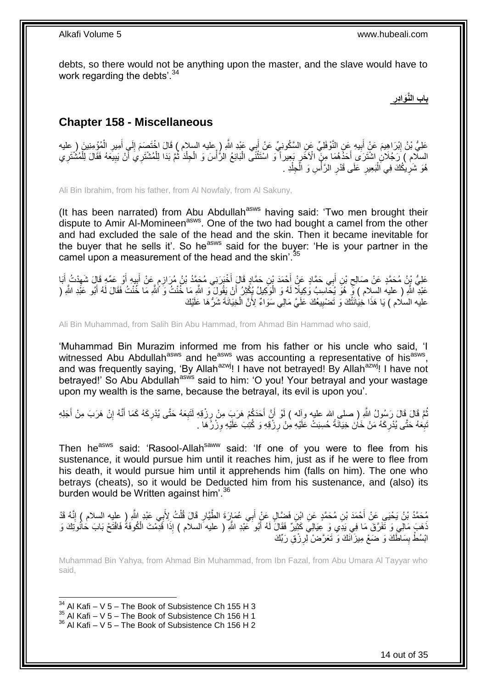debts, so there would not be anything upon the master, and the slave would have to work regarding the debts'.<sup>34</sup>

> **ِ باب الَّنَواِدر**

## <span id="page-13-0"></span>**Chapter 158 - Miscellaneous**

عَلِيُّ بْنُ إِبْرَاهِيمَ عَنْ أَبِيهِ عَنِ النَّوْفَلِيِّ عَنِ السَّكُونِيِّ عَنْ أَبِي عَبْدِ اللَّهِ ( عليه<br>عَلَيُّ بْنُ إِبْرَاهِيمَ عَنْ أَبِيهِ عَنِ النَّوْفَلِيِّ عَنِ السَّكُونِيِّ عَنْ أَبِي عَبْدِ اللَّهِ ( عليه َ **!** َ ِ ْ ِ َ ِ السلامِ ) رَجُلَانِ اشْتَرَى أَحَدُّهُمَا مِنَّ الْأَخَرِ بَعِيراً وَ اسْتَثْنَى الْدَائِعُ الرُّأْسَ وَ الْجِلْدَ ثُمَّ بَدَا لِلْمُشْتَرِيَ أَنْ يَبِيعَهُ فَقَالَ لِلْمُشْتَرِي ْ ِ َ ْ ُ ْ ْ **ٔ** ْ ْ ₫, ِ هُوَ شَرِيْكُكَ فِي اَلْبَعِيرِ عَلَى قَدْرِ الرَّأْسِ وَ الْجِلْدِ . ْ ْ :<br>أ **∶** ِ ْ ِ

Ali Bin Ibrahim, from his father, from Al Nowfaly, from Al Sakuny,

(It has been narrated) from Abu Abdullah<sup>asws</sup> having said: 'Two men brought their dispute to Amir Al-Momineen<sup>asws</sup>. One of the two had bought a camel from the other and had excluded the sale of the head and the skin. Then it became inevitable for the buyer that he sells it'. So he<sup>asws</sup> said for the buyer: 'He is your partner in the camel upon a measurement of the head and the skin'.<sup>35</sup>

أ م ْخَب َرِني ُم َح َّمُد ْب ُن ُم َراز ِن َح َّماٍد َقا َل أ ْح َمَد ْب ِي َح َّماٍد َع ْن أ ب ِن أ ْب َعلِ ُّي ْب ُن ُم َح َّمٍد َع ْن َصالِح َبا ْد ُت أ ْو َع ِّمِه َقا َل َشه ي ِه أ ب َع ْن أ ِ َ َ ِ َ ِ َ **∶** َ عَبْدِ اللَّهِ ( عليه السلام ) فِّ هُوَ يُحَاسِبُ وَكِيلًا لَهُ وَ الْوَكِيلُ يُكْثِرُ أَنْ يَقُولَ وَ اللَّهِ مَا خُنْتُ وَ ٱللَّهِ مَا خُنْتُ فَقَالَ لَهُ أَبُو عَبْدِ اللَّهِ ( ْ َ اُ عليه السلام ) يَا هَذَا خِيَانَتَٰكَ وَ تَضْبِيعُكَ عَلَيَّ مَالِي سَوَاءٌ لِأَنَّ الْخِيَانَةَ شَرُّهَا عَلَيْك ْ **!** 

Ali Bin Muhammad, from Salih Bin Abu Hammad, from Ahmad Bin Hammad who said,

'Muhammad Bin Murazim informed me from his father or his uncle who said, 'I witnessed Abu Abdullah<sup>asws</sup> and he<sup>asws</sup> was accounting a representative of his<sup>asws</sup>, and was frequently saying, 'By Allah<sup>azwj</sup>! I have not betrayed! By Allah<sup>azwj</sup>! I have not betrayed!' So Abu Abdullah<sup>asws</sup> said to him: 'O you! Your betrayal and your wastage upon my wealth is the same, because the betrayal, its evil is upon you'.

نُّمَّ قَالَ رَسُولُ اللَّهِ ( صلى اِلله عليه وآله ) لَوْ أَنَّ أَحَدَكُمْ هَرَبَ مِنْ رِزْقِهِ لَنَبِعَهُ حَتَّى يُدْرِكَهُ كَمَا أَنَّهُ إِنْ هَرَبَ مِنْ أَجَلِهِ **∶ ∶** ِ َ اُ َ ِ َ نْبِعَهُ حَتَّى يُدْرِكَهُ مَنْ خَانَ خِيَالَةً حُسِبَتْ عَلَيْهِ مِنْ رِزْقِهِ وَ كُتِبَ عَلَيْهِ وِزْرُهَا . ِ ِ ِ ِ

Then he<sup>asws</sup> said: 'Rasool-Allah<sup>saww</sup> said: 'If one of you were to flee from his sustenance, it would pursue him until it reaches him, just as if he were to flee from his death, it would pursue him until it apprehends him (falls on him). The one who betrays (cheats), so it would be Deducted him from his sustenance, and (also) its burden would be Written against him<sup>'.36</sup>

مُحَمَّدُ بْنُ يَحْيَىِ عَنْ أَحْمَدَ بْنِ مُحَمَّدٍ عَنِ ابْنِ فَضَّالٍ عَنْ أَبِي عُمَارَةَ الطَّيَّارِ قَالَ قُلْتُ لِأَبِي عَبْدٍ اللَّهِ ( عليه السلام ) إِنَّهُ قَدْ ْ **∶** َ ِ َهَبَ مَالِي وَ تَفَرَّقَ مَا فِي بَدِّي وَ عِيَالِيَ كَثِيْرٌ فَقَالَ لَهُ أَبُو عَبْدِ اللَّهِ ( عليه السلام ) إِذَا قَوْمْتَ الْكُوفَةَ فَافْتَحْ بَابَ حَاْنُوَتِكَ وَ َ ْ ابْسُطْ بِسَاطَّكَ وَ ضَعْ مِيزَ آَنَكَ وَ تَعَرَّضْ لِرِزْقِ رَبِّكَ **ِ** ِ

Muhammad Bin Yahya, from Ahmad Bin Muhammad, from Ibn Fazal, from Abu Umara Al Tayyar who said,

1  $34$  Al Kafi – V 5 – The Book of Subsistence Ch 155 H 3

- $35$  Al Kafi V  $5$  The Book of Subsistence Ch 156 H 1
- <sup>36</sup> Al Kafi V 5 The Book of Subsistence Ch 156 H 2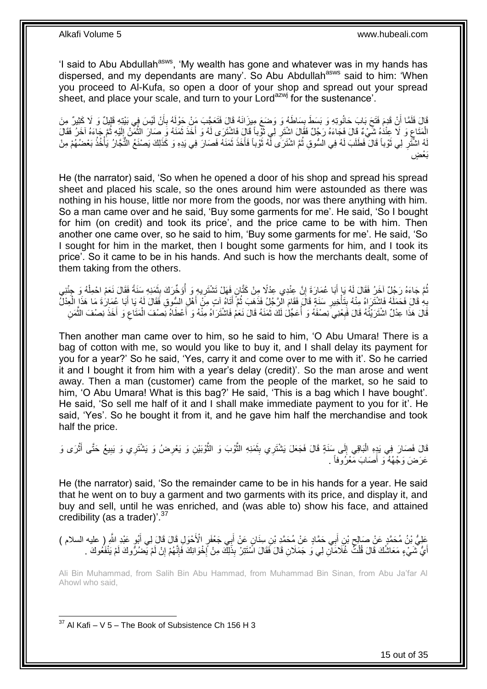'I said to Abu Abdullah<sup>asws</sup>, 'My wealth has gone and whatever was in my hands has dispersed, and my dependants are many'. So Abu Abdullah<sup>asws</sup> said to him: 'When you proceed to Al-Kufa, so open a door of your shop and spread out your spread sheet, and place your scale, and turn to your Lord<sup>azwj</sup> for the sustenance'.

قَالَ فَلَمَّا أَنْ قَدِمَ فَتَحَ بَابَ حَانُوتِهِ وَ بَسَطَ بِسَاطَهُ وَ وَضنَعَ مِيزَانَهُ قَالَ فَتَعَجَّبَ مَنْ حَوْلَهُ بِأَنْ لَيْسَ فِي بَيْتِهِ قَلِيلٌ وَ لَا كَثِيرٌ مِنَ **ِ** َ ِ الْمَتَاعِ وَ لَا عِنْدَٰهُ شَيْءٌ قَالَ فَجَاءَهُ رَجُلٌ فَقَالَ اشْتَرِ لِي ثَوْباً قَالَ فَاشْتَرَى لَهُ وَ أَخَذَ ثَمَنَهُ وَ صَارَ الثُّمَنُ إِلَيْهِ ثُمَّ جَاءَهُ آخَرُ فَقَالَ ِ َّ  $\ddot{\phantom{0}}$ َ ֪֪֦֧֪֪֪֦֧֪֪֦֪֪֦֧֪֪֦֧֦֪֦֪֪֪֦֧֦֪֪֦֦֖֪֪֪֪֦֞֟֟֟֟֟֟֟֟֟֟֟֟֟֟֟֟֟֟֟֟֟֟֟֟֟֟֟֟֟֟֟֟֟֟֟֟֟֟֟֝֟֟֟֝֬֝֟֟֝֬֞֝֝ **∶** ر<br>: لَ ِ لَهُ اشْتَرِ لِي ثَوْباً قَالَ فَطَلَبَ لَهُ فِي السُّوقِ ثُمَّ اشْتَرَى لَّهُ ثَوْباً فَأَخَذَ ثَمَنَهُ فَصَارَ فِي يَدِهِ وَ كَذَلِكَ يَصْنَعُ الثُّجَارُ يَأْخُذُ بَعْضُهُمْ مِنْ َ َ َ ان<br>المقامات المقامات المقامات المقامات المقامات المقامات المقامات المقامات المقامات المقامات المقامات المقامات<br>المقامات المقامات المقامات المقامات المقامات المقامات المقامات المقامات المقامات المقامات المقامات المقامات ة<br>أ ِ ْ بَعْضٍ

He (the narrator) said, 'So when he opened a door of his shop and spread his spread sheet and placed his scale, so the ones around him were astounded as there was nothing in his house, little nor more from the goods, nor was there anything with him. So a man came over and he said, 'Buy some garments for me'. He said, 'So I bought for him (on credit) and took its price', and the price came to be with him. Then another one came over, so he said to him, 'Buy some garments for me'. He said, 'So I sought for him in the market, then I bought some garments for him, and I took its price'. So it came to be in his hands. And such is how the merchants dealt, some of them taking from the others.

نُّمَّ جَاءَهُ رَجُلٌ آخَرُ فَقَالَ لَهُ يَا أَبَا عُمَارَةَ إِنَّ عِنْدِي عِذْلًا مِنْ كَتَّانٍ فَهَلْ تَشْتَرِيهِ وَ أُؤَخِّرَكَ بِثَمَذِهِ سَنَةً فَقَالَ نَعَمْ احْمِلْهُ وَ جِئْنِي ِ َ ْ َ ِ ا<br>ا ِ بِهِ قَالَ فَحَمَلَهُ فَاشْتَرَاهُ مِنْهُ بِتَأْخِيرِ سَنَةٍ قَالَ فَقَامَ الْزَّجْلُ فَذَهَبَ ثُمَّ أَتَاهُ آتٍ مِنْ أَهْلِ السُّوقِ فَقَالَ لَهُ يَا أَبَا عُمَارَةَ مَا هَذَا الْعِدْل<br>يَبُو قَالَ فَحَمَلَهُ فَاشْتُرَاهُ َ َ ُ ِ ة<br>أ **∣ ∶** َ ْ قَالَ هَذَا عِدْلٌ اشْتَرَيْتُهُ قَالَ فَبِعْنِيَ نِصْفَهُ وَ أَعَجّْلَ لَكَ ثَمَنَهُ قَالَ نَعَمْ فَاشْتَرَاهُ مِنْهُ وَ أَعْطَاهُ نِصْفَ الْمَقَاعِ وَ أَخَذَ نِصْفَ الثَّمَنِ َ َ ا<br>أ ِ َّ َ ِ ْ

Then another man came over to him, so he said to him, 'O Abu Umara! There is a bag of cotton with me, so would you like to buy it, and I shall delay its payment for you for a year?' So he said, 'Yes, carry it and come over to me with it'. So he carried it and I bought it from him with a year's delay (credit)'. So the man arose and went away. Then a man (customer) came from the people of the market, so he said to him, 'O Abu Umara! What is this bag?' He said, 'This is a bag which I have bought'. He said, 'So sell me half of it and I shall make immediate payment to you for it'. He said, 'Yes'. So he bought it from it, and he gave him half the merchandise and took half the price.

قَالَ فَصَارَ فِي يَدٍهِ الْبَاقِي إِلَى سَنَةٍ قَالَ فَجَعَلَ يَشْتَرِي بِثَمَنِهِ الثَّوْبَ وَ الثَّوْبَيْنِ وَ يَعْرِضُ وَ يَشْتَرِي وَ يَبِيعُ حَتَّى أَثْرَى وَ ِ َّ َّ َ **!**  $\frac{1}{2}$ :<br>ا ِ ْ َ عَرَضَ وَجْهُهُ ۖ وَ أَصَابَ مَعْرُوفاً ۚ ـِ َ

He (the narrator) said, 'So the remainder came to be in his hands for a year. He said that he went on to buy a garment and two garments with its price, and display it, and buy and sell, until he was enriched, and (was able to) show his face, and attained credibility (as a trader)'.<sup>37</sup>

عَلِيُّ بْنُ مُحَمَّدٍ عَنْ صَالِحٍ بْنِ أَبِي حَمَّادٍ عَنْ مُحَمَّدِ بْنِ سِنَانٍ عَنْ أَبِي جَعْفَرٍ الْأَحْوَلِ قَالَ قَالَ لِي أَبُو عَبْدِ اللَّهِ ( عليه السلام )<br>أ َ َ ِ َ أَيُّ شَيْءٍ مَعَاشُكَ قَالَ قُلْتُ غُلَامَالِ لِي وَ جَمَلَانِ قَالَ فَقَالَ اسَّنَتِرْ بِذَلِكَ مِنْ أَحْوَانِكَ فَإِنَّهُمْ إِنْ لَمْ يَحْمُرُوكَ لَمْ يَنْفَعُوكَ . ِ ا∣<br>ِ∘ **∶** ْ

Ali Bin Muhammad, from Salih Bin Abu Hammad, from Muhammad Bin Sinan, from Abu Ja'far Al Ahowl who said,

1  $37$  Al Kafi – V 5 – The Book of Subsistence Ch 156 H 3

15 out of 35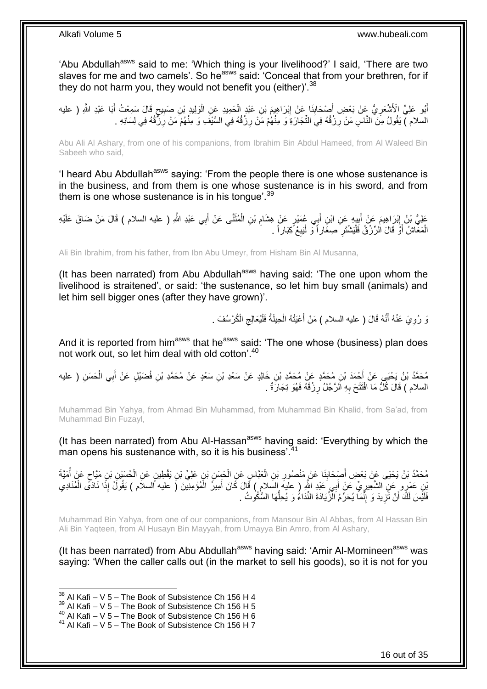'Abu Abdullah<sup>asws</sup> said to me: 'Which thing is your livelihood?' I said, 'There are two slaves for me and two camels'. So he<sup>asws</sup> said: 'Conceal that from your brethren, for if they do not harm you, they would not benefit you (either)'.<sup>38</sup>

أَبُو عَلِيٍّ الْأَشْعَرِيُّ عَنْ بَعْضِ أَصْحَابِنَا عَنْ إِبْرَاهِيمَ بْنِ عَبْدٍ الْحَمِيدِ عَنِ الْوَلِيدِ بْنِ صَبِيحٍ قَالَ سَمِعْتُ أَبَا عَبْدِ اللَّهِ ( عليه ٍ ِ ْ ْ ِ ِ َ ِ َ السلام ) يَقُولُ مِنَ النَّاسِ مَنْ رِزْقُهُ فِيَ الثَّجَارَةِ وَ مِنْهُمْ مَنْ رِزْقُهُ فِي السَّيْفَ وَ مِنْهُمْ مَنْ رِزَقُهُ فِي لِسَانِهِ . ِ ِ ِ

Abu Ali Al Ashary, from one of his companions, from Ibrahim Bin Abdul Hameed, from Al Waleed Bin Sabeeh who said,

'I heard Abu Abdullah<sup>asws</sup> saying: 'From the people there is one whose sustenance is in the business, and from them is one whose sustenance is in his sword, and from them is one whose sustenance is in his tongue'.  $39$ 

عَلِيُّ بْنُ إِبْرَاهِيمَ عَنْ أَبِيهِ عَنِ ابْنِ أَبِي عُمَبْرٍ عَنْ هِشَامِ بْنِ الْمُثَنَّى عَنْ أَبِي عَبْدِ اللَّهِ ( عليه السلام ) قَالَ مَنْ ضَاقَ عَلَيْهِ َ َ ْ ِ َ **∣** َ ِ الْمَعَاشُ أَوْ قَالَ الرِّزْقُ فَلْيَشْتَرِ صِغَاراً وَ لْيَبِعْ كِبَاراً . ِ :<br>ا **∶** ْ َ ْ

Ali Bin Ibrahim, from his father, from Ibn Abu Umeyr, from Hisham Bin Al Musanna,

(It has been narrated) from Abu Abdullah<sup>asws</sup> having said: 'The one upon whom the livelihood is straitened', or said: 'the sustenance, so let him buy small (animals) and let him sell bigger ones (after they have grown)'.

> َو رُوِيَ عَنْهُ أَنَّهُ قَالَ ( عليه السلام ) مَنْ أَعْيَتْهُ الْحِيلَةُ فَلْيُعَالِجِ الْكُرْسُفَ .  $\zeta$ ْ ْ َ َ ِ

And it is reported from him<sup>asws</sup> that he<sup>asws</sup> said: 'The one whose (business) plan does not work out, so let him deal with old cotton'.<sup>40</sup>

مُحَمَّدُ بْنُ يَحْيَى عَنْ أَحْمَدَ بْنِ مُحَمَّدٍ عَنْ مُحَمَّدِ بْنِ خَالِدٍ عَنْ سَعْدِ بْنِ سَعْدٍ عَنْ مُحَمَّدِ بْنِ فُضَيْلٍ عَنْ أَبِي الْحَسَنِ ( عليه ْ َ السلام ) قَالَ كُلُّ مَا افْتَتَحَ بِهِ الرَّجُلُ رِزْقَهُ فَهُوَ تِجَارَةٌ . **∶** ِ

Muhammad Bin Yahya, from Ahmad Bin Muhammad, from Muhammad Bin Khalid, from Sa'ad, from Muhammad Bin Fuzayl,

(It has been narrated) from Abu Al-Hassan<sup>asws</sup> having said: 'Everything by which the man opens his sustenance with, so it is his business<sup>'.41</sup>

مُحَمَّدُ بْنُ يَحْيَى عَنْ بَعْضِ أَصْبِحَابِذَا عَنْ مَنْصُورِ بْنِ الْعَبَّاسِ عَنِ الْجَسَنِ بْنِ عَلِيٍّ بْنِ يَقْطِينِ عَنِ الْحُسَيْنِ بْنِ مَيَّاحٍ عَنْ أَمَيَّةَ ْ ْ **∶** ِ َ ْ ٍ ْنِي عَمْرٍ و عَنِ الشَّعِيرِ يِّ عَنْ أَبِي عَيْدِ اللَّهِ ( عليه إِلسَلام ) قَالَ كَانَ أَمِيزُ الْمُؤْمِنِينَ ( عليه السلام ) يَقُولُ إِذَا نَادَى الْمُنَادِي ْ َ َ ِ ْ فَلَيْْسَ لَكَ أَنْ تَزِيدَ وَ إِنَّمَا يُحَرِّمُ الْزَّيَادَةَ النِّدَاءُ وَ يُحِلُّهَا السُّكُوتُ . ِ ِ اً ُّ

Muhammad Bin Yahya, from one of our companions, from Mansour Bin Al Abbas, from Al Hassan Bin Ali Bin Yaqteen, from Al Husayn Bin Mayyah, from Umayya Bin Amro, from Al Ashary,

(It has been narrated) from Abu Abdullah<sup>asws</sup> having said: 'Amir Al-Momineen<sup>asws</sup> was saying: 'When the caller calls out (in the market to sell his goods), so it is not for you

 $38$  Al Kafi – V 5 – The Book of Subsistence Ch 156 H 4

 $39$  Al Kafi – V 5 – The Book of Subsistence Ch 156 H 5

<sup>40</sup> Al Kafi – V 5 – The Book of Subsistence Ch 156 H 6

 $41$  Al Kafi – V 5 – The Book of Subsistence Ch 156 H 7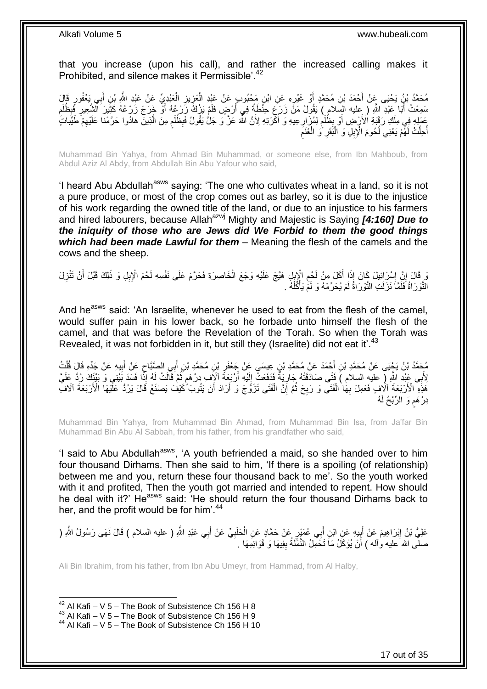that you increase (upon his call), and rather the increased calling makes it Prohibited, and silence makes it Permissible'.<sup>42</sup>

مُحَمَّدُ بْنُ يَحْيَى عَنْ أَحْمَدَ بْنِ مُحَمَّدٍ أَوْ غَيْرِهِ عَنِ ابْنِ مَحْبُوبٍ عَنْ عَيْدِ الْعَزِيزِ الْعَبْدِيِّ عَنْ عَيْدِ اللَّهِ بْنِ أَبِي يَعْفُورٍ قَالَ ْ ِ **∶** ْ ِ َ َ سَمِعْتُ أَبَا عَبْدِ اللَّهِ ( ِعليه السِّلام ) يَقُولُ مَنٍّ زَرَعَ حِنَّطَةً فِي أَرْضٍ فَلَمْ يَزْكُ زَرْعُهُ أَوْ خَرَجَ زَرْعُهُ كَثِّيرَ الشَّعِيرِ فِّبِظُلْم َ َ ِ ْ ِ ِ َ ِ عَمَلِهِ فِي مِلْكِ رَقَبَةِ الْأَرْضِ أَوْ بِظُلْمٍ لِمُزَارِعِيهِ وَ أَكْرَتِهِ لِأَنَّ اللَّهَ عَزَّ وَ جَلْ يَقُولُ فَبِظُلْمٍ مِنَ الَّذِينَ هادُوا حَرَّمْنا عَلَيْهِمْ طَيِّبَاتٍ ٰ َ ِ م<br>أ ْ ِ َ ْ ِ َّ ٍ ْ ِ اُحِلَّتْ لَهُمْ يَعْنِي لُحُومَ الْإِبِلِ وَ الْبَقَرِ ۚ وَ الْغَنَمِ ْ ِ :<br>ا ُ ا<br>ا

Muhammad Bin Yahya, from Ahmad Bin Muhammad, or someone else, from Ibn Mahboub, from Abdul Aziz Al Abdy, from Abdullah Bin Abu Yafour who said,

'I heard Abu Abdullah<sup>asws</sup> saying: 'The one who cultivates wheat in a land, so it is not a pure produce, or most of the crop comes out as barley, so it is due to the injustice of his work regarding the owned title of the land, or due to an injustice to his farmers and hired labourers, because Allah<sup>azwj</sup> Mighty and Majestic is Saying **[4:160] Due to** *the iniquity of those who are Jews did We Forbid to them the good things which had been made Lawful for them* – Meaning the flesh of the camels and the cows and the sheep.

وَ قَالَ إِنَّ إِسْرَائِيلَ كَانَ إِذَا أَكَلَ مِنْ لَحْمِ الْإِبْلِ هَيَّجَ عَلَيْهِ وَجَعَ الْخَاصِرَةِ فَحَرَّمَ عَلَى نَفْسِهِ لَحْمَ الْإِبِلِ وَ ذَلِكَ قَبْلَ أَنْ تَنْزِلَ<br>وَمِن وَجَعَ الْبِرَائِيلَ يَمْنِي وَ الْم ْ ِ َ ِ **֝** ِ َ ْ النَّوْرَاةُ فَلَمَّاَ نَزَلَتِ النَّوْرَاةُ لَمْ يُحَرِّمْهُ وَ لَمَّ يَأْكُلُهُ . :<br>أ

And he<sup>asws</sup> said: 'An Israelite, whenever he used to eat from the flesh of the camel, would suffer pain in his lower back, so he forbade unto himself the flesh of the camel, and that was before the Revelation of the Torah. So when the Torah was Revealed, it was not forbidden in it, but still they (Israelite) did not eat it'.<sup>43</sup>

مُحَمَّدُ بْنُ يَجْبَى عَنْ مُحَمَّدِ بْنِ أَحْمَدَ عَنْ مُحَمَّدِ بْنِ عِيسَى عَنْ جَعْفَرِ بْنِ مُحَمَّدِ بْنِ أَبِي الصَّبَّاحِ عَنْ أَبِيهِ عَنْ جَدِّهِ قَالَ قُلْتُ َ ِ َ ْ ِ َ ِ لِأَبِي عَيْدِ اللَّهِ ( عليهِ السلام ) فَتَى صَادَقَتْهُ جَارِيَةً فَدَفَعَتْ إِلَيْهِ أَرْبَعَةً آلَاَّفٍ دِرْهَمٍ ثُمَّ قَالَتْ لَهُ إِذَا قَسَدَ بَيْنِي وَ بَيْنَكَ رُدَّ عَلَيَّ ُ ֧֖֖֖֖֧֧֧ׅ֧֧ׅ֧֚֚֚֚֚֚֚֚֚֓֝֝֬֝֟֓֝֓֝֓֝֓֜֟֓֟֓֟֓֝֬֜֝ اُ لَ ِ ِ َفَذِهِ ۖ الْأَرْبَعَةَ آلَافٍ فَعَمِلَ بِهَا الْفَتَى وَ رَبِحَ ثُمَّ إِنَّ الْفَتَى تَزَوَّجَ وَ أَرَادَ أَنْ يَتُوبَ كُيْفُ يَصْنَعُ قَالَ يَرُدُّ عَلَّيْهَا الْأَرْبَعَةَ آلَافٌ ْ ֧<u>׀</u> ُ **∶** ْ **∶** َ َ دِرْ هَم وَ الرِّبْحُ لَهُ ٍ

Muhammad Bin Yahya, from Muhammad Bin Ahmad, from Muhammad Bin Isa, from Ja'far Bin Muhammad Bin Abu Al Sabbah, from his father, from his grandfather who said,

'I said to Abu Abdullah<sup>asws</sup>, 'A youth befriended a maid, so she handed over to him four thousand Dirhams. Then she said to him, 'If there is a spoiling (of relationship) between me and you, return these four thousand back to me'. So the youth worked with it and profited, Then the youth got married and intended to repent. How should he deal with it?' He<sup>asws</sup> said: 'He should return the four thousand Dirhams back to her, and the profit would be for him<sup>'.44</sup>

عَلِيُّ بْنُ إِبْرَاهِيمَ عَنْ أَبِيهِ عَنِ ابْنِ أَبِي عُمَيْرٍ عَنْ حَمَّادٍ عَنِ الْحَلَبِيِّ عَنْ أَبِي عَبْدِ اللَّهِ ( عليه السلام ) قَالَ نَهَى رَسُولُ اللَّهِ ( َ ِ ْ ِ َ ِ صلَّى الله َعليه وآله ) أَنْ يُؤْكَلُ مَاَ تَخْمِلُ النَّمَّلَةُ بِفِيهَا وَ قَوَائِمِهَا . **ِ** َ

Ali Bin Ibrahim, from his father, from Ibn Abu Umeyr, from Hammad, from Al Halby,

 $42$  Al Kafi – V 5 – The Book of Subsistence Ch 156 H 8

<sup>43</sup> Al Kafi – V 5 – The Book of Subsistence Ch 156 H 9

<sup>44</sup> Al Kafi – V 5 – The Book of Subsistence Ch 156 H 10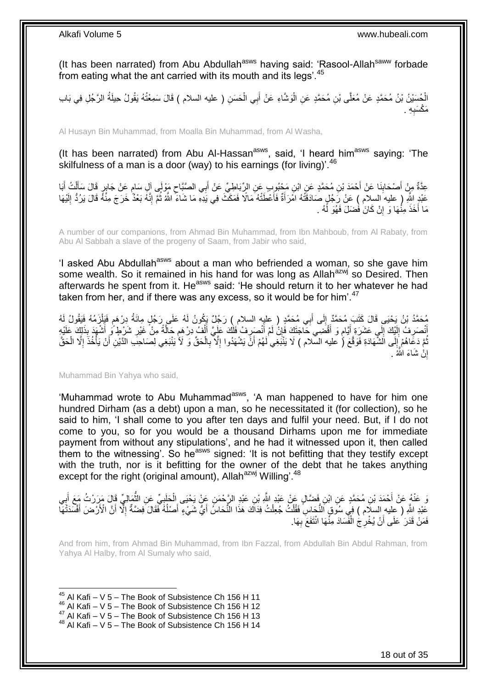(It has been narrated) from Abu Abdullah<sup>asws</sup> having said: 'Rasool-Allah<sup>saww</sup> forbade from eating what the ant carried with its mouth and its legs'.<sup>45</sup>

الْحُسَيْنُ بْنُ مُحَمَّدٍ عَنْ مُعَلَّى بْنِ مُحَمَّدٍ عَنِ الْوَشَّاءِ عَنْ أَبِي الْحَسَنِ ( عليه السلام ) قَالَ سَمِعْتُهُ يَقُولُ حِيلَةُ الرَّجُلِ فِي بَابِ ْ ْ ِه . ِ مَكْسَدٍ

Al Husayn Bin Muhammad, from Moalla Bin Muhammad, from Al Washa,

(It has been narrated) from Abu Al-Hassan<sup>asws</sup>, said, 'I heard him<sup>asws</sup> saying: 'The skilfulness of a man is a door (way) to his earnings (for living)<sup>'.46</sup>

عِدَّةٌ مِنْ أَصْحَابِذَا عَنْ أَحْمَدَ بْنِ مُحَمَّدٍ عَنِ ابْنِ مَجْبُوبٍ عَنِ الرِّبَاطِيِّ عَنْ أَبِي الصَّبَّاحِ مَوْلَى آلِ سَامٍ عَنْ جَابِرٍ قَالَ سَأَلْتُ أَبَا<br>- $\zeta$ َ **∣** َ ֧֖֖֖֖֧֧֧ׅ֧֧ׅ֧֚֚֚֚֚֚֚֚֚֓֝֝֬֝֟֓֝֓֝֓֝֓֜֟֓֟֓֟֓֝֬֜֝ َ ْ َ ا پایا<br>سال عَبْدٍ اللَّهِ ( عليه السلام ) عَنْ رَجُلٍ صَادَقَتْهُ امْرَأَةٌ فَأَعْطَتْهُ مَالًا فَمَكَّثَ فِي يَدِهِ مَا شَاءَ اللَّهُ ثُمَّ إِنَّهُ بَعْدٌ خَرَجَ مِنْهُ قَالَ يَرُدُّ إِلَيْهَا َ َ لَ ِ ِ مَا أَخَذَ مِنْٰهَا وَ إِنْ كَانَ فَضَلَ فَهُوَ لَّهُ . اٍ

A number of our companions, from Ahmad Bin Muhammad, from Ibn Mahboub, from Al Rabaty, from Abu Al Sabbah a slave of the progeny of Saam, from Jabir who said,

'I asked Abu Abdullah<sup>asws</sup> about a man who befriended a woman, so she gave him some wealth. So it remained in his hand for was long as Allah<sup>azwj</sup> so Desired. Then afterwards he spent from it. He<sup>asws</sup> said: 'He should return it to her whatever he had taken from her, and if there was any excess, so it would be for him'.<sup>47</sup>

مُحَمَّدُ بْنُ يَحْيَى قَالَ كَتَبَ مُحَمَّدٌ إِلَى أَبِي مُحَمَّدٍ ( عليه السلام ) رَجُلٌ يَكُونُ لَهُ عَلَى رَجُلٍ مِائَةُ دِرْهَمٍ فَيَلْزَمُهُ فَيَقُولُ لَهُ<br>\* ْ م<br>و َ ِ أَنْصَرِ فُ إِلَيْكَ إِلَيٍ عَشَرَةٍ أَيَّامٍ وَ أَقْضَى خَاجَتَكَ فَإِنُّ لَمْ أَنْصَرِ فْ فَلْكَ عَلَيَ أَأْفٌ دِرْهِمِ حَالَةً مِنْ غَيْرِ شَرْطٍ وُ أَشْهَدَ بِذَلِكَ عَلَيْهِ<br>إِنَّ مَثَلِ شَرْطٍ وَ أَشْهَدَ بِذَلِكَ عَ ْ َ ِ َ ِ َ ֧֧֝֟֓֝֟֓֟׆֧ َ  $\sum_{i=1}^{n}$ لَ  $\frac{1}{2}$ ِ َ ِ َّ ֖֦֦֦֦֦֦֧֦֧֦֚֩֘֝֝֝֝֝֝֝֬֜֝֓֟֓֝ نُّمَّ دَعَاهُمْ إِلَى الشَّهَادَةِ فَوَقَّعَ (ُ عليه السَّلام ) لَا يَنْبَغِي لَهُمْ أَنَّ يَشْهَدُوا إِلَّا بِالْحَقِّ وَ لَأُ يَنْبَغِي لِصَاحِبِ الدَّيْنِ أَنْ يَأْخُذَ إِلَّا الْحَقَّ ْ ِ ِ َ יִי<br>י ْ ِ ْ َ إِنْ شَاءَ اللَّهُ <sub>.</sub> اٍ

Muhammad Bin Yahya who said,

'Muhammad wrote to Abu Muhammad<sup>asws</sup>, 'A man happened to have for him one hundred Dirham (as a debt) upon a man, so he necessitated it (for collection), so he said to him, 'I shall come to you after ten days and fulfil your need. But, if I do not come to you, so for you would be a thousand Dirhams upon me for immediate payment from without any stipulations', and he had it witnessed upon it, then called them to the witnessing'. So he<sup>asws</sup> signed: 'It is not befitting that they testify except with the truth, nor is it befitting for the owner of the debt that he takes anything except for the right (original amount), Allah<sup>azwj</sup> Willing'.<sup>48</sup>

ِ وَ عَنْهُ عَنْ أَحْمَدَ بْنِ مُحَمَّدٍ عَنِ ابْنِ فَضَّالٍ عَنْ عَبْدِ النَّهِ بْنِ عَبْدِ الزَّحْمَنِ عَنْ يَحْيَى الْحَلِبِيِّ عَنِ النَّصَالِيِّ قَالَ مَرَرْتُ مَعَ أَبِي ْ َ ِ َ ُ عَبْدِ اللَّهِ ( عليه السلَّام ) فِي سُوقٍ النُّجَاسِ فَقُلْتُ جُعِلْتُ فِدَاكَ هَذَا النُّحَاسُ أَيُّ شَيْءٍ أَصْلُهُ فَقَالَ فِضَةٌ إِلَّا أَنَّ الْأَزْضَ أَفْسَدَتْهَا ْ ْ َ َ َ ا<br>ا ا<br>ا َ فَمَنْ قَدَرَ عَلَى أَنْ يُخْرِجُ الْفَسَادَ مِنَّهَا انْتَفَعَ بِهَا. **∶** ْ ِ اُ

And from him, from Ahmad Bin Muhammad, from Ibn Fazzal, from Abdullah Bin Abdul Rahman, from Yahya Al Halby, from Al Sumaly who said,

1  $45$  Al Kafi – V 5 – The Book of Subsistence Ch 156 H 11

 $46$  Al Kafi – V 5 – The Book of Subsistence Ch 156 H 12

 $47$  Al Kafi – V  $5$  – The Book of Subsistence Ch 156 H 13

 $48$  Al Kafi – V 5 – The Book of Subsistence Ch 156 H 14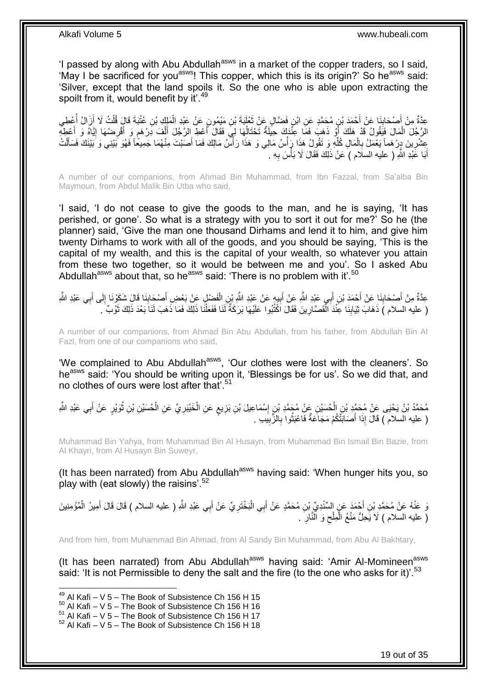'I passed by along with Abu Abdullah<sup>asws</sup> in a market of the copper traders, so I said, 'May I be sacrificed for you<sup>asws</sup>! This copper, which this is its origin?' So he<sup>asws</sup> said: 'Silver, except that the land spoils it. So the one who is able upon extracting the spoilt from it, would benefit by it'.<sup>49</sup>

عِدَّةٌ مِنْ أَصْحَابِذَا عَنْ أَحْمَدَ بْنِ مُحَمَّدٍ عَنِ ابْنِ فَضَّالٍ عَنْ تَعْلَيَةَ بْنِ مَيْمُونٍ عَنْ عَبْدِ الْمَلِكِ بْنِ عُثْبَةَ قَالَ قُلْتُ لَا أَزَالُ أَعْطِي<br>دَيَنْ مَثَّلِ الْمَسْئِلِ الْمَسْئِلِ الْمَحْ ْ  $\ddot{\phantom{0}}$ َ ِ َ ُ َ ْ الرَّجُلَ الْمَالَ فَيَقُولُ قَدْ هَلَكَ أَوْ ذَهَبَ فَمَا عِنْدَكَ حِيلَةٌ تَحْتَالُهَا لِيَ فَقَالَ أَعْطِ الرَّجُلَ أَلْفَ دِرْهَم وَ أَقْرِضْهَا إِيَّاهُ وَ أَعْطِهِ اً َ ِ ِ َ ֧֖֖֖֖֧֧֧ׅ֧֧ׅ֧֚֚֚֚֚֚֚֚֚֓֝֝֬֝֟֓֝֓֝֓֝֓֜֟֓֟֓֟֓֝֬֜֝ ْ َ َ ا<br>ا عِشْرِينَ دِرْهَماً يَعْمَلُ بِالْمَالِ كُلُّهِ وَ تَقُولُ هَذَا رَأْسُ مَالِي وَ هَذَا رَأْسُ مَالِكَ فَمَا أَصَبْتَ مِنْهُمَا جَمِيعًا فَهُوَ بَيْنِي وَ بَيْنَكَ فَسَأَلْتُ َ ا<br>ا<br>ا ا<br>أ ِّ ْ **∶** ِ ْ َ أَبَا عَبْدِ اللَّهِ ( عليه السلّام ) عَنْ ذَلِكَ فَقَالَ لَا بَأْسَ بِهِ . ِ ا<br>ا َ

A number of our companions, from Ahmad Bin Muhammad, from Ibn Fazzal, from Sa'alba Bin Maymoun, from Abdul Malik Bin Utba who said,

'I said, 'I do not cease to give the goods to the man, and he is saying, 'It has perished, or gone'. So what is a strategy with you to sort it out for me?' So he (the planner) said, 'Give the man one thousand Dirhams and lend it to him, and give him twenty Dirhams to work with all of the goods, and you should be saying, 'This is the capital of my wealth, and this is the capital of your wealth, so whatever you attain from these two together, so it would be between me and you'. So I asked Abu Abdullah<sup>asws</sup> about that, so he<sup>asws</sup> said: 'There is no problem with it'.<sup>50</sup>

عِدَّةٌ مِنْ أَصْحَابِنَا عَنْ أَحْمَدَ بْنِ أَبِي عَبْدِ اللَّهِ عَنْ عَبْدِ اللَّهِ بِنِ الْفَضْلِ عَنْ بَعْضِ أَصْحَابِنَا قَالَ شَكَوْنَا إِلَى أَبِي عَبْدِ اللَّهِ ْ ِ َ اُ َ ِ َ ِ ِ َ ( عليه السلام ) ذَهَابَ ثِيَابِنَا عِنْدَ الْفَصَّارِينَ فَقَالَ اَكْتُبُوا عَلَيْهَا بَرَكَةٌ لَنَا فَفَعَلْنَا ذَلِكَ فَمَا ذَهبَ لَنَا َبَعْدَ ذَلِكَ ثَوْبٌ َ **∶** :<br>ا  $\frac{1}{2}$ َ ْ

A number of our companions, from Ahmad Bin Abu Abdullah, from his father, from Abdullah Bin Al Fazl, from one of our companions who said,

'We complained to Abu Abdullah<sup>asws</sup>, 'Our clothes were lost with the cleaners'. So he<sup>asws</sup> said: 'You should be writing upon it, 'Blessings be for us'. So we did that, and no clothes of ours were lost after that'.<sup>51</sup>

مُحَمَّدُ بْنُ يَحْيَى عَنْ مُحَمَّدِ بْنِ الْحُسَيْنِ عَنْ مُحَمَّدِ بْنِ إِسْمَاعِيلَ بْنِ بَزِيعٍ عَنِ الْخَيْبَرِيِّ عَنِ الْحُسَيْنِ بْنِ ثُوَيْرٍ عَنْ أَبِي عَبْدِ الثَّهِ ْ َ ا پایا<br>ا ْ ِ ْ ٍ ِ ِ ( عليه السلام ) قَالَ إِذَا أَصَابَتْكُمْ مَجَاعَةٌ فَاعْبَثُوا بِالزَّبِيَبِ . **! ∶** روبو ۽<br>با َ

Muhammad Bin Yahya, from Muhammad Bin Al Husayn, from Muhammad Bin Ismail Bin Bazie, from Al Khayri, from Al Husayn Bin Suweyr,

(It has been narrated) from Abu Abdullah<sup>asws</sup> having said: 'When hunger hits you, so play with (eat slowly) the raisins'.<sup>52</sup>

وَ عَنْهُ عَنْ مُحَمَّدِ بْنِ أَحْمَدَ عَنٍ السِّنْدِيِّ بْنِ مُحَمَّدٍ عَنْ أَبِي الْبَخْتَرِيِّ عَنْ أَبِي عَبْدِ اللَّهِ ( عليه السلام ) قَالَ قَالَ أَمِيرُ الْمُؤْمِنِينَ َ ْ َ َ ِ ْ ( عليه السلام ) لَا يَحِلُّ مَنْعُ الْمِلْح وَ النَّارِ َ . ِ ِ ْ

And from him, from Muhammad Bin Ahmad, from Al Sandy Bin Muhammad, from Abu Al Bakhtary,

(It has been narrated) from Abu Abdullah<sup>asws</sup> having said: 'Amir Al-Momineen<sup>asws</sup> said: 'It is not Permissible to deny the salt and the fire (to the one who asks for it)'.<sup>53</sup>

 $^{49}$  Al Kafi – V 5 – The Book of Subsistence Ch 156 H 15

 $50$  Al Kafi – V 5 – The Book of Subsistence Ch 156 H 16

 $51$  Al Kafi – V  $5$  – The Book of Subsistence Ch 156 H 17

 $52$  Al Kafi – V 5 – The Book of Subsistence Ch 156 H 18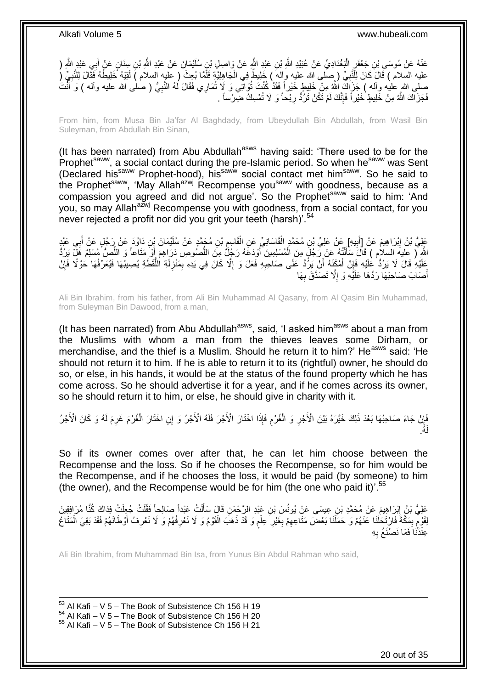عَنْهُ عَنْ مُوسَى بْنِ جَعْفَرٍ الْيَغْدَادِيِّ عَنْ عُبَيْدِ اللَّهِ بْنِ عَبْدِ اللَّهِ عَنْ وَاصِلٍ بْنِ سُلَيْمَانَ عَنْ عَبْدِ اللَّهِ (( مَنْ وَاصِل بِنَ سُلَيْمَانَ عَنْ عَبْدِ اللَّهِ ( :<br>ا َ عليه السلام ) قَالَ كَانَ لِلَّنَّبِيِّ ( ِصَلَّى الله عليه وآله ) خَلِيطٌ فِي الْجَاهِلِيَّةِ فَلَّمَّا بُعِثَ ( عليه السلام ) لَقِيَهُ خَلِيطُهُ فَقَالَ لِلنَّبِيِّ ( ْ **∶** ِ صلى الله عليه وآله ) جَزَاكَ اللَّهُ مِنْ خَلِيطٍ خَيْراً فَقَدْ كُنْتَ تُوَاتِّي وَ لَإِ تُمَارِي فَقَالَ لَمهُ النَّبِيُّ ( صلى الله عليه وآله ) وَ أَنْتُ ِ <u>ٔ</u> َ فَجَزَاكَ اللَّهُ مِنْ خَلِيطٍ ْخَيْرٍ أَ فَإِنَّكَ لَمْ تَكُنْ تَرُدُّ رِبْحاً وَ لَا تُمْسِكُ ضِرْساً . ِ ِ

From him, from Musa Bin Ja'far Al Baghdady, from Ubeydullah Bin Abdullah, from Wasil Bin Suleyman, from Abdullah Bin Sinan,

(It has been narrated) from Abu Abdullah<sup>asws</sup> having said: 'There used to be for the Prophet<sup>saww</sup>, a social contact during the pre-Islamic period. So when he<sup>saww</sup> was Sent (Declared hissaww Prophet-hood), hissaww social contact met himsaww. So he said to the Prophet<sup>saww</sup>, 'May Allah<sup>azwj</sup> Recompense you<sup>saww</sup> with goodness, because as a compassion you agreed and did not argue'. So the Prophet<sup>saww</sup> said to him: 'And you, so may Allah<sup>azwj</sup> Recompense you with goodness, from a social contact, for you never rejected a profit nor did you grit your teeth (harsh)<sup>'.54</sup>

عَلِيُّ بْنُ إِبْرَاهِيمَ عَنْ [أَبِيهِ] عَنْ عَلِيِّ بْنِ مُحَمَّدٍ الْقَاسَانِيِّ عَنِ الْقَاسِمِ بْنِ مُحَمَّدٍ عَنْ سُلَيْمَانَ بِّنِ دَاوُدَ عَنْ رَجُلٍ عَنْ أَبِي عَبْدِ **∶** ْ ْ **!** َ ِ **∶** َ اللَّهِ ۚ ( عليهَ السلام ) قَالَ سَأَلَتُهُ عَنْ رَجُلَ مِنَ الْمُسْلِمِينَ أَوْدَعَهُ رَجُلٌ مِنَ اللَّصُوصِ دَرَاهِمَ أَوْ مَتَاعاً وَ اللَّصُوُّ مُسْلِمٌ هَلِّ يَرُدُّ َ ْ ֦֧֦֧֧֦֧֦֧֦֧֦֧֦֧֦֧֧֦֧֦֪֧֪֦֪֦֧֧֧֧֧֧֧֟֟֟֓֕֟֓֕֝֓֟֓֡֟֓֡֟֓֡֟֓֡֟֓֡֟֟֓֡֟֓֡֟֟֩֓֞֟֓֞֟֓֡֟֓֞֟֓֟֓֝֬֝֓֟֝֓֟֝֬֝֬֝֬֝֬֝֬֝֬֝֬<br>֧֪֪֧֪֧֪֪֪֪֦֧֪֧֪֪֪֪֪֦֧֝֝֝֬֝֝֬֝ َ ِّ َ ُّ ِ عَلَيْهِ قَالَ لَا يَرُدُّ عَلَيْهِ فَإِنْ أَمْكَنِهُ أَنْ يَرُّدَّ عَلَى صَاحِبِهِ فَعَلَ وَ إِلَّا كَانَ فِي يَدِهِ بِمَنْزِلَةِ الْلُّقَطَةِ يُصِيبُهَا فَيُعَرِّفُهَا حَوْلًا فَإِنْ ِ ِ ِ اُ َ ِ ُّ ∣ļ أَصَابَ صَاحِبَهَا رَدَّهَا عَلَيْهِ وَ إِلَّا تَصَدَّقَ بِهَا ِ ِ َ

Ali Bin Ibrahim, from his father, from Ali Bin Muhammad Al Qasany, from Al Qasim Bin Muhammad, from Suleyman Bin Dawood, from a man,

(It has been narrated) from Abu Abdullah<sup>asws</sup>, said, 'I asked him<sup>asws</sup> about a man from the Muslims with whom a man from the thieves leaves some Dirham, or merchandise, and the thief is a Muslim. Should he return it to him?' He<sup>asws</sup> said: 'He should not return it to him. If he is able to return it to its (rightful) owner, he should do so, or else, in his hands, it would be at the status of the found property which he has come across. So he should advertise it for a year, and if he comes across its owner, so he should return it to him, or else, he should give in charity with it.

َائِلُ جَاءَ صَاحِبُهَا بَعْدَ ذَلِكَ خَيَّرَهُ بَيْنَ الْأَجْرِ وَ الْغُرْمِ فَإِذَا اخْتَارَ الْأَجْرُ فَلَهُ الْأَجْرُ<br>نَبْ ِ ْ ِ ِ ْ ُه. لَ

So if its owner comes over after that, he can let him choose between the Recompense and the loss. So if he chooses the Recompense, so for him would be the Recompense, and if he chooses the loss, it would be paid (by someone) to him (the owner), and the Recompense would be for him (the one who paid it)<sup>'.55</sup>

عَلِيُّ بْنُ إِبْرَاهِيمَ عَنْ مُحَمَّدِ بْنِ عِيسَى عَنْ يُونُسَ بْنِ عَبْدِ الرَّحْمَنِ قَالَ سَأَلْتُ عَبْداً صَالِحاً فَقُلْتُ جُعِلْتُ فِدَاكَ كُنَّا مُرَافِقِينَ<br>ِ ْ َ ِ ْ ْ ْ لِقَوْمْ بِمَكَّةَ فَارْتَحَلْنَا عَنْهُمْ وَ حَمَلَنَا بَعْضَ مَتَاعِهِمْ بِغَيْرِ عِلْم وَ قَدْ ذَهَبَ الْقَوْمُ وَ لَا نَعْرِفُهُمْ وَ لَا نَعْرِفُ أَوْطَانَهُمْ فَقَدْ بَقِيَ الْمَتَاعُ **ٍ ∶** ِ ْ ْ ِ ٍ ْ َ **∶ ٍ** ْ ֧֧֚֓֝֝֓֝ عِنْدَّنَا َفَمَا نَصْنَعُ بِهِ ِ

Ali Bin Ibrahim, from Muhammad Bin Isa, from Yunus Bin Abdul Rahman who said,

1 Al Kafi – V 5 – The Book of Subsistence Ch 156 H 19 Al Kafi – V  $5$  – The Book of Subsistence Ch 156 H 20 Al Kafi – V 5 – The Book of Subsistence Ch 156 H 21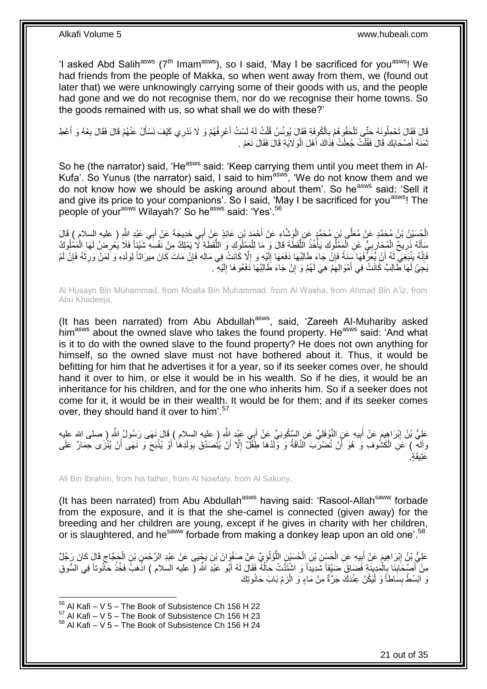'I asked Abd Salih<sup>asws</sup> ( $7<sup>th</sup>$  Imam<sup>asws</sup>), so I said, 'May I be sacrificed for you<sup>asws</sup>! We had friends from the people of Makka, so when went away from them, we (found out later that) we were unknowingly carrying some of their goods with us, and the people had gone and we do not recognise them, nor do we recognise their home towns. So the goods remained with us, so what shall we do with these?'

قَالَ فَقَالَ تَحْمِلُونَهُ حَتَّى تَلْحَقُوهُمْ بِالْكُوفَةِ فَقَالَ يُونُسُ قُلْتُ لَهُ لَسْتُ أَعْرِفُهُمْ وَ لَا نَدْرِي كَيْفَ نَسْأَلُ عَنْهُمْ قَالَ فَقَالَ بِعْهُ وَ أَعْطِ<br>يَهُ يَفْسَلُ الْمَسْئَمَ الْمَسْئِمَةِ **∶** َ ْ ِ ْ َ ِ َ تُمَذَهُ أَصْحَابَكَ قَالَ فَقُلْتُ جُعِلْتُ فِذَاكَ أَهْلَ الْوَلَايَةِ قَالَ فَقَالَ نَعَمْ . :<br>ا َ ْ ْ َ

So he (the narrator) said, 'He<sup>asws</sup> said: 'Keep carrying them until you meet them in Al-Kufa'. So Yunus (the narrator) said, I said to him<sup>asws</sup>, 'We do not know them and we do not know how we should be asking around about them'. So he<sup>asws</sup> said: 'Sell it and give its price to your companions'. So I said, 'May I be sacrificed for you<sup>asws</sup>! The people of your<sup>asws</sup> Wilayah?' So he<sup>asws</sup> said: 'Yes'.<sup>56</sup>

الْحُسَيْنُ بْنُ مُحَمَّدٍ عَنْ مُعَلَّي بْنِ مُحَمَّدٍ عَنِ الْوَشَّاءِ عَنْ أَحْمَدَ بْنِ عَائِذٍ عَنْ أَبِي خَدِيجَةَ عَنْ أَبِي عَبْدٍ اللَّهِ ( عليه السلام ) قَالَ<br>الْحُسَيْنُ بْنُ مُحَمَّدٍ عَنْ مُعَلَّي بْنِ مُحَمَ َ ا.<br>ا َ َ َسَأَلَهُ ذَرِيحٌ الْمُجَارِبِيُّ عَنِ الْمَمْلُوكِ يَأْخُذُ اللَّقَطَةَ قَالَ وَ مَا لِلْمَمْلُوكِ وَ اللَّقَطَةِ لَا يَمْلِكُ مِنْ نَفْسِهِ شَيْئاً فَلَا يَعُرِضُ لَمَا الْمَمْلُوكِ<br>ِ ُّ ْ ُّ ا<br>ا ْ **∶** ِ ْ **∶** لَ ا<br>ا ْ ِ فَإِنَّهُ يَذْبَغِي لَهُ أَنْ يُعَرِّفَهَا سَنَةً فَإِنْ جَاءَ طَالِبُهَا دَفَعَهَا إِلَيْهِ وَ إِلَّا كَانَتْ فِي مَالِهِ فَإِنْ مَاتَ كَانَ مِيرَاثاً لِوَلَدِهِ وَ لِمَنْ وَرِثَهُ فَإِنْ لَمْ **∶** لَ  $\frac{1}{2}$ ِ اً ِ ∣ٍ َ ِ ِ يَجِئْ لَهَا طَالِبٌ كَانَتْ فِي أَمْوَالِهِمْ هِيَ لَهُمْ وَ إِنْ جَاءَ طَالِبُهَا دَفَعُوهَا إِلَيْهِ . ِ َ لَ ِ ِ

Al Husayn Bin Muhammad, from Moalla Bin Muhammad, from Al Washa, from Ahmad Bin A'iz, from Abu Khadeeja,

(It has been narrated) from Abu Abdullah $^{asws}$ , said, 'Zareeh Al-Muhariby asked him<sup>asws</sup> about the owned slave who takes the found property. He<sup>asws</sup> said: 'And what is it to do with the owned slave to the found property? He does not own anything for himself, so the owned slave must not have bothered about it. Thus, it would be befitting for him that he advertises it for a year, so if its seeker comes over, he should hand it over to him, or else it would be in his wealth. So if he dies, it would be an inheritance for his children, and for the one who inherits him. So if a seeker does not come for it, it would be in their wealth. It would be for them; and if its seeker comes over, they should hand it over to him'.<sup>57</sup>

عَلِيُّ بْنُ إِبْرَاهِيمَ عَنْ أَبِيهِ عَنِ النَّوْفَلِيِّ عَنِ السَّكُونِيِّ عَنْ أَبِي عَيْدِ اللَّهِ ( عليه السلام ) قَالَ نَهَى رَسُولُ اللَّهِ ( صلى الله عليه<br>-َ ِ َ ِ وآلهِ ) عَنِ الْكَشُوفِ وَ هُوَ أَنْ تُضْرَبَ اَلثَّاقَةُ وَ وَلَدُهَا طِّفْلٌ إِلَّا أَنْ يُتُصَدَّقَ بِوَلَدِهَا أَوْ يُذْبَحَ وَ نَهَى أَنْ يُنْزَى حِمَارٌ عَلَى **ٔ:** َ ِ َ ِ ْ َ عَتِيقَةٍ.

Ali Bin Ibrahim, from his father, from Al Nowfaly, from Al Sakuny,

(It has been narrated) from Abu Abdullah<sup>asws</sup> having said: 'Rasool-Allah<sup>saww</sup> forbade from the exposure, and it is that the she-camel is connected (given away) for the breeding and her children are young, except if he gives in charity with her children, or is slaughtered, and he<sup>saww</sup> forbade from making a donkey leap upon an old one'.<sup>58</sup>

عَلِيُّ بْنُ إِبْرَاهِيمَ عَنْ أَبِيهِ عَنِ الْحَسَنِ بْنِ الْحُسَيْنِ اللَّوُلُوْمِيِّ عَنْ صَفْوَانَ بْنِ يَجْيَى عَنْ عَبْدِ الرَّحْمَنِ بْنِ الْحَجَاجِ قَالَ كَانَ رَجُلٌ ِ ُّ ْ ْ **∣** َ ِ ِ ْ مِنْ أَصْبِحَابِنَا بِالْمَدِينَةِ فَضَاقَ ضَنْقِاً شَدِيداً وَ اشْتَذَّتْ حَالُهُ فَقَالَ لَهُ أَبُو عَبْدِ اللَّهِ ( عليه السلام ) اذْهَبْ فَخُذْ حَأَنُوتاً فِي السُّوقِ ُ ْ ِ ِ َ **ٔ** ا:<br>-وَ آَبْسُطُ بِسَاطاً وَ لْيَكُنْ عِنْدَكَ جَرَّةٌ مِنْ مَاءٍ وَ الْزَمْ بَابَ حَانُوتِكَ ْ ا<br>ا ِ

<sup>1</sup>  $56$  Al Kafi – V 5 – The Book of Subsistence Ch 156 H 22

 $57$  Al Kafi – V  $5$  – The Book of Subsistence Ch 156 H 23

 $58$  Al Kafi – V 5 – The Book of Subsistence Ch 156 H 24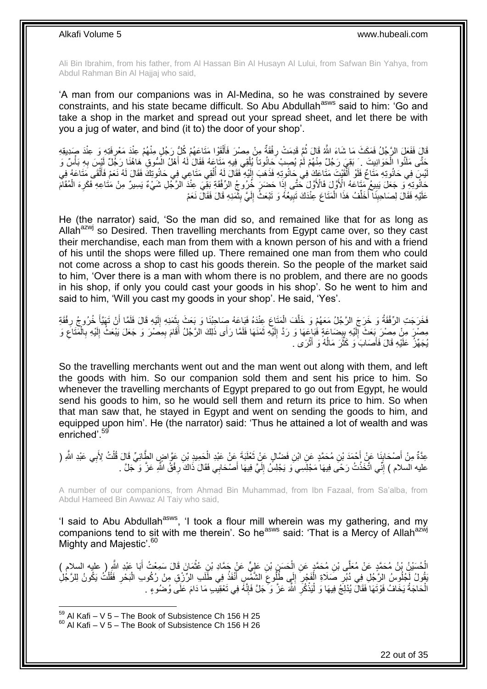Ali Bin Ibrahim, from his father, from Al Hassan Bin Al Husayn Al Lului, from Safwan Bin Yahya, from Abdul Rahman Bin Al Hajjaj who said,

'A man from our companions was in Al-Medina, so he was constrained by severe constraints, and his state became difficult. So Abu Abdullah<sup>asws</sup> said to him: 'Go and take a shop in the market and spread out your spread sheet, and let there be with you a jug of water, and bind (it to) the door of your shop'.

قَالَ فَفَعَلَ الرَّجُلُ فَمَكَثَ مَا شَاءَ اللَّهُ قَالَ ثُمَّ قَدِمَتْ رِفْقَةٌ مِنْ مِصْرَ فَأَلْقَوْا مَتَاعَهُمْ كُلُّ رَجُلٍ مِنْهُمْ عِنْدَ مَعْرِفَتِهِ وَ عِنْدَ صَدِيقِهِ ْ ĺ **∶** .<br>• • • • ֦֧֦֧ حَتَّى مَلَّئُوا الْحَوَانِيتَ \_ َبَقِيَ رَجُلٌ مِنْهُمْ لَمْ يُصِبْ َحَانُوتاً يُلْقِي فِيهِ مَتَاعَهُ فَقَالَ لَهُ أَهْلُ الْسُّوقِ هَاهُنَا رَجُلٌ لَيْسَ بِهِ بَأْسٌ وَ ْ ْ ِ َ ْ يْسَ فِي حَانُوتِهِ مَتَاعٌ فَلَوْ أَلْقَيْتِ مَتَاعَكَ فِي حَانُوتِهِ فَذَهَبَ إِلَيْهِ فَقَالَ لَهُ أُلْقِي مَتَاعِي فِي حَانُوتِكَ فَقَالَ لَهُ نَعْم فَأَلْقَى مَتَاعَهُ فِي ْ أأ لَ ِ ر<br>ا َ لَ ْ َ حَانُونِهِ ۖ وَ جَعَلَ يَبِيعُ مَتَاعَهُ الْأَوَّلَ فَالْأَوَّلَ حَتَّى إِذَا حَضَرَ خُُرُوجُ الرِّفْقَةِ بَقِّيَ عِنْدَ الرَّجُلِ شَيْءٌ يَسِيرُ مِنْ مَتَاعِهِ فَكَرِهَ الْمُقَامَ **∣** ْ ِ عَلَيْهِ فَقَالَ لِصَاحِبِنَا ۖ أَخَلِّفُ هَذَا الْمَتَاعَ عِنْدَكَ تَبِيعُهُ وَ تَبْعَثُ إِلَيَّ بِثَّمَذِهِ قَالَ فَقَالَ نَعَمْ ْ ِّ اً<br>ا **ِ**  $\ddot{\phantom{0}}$ **!** لَ ∣∣<br>∶ **!** 

He (the narrator) said, 'So the man did so, and remained like that for as long as Allah $a^{2}$  so Desired. Then travelling merchants from Egypt came over, so they cast their merchandise, each man from them with a known person of his and with a friend of his until the shops were filled up. There remained one man from them who could not come across a shop to cast his goods therein. So the people of the market said to him, 'Over there is a man with whom there is no problem, and there are no goods in his shop, if only you could cast your goods in his shop'. So he went to him and said to him, 'Will you cast my goods in your shop'. He said, 'Yes'.

فَخَرَجَتِ الرِّفْقَةُ وَ خَرَجَ الرَّجُلُ مَعَهُمْ وَ خَلَّفَ الْمَتَاعَ عِنْدَهُ فَبَاعَهُ صِمَاحِبُنَا وَ بَعَثَ بِثَمَنِهِ إِلَيْهِ قَالَ فَلَمَّا أَنْ تَهَيَّأُ خُرُوجُ رِفْقَةِ َ ِ ْ َّ ِ َ َ لَ ِ مِصْنٍ مِنْ مِصْنَ بِمَعْثَ إِلَيْهِ بِبِضَاعَةٍ فُبَاعَهَا وَ رَدَّ إِلَيْهِ ثَمَنَهَا فَلَمَّا رَأَى ذَلِكَ الرَّجُلُ أَقَامَ بِمِصْنَ وَ جَعَلَ يَبْعَثُ إِلَيْهِ بِالْمَنَاعِ وَ لَ  $\frac{1}{2}$ ِ ِ لَ ∣∣<br>∶ ِ ْ **∶** لَ ِ ِ َ َ يُجَهِّزُ عَلَيْهِ قَالَ فَأَصَابَ وَ كَثَّرَ مَالُهُ وَ أَثْرَى . ْ َ ا<br>ا :<br>ـا َ

So the travelling merchants went out and the man went out along with them, and left the goods with him. So our companion sold them and sent his price to him. So whenever the travelling merchants of Egypt prepared to go out from Egypt, he would send his goods to him, so he would sell them and return its price to him. So when that man saw that, he stayed in Egypt and went on sending the goods to him, and equipped upon him'. He (the narrator) said: 'Thus he attained a lot of wealth and was enriched'.<sup>59</sup>

عِدَّةٌ مِنْ أَصْحَابِنَا عَنْ أَحْمَدَ بْنِ مُحَمَّدٍ عَنِ ابْنِ فَضَّالٍ عَنْ تَعْلَبَةَ عَنْ عَبْدِ الْحَمِيدِ بْنِ عَوَّاضٍ الطَّائِيِّ قَالَ قُلْتُ لِأَبِي عَبْدِ الثَّهِ ( َ َ **∣** َ ْ ْ عليه السلام ) إِنِّي اتَّخَذْتُ رَحًى فِيهَا مَجْلِسِي َو يَجْلِسُ إِلَيَّ فِيهَا أَصْحَابِي فَقَالَ ذَاكَ رِفْقُ اللَّهِ عَزَّ وَ جَلَّ . ِ َ لَ  $\frac{1}{2}$ **ٔ** ِ

A number of our companions, from Ahmad Bin Muhammad, from Ibn Fazaal, from Sa'alba, from Abdul Hameed Bin Awwaz Al Taiy who said,

'I said to Abu Abdullah<sup>asws</sup>, 'I took a flour mill wherein was my gathering, and my companions tend to sit with me therein'. So he<sup>asws</sup> said: 'That is a Mercy of Allah<sup>azwj</sup> Mighty and Majestic'.<sup>60</sup>

الْحُسَيْنُ بِنُ مُحَمَّدٍ عَنْ مُعَلِّي بْنِ مُحَمَّدٍ عَنِ الْحَسَنِ بْنِ عَلِيٍّ عَنْ جَمَّادِ بْنِ عُثْمَانَ قَالَ سَمِعْتُ أَبَا عَبْدِ الثَّهِ ( عليه السلام )<br>اُمِن نَا أَمَا عَبْدِ اللَّهُ ( ، فَ اللَّهِ اللَّهُ عَ ْ ْ َ َفَوْلُ لَكُلُوسُ الرَّجُلِ فِي دُبُرِ صَلَاةِ الْفَجْرِ إِلَى طُلُوعَ الشَّشِّي أَنْفَذُ فِي طَّلَبِ الرِّزْقِ مِنْ رُكُوبِ الْبَحْرِ فَقُلْتُ يَكُونُ لِلرَّجُلِ ْ ِ ْ ِ ْ َ ِ  $\frac{1}{2}$ ِ الْحَاجَةُ يَخَافُ فَوْتَهَا فَقَالَ يُدْلِجُ فِيهَا وَ لْيَذْكُرِ اَللَّهَ عَزَّ وَكَّجَلَّ فَإِنَّهُ فِي تَعْقِيبِ مَا دَامَ عَلَى وُضُوءٍ . ِ **∶ ٔ** ْ ْ لَ

 $59$  Al Kafi – V 5 – The Book of Subsistence Ch 156 H 25  $60$  Al Kafi – V 5 – The Book of Subsistence Ch 156 H 26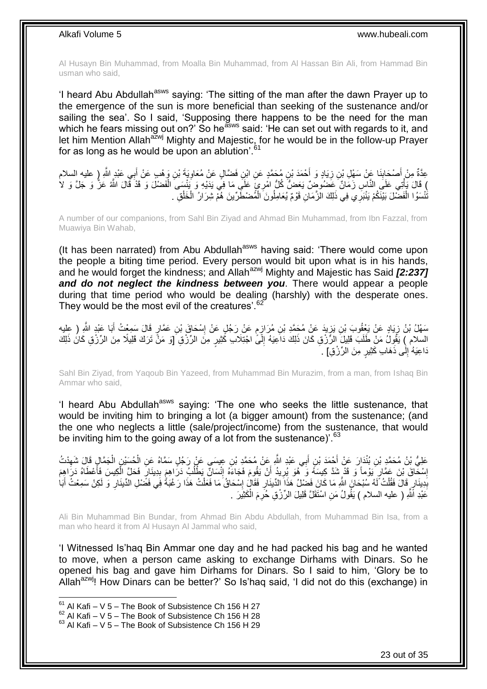Al Husayn Bin Muhammad, from Moalla Bin Muhammad, from Al Hassan Bin Ali, from Hammad Bin usman who said,

'I heard Abu Abdullah<sup>asws</sup> saying: 'The sitting of the man after the dawn Prayer up to the emergence of the sun is more beneficial than seeking of the sustenance and/or sailing the sea'. So I said, 'Supposing there happens to be the need for the man which he fears missing out on?' So he<sup>asws</sup> said: 'He can set out with regards to it, and let him Mention Allah<sup>azwj</sup> Mighty and Majestic, for he would be in the follow-up Prayer for as long as he would be upon an ablution'.<sup>61</sup>

عِدَّةٌ مِنْ أَصْحَابِنَا عَنْ سَهْلِ بْنِ زِيَادٍ وَ أَحْمَدَ بْنِ مُحَمَّدٍ عَنِ ابْنِ فَضَّالٍ عَنْ مُعَاوِيَةَ بْنِ وَهْبٍ عَنْ أَبِـي عَبْدٍ اللَّهِ (ٍ عليه السلام **∶** َ ِ ِ َ َ ) قَالَ يَأْتِي عَلَى النَّاسِ زَمَالٌ عَضُوُمِّنٌ يَعَضُّ كُلُّ امْرِئٍ عَلَى مَا فِي يَذَيْهِ وَ يَُنْسَى الْفَضْلُ وَ قَدْ قَالَ اللَّهُ عَزُّ وَ جَلَّ وَ لا<br>، فلسط اللَّهُ عَزَّ وَجَلَّ عَضْلُومِّنْ يَجْمَلُ كُلُّ امْ ْ َنْتَسَوُا الْفَضْلَ بَيْنَكُمْ يَنْبَرِي فِي ذَلِكَ الزَّمَانِ قَوْمٌ يُعَامِلُونَ الْمُضْطَرِّينَ هُمْ شِرَارُ الْخَلْقِ . ْ ْ ْ ْ

A number of our companions, from Sahl Bin Ziyad and Ahmad Bin Muhammad, from Ibn Fazzal, from Muawiya Bin Wahab,

(It has been narrated) from Abu Abdullah<sup>asws</sup> having said: 'There would come upon the people a biting time period. Every person would bit upon what is in his hands, and he would forget the kindness; and Allah<sup>azwj</sup> Mighty and Majestic has Said **[2:237]** *and do not neglect the kindness between you*. There would appear a people during that time period who would be dealing (harshly) with the desperate ones. They would be the most evil of the creatures'.<sup>62</sup>

يْهِلُ بْنُ زِيَادٍ عَنْ يَغْفُوبَ بْنِ يَزِيدَ عَنْ مُحَمَّدِ بْنِ مُرَازِمٍ عَنْ رَجُلٍ عَنْ إِسْحَاقَ بْنِ عَمَّارٍ قَالَ سَمِعْتُ أَبَا عَبْدٍ اللَّهِ ( عِليه ِ ֧֖֖֖֧֖֧֧֧֧֧֧֧֧֧֧֧֚֚֚֚֓֝֝֝֝֟֓֟֓֝֬֝֓֝֬֟֓֟֓֬֝֓֟֓֟֓֝֬֝֓֝֓֟֓֝֬֝֬֝֓֝֬֝֓֝֬ ِ ِ ِ َ السلام ) يَقُولُ مَنْ طَلَبَ قَلِيلَ الرَّزْقِ كَانَ ذَلِكَ دَاعِيَهُ إِلَىًّ اجْتِلَاب كُثِيرٍ مِنَ الرِّزْقِ وَقَ تَرَكَ قَلِيلًا مِنَ الرِّزْقِ كَانَ ذَلِكَ ِ ذَاعِيَهُ ٰإِلَٰى ذَهَابِ كَثِيرٍ مِنَ الرِّزْقِ] . ِ

Sahl Bin Ziyad, from Yaqoub Bin Yazeed, from Muhammad Bin Murazim, from a man, from Ishaq Bin Ammar who said,

'I heard Abu Abdullah<sup>asws</sup> saying: 'The one who seeks the little sustenance, that would be inviting him to bringing a lot (a bigger amount) from the sustenance; (and the one who neglects a little (sale/project/income) from the sustenance, that would be inviting him to the going away of a lot from the sustenance)<sup>'.  $63$ </sup>

عَلِيُّ بْنُ مُحَمَّدٍ بْنِ بُنْدَارَ عَنْ أَحْمَدَ بْنِ أَبِي عَبْدِ اللَّهِ عَنْ مُحَمَّدٍ بْنِ عِيسَي عَنْ رَجُلٍ سَمَّاهُ عَنِ الْحُسَيْنِ الْجَمَّالِ قَالَ شَهِدْتُ َ َ ِ ْ ْ إِسْكَاقَ بْنَ عَمَّارٍ يَوْماً وَ قَدْ شَدَّ كِيسَهُ وَ ۖ هُوَ يُرِيدُ أَنْ يَقُومَ فَجَاءَهُ إِنْسَانٌ يَطْلُبُ دَرَاهِمَ بِدِينَارٍ فَحَلَّ الْكِيسَ فَأُعْطَاهُ دَرَاهِمَ ِ ُ ِ َ ِ ِ َ ْ ِ بَدِينَارٍ قَالَ فَقُلْتُ لَّهُ سُبْحَانَ اللَّهِ مَا كَانَ فَضْلُ هَذَا الدِّينَارِ فَقَالٍ إِسْحَاقُ مَا فَعَلْتُ هَذَا رَغْبَةٌ فَي فَضَلْ الدِّينَارِ وَ لَكِنْ سَمِعْتُ أَبَاٰ ْ **∣** َ ِ ْ ِ عَبْدِ اَللَّهِ ( عليه السلام ) يَقُولُ مَنِ اسْنَقَلَّ قَلِيلَ الرِّزْقِ حُرِمَ الْكَثِيَرَ . ْ

Ali Bin Muhammad Bin Bundar, from Ahmad Bin Abdu Abdullah, from Muhammad Bin Isa, from a man who heard it from Al Husayn Al Jammal who said,

'I Witnessed Is'haq Bin Ammar one day and he had packed his bag and he wanted to move, when a person came asking to exchange Dirhams with Dinars. So he opened his bag and gave him Dirhams for Dinars. So I said to him, 'Glory be to Allah<sup>azwj</sup>! How Dinars can be better?' So Is'haq said, 'I did not do this (exchange) in

 $61$  Al Kafi – V 5 – The Book of Subsistence Ch 156 H 27

 $62$  Al Kafi – V  $5$  – The Book of Subsistence Ch 156 H 28

 $63$  Al Kafi – V 5 – The Book of Subsistence Ch 156 H 29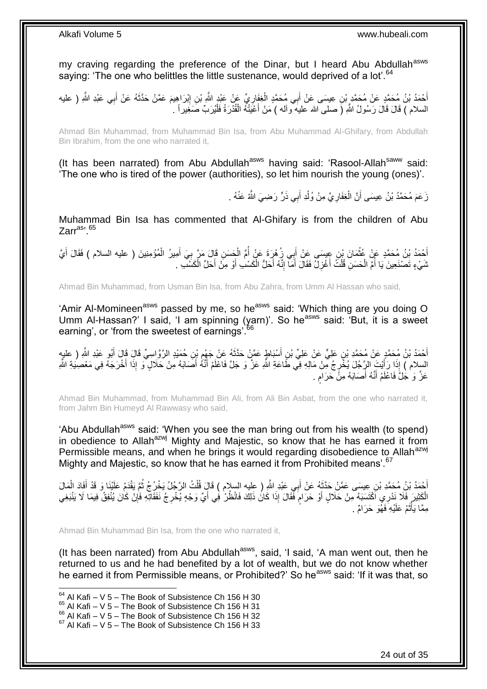my craving regarding the preference of the Dinar, but I heard Abu Abdullah<sup>asws</sup> saying: 'The one who belittles the little sustenance, would deprived of a lot'.<sup>64</sup>

أَحْمَدُ بْنُ مُحَمَّدٍ عَنْ مُحَمَّدٍ بْنِ عِسَى عَنْ أَبِي مُحَمَّدٍ الْغِفَارِيِّ عَنْ عَبْدٍ اللَّهِ رَسَل<br>أَحْمَدُ بْنُ مُحَمَّدٍ عَنْ مُحَمَّدٍ بْنِ عِسَى عَنْ أَبِي مُحَمَّدٍ الْغِفَارِيِّ عَنْ عَبْدِ اللَّهِ مَعْل ِ ِ ْ َ َ َ السلام ) قَالَ قَالَ رَسُولُ اللَّهِ (َ صلـى الله عليه ّو ألـه ) مَنْ أَعْيَتْهُ الْقُدْرَةُ فَلْيُرَبِّ صَغِيراً . ْ ْ َ

Ahmad Bin Muhammad, from Muhammad Bin Isa, from Abu Muhammad Al-Ghifary, from Abdullah Bin Ibrahim, from the one who narrated it,

(It has been narrated) from Abu Abdullah<sup>asws</sup> having said: 'Rasool-Allah<sup>saww</sup> said: 'The one who is tired of the power (authorities), so let him nourish the young (ones)'.

> زَ عَمَ مُحَمَّدُ بْنُ عِيسَى أَنَّ الْغِفَارِ يَّ مِنْ وُلْدِ أَبِي ذَرٍّ رَضِيَ اللَّهُ عَنْهُ . ْ ِ ْ اً

Muhammad Bin Isa has commented that Al-Ghifary is from the children of Abu  $Z$ arr<sup>as, 65</sup>

أَحْمَدُ بْنُ مُحَمَّدٍ عَنْ عُثْمَانَ بْنِ عِيسَى عَنْ أَبِي زُِهْرَةَ عَنْ أُمِّ الْجَسَنِ قَإِلَ مَرَّ بِيَ أَمِيرُ الْمُؤْمِنِينَ ( عليه السلام ) فَقَالَ أَيَّ ْ َ **∶** ْ ا<br>ا َ ْ َ نَسَيْءٍ تَصْنَعِينَ يَا أُمَّ الْحَسَنِ قُلْتُ أَغْزِلُ فَقَالَ أَمَاّ إِنَّهُ أَحَلُّ الْكَسْبِ أَوْ مِنْ أَحَلِّ الْكَسْب ْ ْ ا<br>ا ْ َ ْ َ ِ َ ِ َ

Ahmad Bin Muhammad, from Usman Bin Isa, from Abu Zahra, from Umm Al Hassan who said,

'Amir Al-Momineen<sup>asws</sup> passed by me, so he<sup>asws</sup> said: 'Which thing are you doing O Umm Al-Hassan?' I said, 'I am spinning (yarn)'. So he<sup>asws</sup> said: 'But, it is a sweet earning', or 'from the sweetest of earnings'.<sup>66</sup>

أَحْمَدُ بْنُ مُحَمَّدٍ عَنْ مُحَمَّدِ بْنِ عَلِيٍّ عَنْ عَلِيٍّ بْنِ أَسْبَاطٍ عَمَّنْ حَذَّثَهُ عَنْ جَهْمِ بْنِ حُمَيْدٍ الرَّوَّاسِيِّ قَالَ قَالَ أَبُو عَبْدِ الثَّهِ ( عليهم **∶** َ َ َ السِلام ) إِذَا رَأَيْتَ الرِّجُلَ يُخْرِجُ مِّنْ مَالِهِ فِي طَاعَةِ اللَّهِ عَزَّ وَ جَلَّ فَاعْلَمْ أَنَّهُ أَصَابَهُ مِنْ حَلالٍ ۖ وَ إِذَا أَخْرَجَهُ فِي مَعْصِيَةِ اللَّهِ َ َ ֦֧֦֦֦֦֦֢֦֦֦ׅ֦֝֝֝֜֝֝֜֡֜֝֜ َ َ عَزٌ وَ جَلٌّ فَاعْلَمْ أَنَّهُ أَصَابَهُ مِنَّ حَرَام . َ ٍ

Ahmad Bin Muhammad, from Muhammad Bin Ali, from Ali Bin Asbat, from the one who narrated it, from Jahm Bin Humeyd Al Rawwasy who said,

'Abu Abdullah<sup>asws</sup> said: 'When you see the man bring out from his wealth (to spend) in obedience to Allah<sup>azwj</sup> Mighty and Majestic, so know that he has earned it from Permissible means, and when he brings it would regarding disobedience to Allah<sup>azwj</sup> Mighty and Majestic, so know that he has earned it from Prohibited means'.<sup>67</sup>

أَحْمَدُ بْنُ مُحَمَّدِ بْنِ عِيسَى عَمَّنْ حَدَّثَهُ عَنْ أَبِي عَبْدِ اللَّهِ ( عليه السلام ) قَالَ قُلْتُ الرَّجُلُ يَخْرُجُ ثُمَّ يَقْدَمُ عَلَيْنَا وَ قَدْ أَفَادَ الْمَالَ<br>أَحْدَ بَنُ مُحَمَّدِ بْنِ عِيسَى عَمَّنْ ح َ ُ ْ َ  $\ddot{\phantom{0}}$ ْ َ الْكَثِيرَ فَلَا نَدْرِيِ اَكْتَسَبَهُ مِنْ حَلَالٍ أَوْ حَرَامٍ فَّقَالَ إِذَا كَانُ ذَلِكَ فَانْظُرْ ٰ فِي أَيِّ وَجْهٍ يُخْرِجُ نَفَقَاتِهِ فَإِنْ كَانَ يُنْفِقُ فِيمَا لَا يَنْبَغِي ٍ َ ِ ِ َ مِمَّا يَأْثُمُ عَلَيْهِ فَهُوَ حَرَامٌ . ٌٔ<br>ا .<br>ا

Ahmad Bin Muhammad Bin Isa, from the one who narrated it,

(It has been narrated) from Abu Abdullah $a$ <sup>asws</sup>, said, 'I said, 'A man went out, then he returned to us and he had benefited by a lot of wealth, but we do not know whether he earned it from Permissible means, or Prohibited?' So he<sup>asws</sup> said: 'If it was that, so

 $64$  Al Kafi – V 5 – The Book of Subsistence Ch 156 H 30

 $65$  Al Kafi – V 5 – The Book of Subsistence Ch 156 H 31

 $^{66}$  Al Kafi – V  $\frac{6}{5}$  – The Book of Subsistence Ch 156 H 32

 $67$  Al Kafi – V 5 – The Book of Subsistence Ch 156 H 33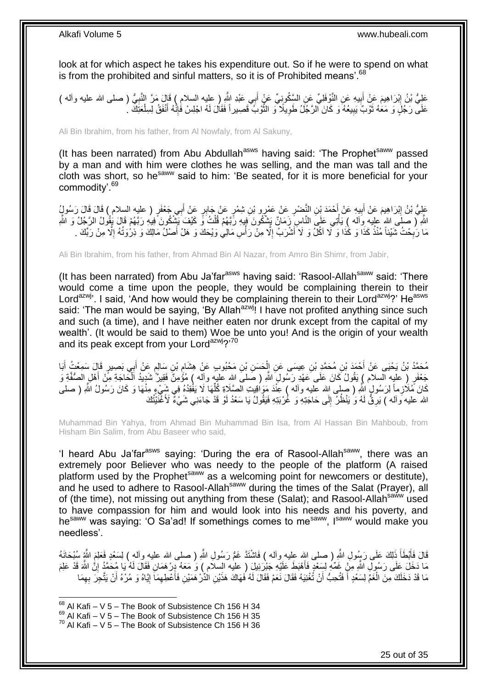look at for which aspect he takes his expenditure out. So if he were to spend on what is from the prohibited and sinful matters, so it is of Prohibited means'.<sup>68</sup>

عَلِيُّ بْنُ إِبْرَاهِيمَ عَنْ أَبِيهِ عَنِ النَّوْفَلِيِّ عَنِ السَّكُونِيِّ عَنْ أَبِي عَبْدِ النَّهِ ( عليه السلام ) قَالَ مَرَّ النَّنِبِيُّ ( صلى الله عليه وأله )<br>-َ **!** ِ ِ عَلَى رَجُلٍ وَ مَعَهُ ثَوْبٌ يَبِيعُهُ وَ كَانَ الرَّجُلُ طَوِيلًا ۖ وَ النُّوْبُ قَصِيراً فَقَالَ لَهُ اجْلِسْ فَإِنَّهُ أَنْفَقُ لِسِلْعَتِكَ ۚ ـُ َ ا∣<br>ِ∘ ة<br>ا **∶ !** ة<br>أ

Ali Bin Ibrahim, from his father, from Al Nowfaly, from Al Sakuny,

(It has been narrated) from Abu Abdullah<sup>asws</sup> having said: 'The Prophet<sup>saww</sup> passed by a man and with him were clothes he was selling, and the man was tall and the cloth was short, so he<sup>saww</sup> said to him: 'Be seated, for it is more beneficial for your commodity'.<sup>69</sup>

عَلِيُّ بْنُ إِبْرَاهِيمَ عَنْ أُبِيهِ عَنْ أَحْمَدَ بْنِ النَّصْلِ عَنْ عَمْرٍو بْنِ شِمْرٍ عَنْ جَابِرٍ عَنْ أَبِي جَعْفَرٍ ( عليه السلام ) قَالَ قَالَ رَسُولٍ<br>جَلِيُّ بْنُ إِبْرَاهِيمَ عَنْ أُبِيهِ عَنْ أَحْمَدَ بْنِ ال ِ َ َ ِ َ اللَّهِ ( صلَى الله عليه وَاله ) يَأْتِي عَلَى النَّاسِ زَمَانٌ يَشْكُونَ فِيهِ رَّبَّهُمْ قُلْتُ وَّ كَيْفَ يَشْكُونَ فِيهِهِ رَبَّهُمْ قُلْ يُقُولُ الرَّجُلُ وَ اللَّهِ ْ ْ مَا رَبُحْتُ شَيْئاً مُنْذُ كَذَا وَ كَذَا وَ كَمْ اَكُلُّ وَ لَاَ أَشْرَبُ إِلَّا مِنْ رَأْسِ مَالِي وَيْحَكَ وَ هَلْ أَصْلُ مَالِكَ وَ ذِرْوَتُهُ إِلَّا مِنْ رَبِّكَ . َ .<br>أ ِ َ ِ ِ

Ali Bin Ibrahim, from his father, from Ahmad Bin Al Nazar, from Amro Bin Shimr, from Jabir,

(It has been narrated) from Abu Ja'far $a<sup>asws</sup>$  having said: 'Rasool-Allah $a<sup>saww</sup>$  said: 'There would come a time upon the people, they would be complaining therein to their Lord<sup>azwj</sup>'. I said, 'And how would they be complaining therein to their Lord<sup>azwj</sup>?' He<sup>asws</sup> said: 'The man would be saying, 'By Allah<sup>azwj</sup>! I have not profited anything since such and such (a time), and I have neither eaten nor drunk except from the capital of my wealth'. (It would be said to them) Woe be unto you! And is the origin of your wealth and its peak except from your Lord<sup>azwj</sup>?'70

مُحَمَّدُ بْنُ يَحْيَى عَنْ أَحْمَدَ بْنِ مُحَمَّدٍ بْنِ عِيسَى عَنِ الْحَسَنِ بْنِ مَحْبُوبٍ عَنْ هِشَامٍ بْنِ سَالِمٍ عَنْ أَبِي بَصِيرٍ قَالَ سَمِعْتُ أَبَا ֧֖֧֖֖֖֖֖֧֖֖֖֖֧֧֧֧֧֧֧֧֧֧֧֧֧֧֧֧֧֚֚֚֚֚֚֚֚֚֚֚֝֝֟֓֝֓֝֓֝֬֟֓֝֬֟֓֝֬֝֓֝֓֝֬֝֓֝֬֝֬֝֓֝֬֝֬֓֝֬֝֬֝֬ م<br>ہ ْ َ َ جَعْفَرٍ ( عليه السلام ) يَقُولُ كَانَ عَلَى عَهْدِ رَسُولٍ اللّهِ ( صَلْمَ اللهِ عليهِ وآلِه ) مُؤْمِنٌ فَقِينٌ شَدِيدُ الْحَاجَةِ مِنْ أَهْلِ الصُفَّةِ وَ َ ْ كَانَ مُلَأزِماً لِرَسُولٍ اللَّهِ ( صلى الله عليه وآله ) عِنْدَ مَوَاقِيتِ الْصَّلَاةِ كُلِّهَا لَا يَفْقِدُهُ فِي شَيْءٍ مِنْهَا وَ كَانَ رَسُولُ اللَّهِ ( صلى ِّ الله عليه وآلله ) يَرِقُّ لَهُ وَ يَنْظُرُ إِلَى حَاجَتِهِ وَ غُرْبَتِهِ فَيَقُولُ يَا سَعْدُ لَوْ قَدْ جَاءَنِي شَيْءٌ لَأَغْنَيْنُكَ ∣∣<br>ِ∶ ِ

Muhammad Bin Yahya, from Ahmad Bin Muhammad Bin Isa, from Al Hassan Bin Mahboub, from Hisham Bin Salim, from Abu Baseer who said,

'I heard Abu Ja'far<sup>asws</sup> saying: 'During the era of Rasool-Allah<sup>saww</sup>, there was an extremely poor Believer who was needy to the people of the platform (A raised platform used by the Prophet<sup>saww</sup> as a welcoming point for newcomers or destitute), and he used to adhere to Rasool-Allah<sup>saww</sup> during the times of the Salat (Prayer), all of (the time), not missing out anything from these (Salat); and Rasool-Allah<sup>saww</sup> used to have compassion for him and would look into his needs and his poverty, and hesaww was saying: 'O Sa'ad! If somethings comes to mesaww, Isaww would make you needless'.

قَالَ فَأَبْطَأَ ذَلِكَ عَلَى رَسُولِ اللّهِ ( صلى الله عليه وأله ) فَاشْتَدّ غَمُّ رَسُولِ اللّهِ ( صلى الله عليه وأله ) لِسَعْدٍ فَعَلِمَ اللّهِ سُبْحَانَهُ َ َ مَا دَخَلَ عَلَى رَسُولِ اللَّهِ مِنْ غَمِّهِ لِسَعْدٍ فَأَهْبَطَ عَلَيْهِ جَبْرَئِيلَ ( عليه السلام ) وَ مَعَهُ دِرْهَمَانِ فَقَالَ لَهُ يَا مُحَمَّدُ إِنَّ اللَّهَ قَدْ عَلِمَ َ ِ َ مَا قَدْ دَخَلَكَ مِنَ الْغَمِّ لِسَعْدٍ أَ فَتُحِبُّ أَنْ تُغْنِيَهُ فَقَالَ نَعَمْ فَقَالَ لَهُ فَهَاكَ هَذَيْنِ الْذُرْ هَمَيْنِ فَأَعْطِهِمَاَ إِيَّاهُ وَ مُرْهُ أَنْ يَتَّحِرَ بِهِمَا ْ َ ِ ِ َ َ ِ

 $68$  Al Kafi – V 5 – The Book of Subsistence Ch 156 H 34

 $69$  Al Kafi – V 5 – The Book of Subsistence Ch 156 H 35

 $70$  Al Kafi – V 5 – The Book of Subsistence Ch 156 H 36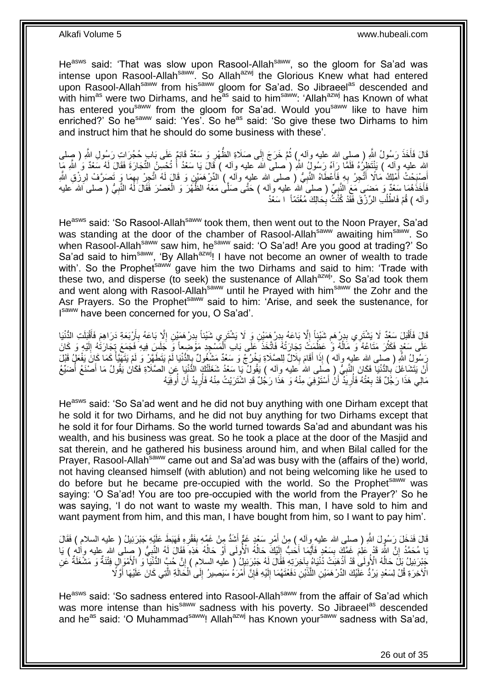He<sup>asws</sup> said: 'That was slow upon Rasool-Allah<sup>saww</sup>, so the gloom for Sa'ad was intense upon Rasool-Allah<sup>saww</sup>. So Allah<sup>azwj</sup> the Glorious Knew what had entered upon Rasool-Allah<sup>saww</sup> from his<sup>saww</sup> gloom for Sa'ad. So Jibraeel<sup>as</sup> descended and with him<sup>as</sup> were two Dirhams, and he<sup>as</sup> said to him<sup>saww</sup>: 'Allah<sup>azwj</sup> has Known of what has entered you<sup>saww</sup> from the gloom for Sa'ad. Would you<sup>saww</sup> like to have him enriched?' So he<sup>saww</sup> said: 'Yes'. So he<sup>as</sup> said: 'So give these two Dirhams to him and instruct him that he should do some business with these'.

قَالَ فَأَخَذَ رَسُولُ اللَّهِ ( صلى الله عليه وأله ) ثُمَّ خَرَجَ إِلَى صَلَاةِ الظُّهْرِ وَ سَعْدٌ قَائِمٌ عَلَى بَابٍ حُجُرَاتٍ رَسُولِ اللَّهِ ( صلى  $\frac{1}{2}$ ُ ا<br>است ِ اِلله عليه وِأله ) بَنِْتَظِرُهُ فَلَمَّا رَأِهُ رَسُولُ اللّهِ ( صلى الله عليه وأله ) قَالَ يَا سَعْدُ أَ نُخسِنُ النَّجَارَةَ فَقَالَ لَمُ سَعْدٌ وَ اللّهِ مَا ا<br>أ َمُّنِيَّحْتُ أَمْلِكُ مَالًا أَتَّجِرُ بِهِ فَأَعْطَاهُ النَّبِيُّ ( صلى الله عليهِ وآله ) الدِّرْ مَمَيْنِ وَ قَالٍ لَهُ اتَّجِرْ بِهِمَا وَ تَصرَّفُ لِرِّزْقِ اللَّهِ َ ِ **∶** َ **∶** َ ِ فَأَخَذَهُمَا سَعْدٌ وَ مَضمَى مَعَ النَّبِيِّ ( صلى الله عليه وآله ) حَتَّى صَلَّى مَعَهُ الظَّهْرَ وَ الْعَصْرَ فَقَالَ لَهُ النَّبِيُّ ( صلى الله عليه ْ ا<br>ا ِ وآله ) قُمْ فَاطْلُبِ الرِّزْقَ فَقَدْ كُنْثٌ بِحَالِكَ مُغْتَمَّاً ۚ ا سَعْدُ **∶** ُ

He<sup>asws</sup> said: 'So Rasool-Allah<sup>saww</sup> took them, then went out to the Noon Prayer, Sa'ad was standing at the door of the chamber of Rasool-Allah<sup>saww</sup> awaiting him<sup>saww</sup>. So when Rasool-Allah<sup>saww</sup> saw him, he<sup>saww</sup> said: 'O Sa'ad! Are you good at trading?' So Sa'ad said to him<sup>saww</sup>, 'By Allah<sup>azwj</sup>! I have not become an owner of wealth to trade with'. So the Prophet<sup>saww</sup> gave him the two Dirhams and said to him: 'Trade with these two, and disperse (to seek) the sustenance of Allah<sup>azwj</sup>'. So Sa'ad took them and went along with Rasool-Allah<sup>saww</sup> until he Prayed with him<sup>saww</sup> the Zohr and the Asr Prayers. So the Prophet<sup>saww</sup> said to him: 'Arise, and seek the sustenance, for Isaww have been concerned for you, O Sa'ad'.

قَالَ فَأَقْبَلَ سَعْدٌ لَا يَشْتَرِي بِدِرْهَمِ شَيْئٍاً إِلَّا بَاعَهُ بِدِرْ هَمَيْنِ وَ لَا يَشْتَرِي شَيْئاً بِدِرْهَمَيْنِ إِلَّا بَاعَهُ بِأَرْبَعَةِ دَرَاهِمَ فَأَقْبَلَتِ الدُّنْيَا<br>.  $\frac{1}{2}$ ِ ِ م **ِ** َ َ اُ ِ ِ عَلَى سَعْدٍ فَكَثُرَ مَتَاعُهُ ۖ وَ مَالُهُ وَ عَظُمَتُ تِجَارَتُهُ فَاتَّخَذَ عَلَى بَابِ الْمَسْجِدِ مَوْضَعاً وِّ جَلَسَ فِيهِ فَجَمَعَ تِجَارَتُهُ إِلَيْهِ وَ كَانَ ْ ٔ<br>ا روبو<br>سا لَ ِ َ سُولُ اللَّهِ ( صلى الله عليه وآله ) إِذَا أَقَامَ بِلَالٌ لِلصَّلَاةِ يَخْرُجُ وَ سَعْدٌ مَشْغُولٌ بِالدُّنْيَا لَمْ يَتَطَهِّرْ وَ لَمْ يَتَهَيَّأُ كَمَا كَانَ يَفْعَلُ قَبْلَ<br>ِ ِ َ ْ ِ أَنْ يَتَشَاغَلَ بِالذُّنْيَا فَكَانَ النَّبِيُّ , صَلَى الله عليه وآله ) يَقُولُ يَا سَعْدُ شَغَلَنْكَ الدُّنْيَا عَنِ الصَّلَاةِ فَكَانَ يَقُولُ مَا أَصْنَعُ أُضَيِّعُ **∶ ∶** ا<br>ا َ مَالِي هَذَا رَجُلٌ قَدْ بِعْتُهُ فَأَرِيَدٌ أَنْ أَسْتَوْفِيَ مِنْهُ وَ هَذَا رَجُلٌ قَدِ اشْتَرَيْتُ مِنْهُ فَأَرِيدُ أَنْ أَوفِيَهُ ُ َ ِ اُ َ اُ ِ ُ **∶** 

He<sup>asws</sup> said: 'So Sa'ad went and he did not buy anything with one Dirham except that he sold it for two Dirhams, and he did not buy anything for two Dirhams except that he sold it for four Dirhams. So the world turned towards Sa'ad and abundant was his wealth, and his business was great. So he took a place at the door of the Masjid and sat therein, and he gathered his business around him, and when Bilal called for the Prayer, Rasool-Allah<sup>saww</sup> came out and Sa'ad was busy with the (affairs of the) world, not having cleansed himself (with ablution) and not being welcoming like he used to do before but he became pre-occupied with the world. So the Prophet<sup>saww</sup> was saying: 'O Sa'ad! You are too pre-occupied with the world from the Prayer?' So he was saying, 'I do not want to waste my wealth. This man, I have sold to him and want payment from him, and this man, I have bought from him, so I want to pay him'.

قَالَ فَدَخَلَ رَسُوٍلَ اللَّهِ ( صلى الله عليه وآله ) مِنْ أَمْرِ سَعْدٍ غَمٌّ أَشَدُّ مِنْ غَهِّهِ بِفَقْرِهِ فَهَبَطَ عَلَيْهِ جَبْرَئِيلُ ( عليه السلام ) فَقَالَ **ٍ** َ **ٍ** َ يَا مُحَمَّدُ إِنَّ اللَّهِ قَدْ عَلِمَ غَمَّكَ بِسَعْدٍ فَأَيَّمَا أَحَبُّ إِلَيْكَ حَالُهُ الْأُولَى أَوْ حَالُهُ هَٰذِهِ فَقَالَ لَهُ النَّبِيُّ ( صِلى الله عليه وأله ) يَا َ َ ِ י<br>י ِ ُ َ ا<br>ا لَ ِ جَبْرَئِيلُ بَلَّ حَالُهُ الْأُولَى قَدْ أَذْهَبَتْ دُّنْيَاهُ بِآخِرَتِهِ فَقَالَ لَهُ جَبْرَئِيلٌ ( عليه السلام ) إِنَّ حُبَّ الدُّنْيَا ۖ وَ الْأَمْوَالِ فِتْنَةٌ وَ مَشْغَلَةٌ عَنِ ِ **∶ ٔ** َ ُ الْآخِرَةِ قُلْ لِسَعْدٍ يَرُدُّ عَلَيْكَ الدِّرْهَمَيْنِ اللَّذَيْنِ دَفَعْتَهُمَا إِلَيْهِ فَإِنَّ أَمْرَهُ سَيَصِبِيرُ إِلَى الْحَالَةِ الَّتِي كَانَ عَلَيْهَا أَوَّلًا ِ َ ِ لَ ِ َّ َ َّ ْ

He<sup>asws</sup> said: 'So sadness entered into Rasool-Allah<sup>saww</sup> from the affair of Sa'ad which was more intense than his<sup>saww</sup> sadness with his poverty. So Jibraeel<sup>as</sup> descended and he<sup>as</sup> said: 'O Muhammad<sup>saww</sup>! Allah<sup>azwj</sup> has Known your<sup>saww</sup> sadness with Sa'ad.

26 out of 35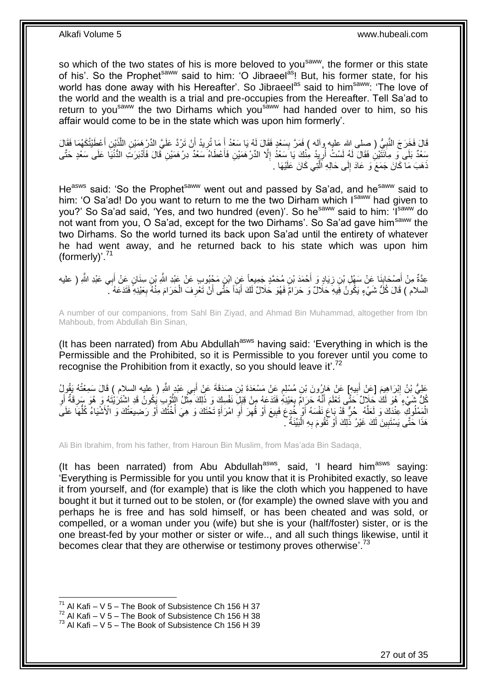so which of the two states of his is more beloved to you<sup>saww</sup>, the former or this state of his'. So the Prophet<sup>saww</sup> said to him: 'O Jibraeel<sup>as</sup>! But, his former state, for his world has done away with his Hereafter'. So Jibraeel<sup>as</sup> said to him<sup>saww</sup>: 'The love of the world and the wealth is a trial and pre-occupies from the Hereafter. Tell Sa'ad to return to you<sup>saww</sup> the two Dirhams which you<sup>saww</sup> had handed over to him, so his affair would come to be in the state which was upon him formerly'.

قَالَ فَخَرَجَ النَّبِيُّ ( صلى الله عليه وآله ) فَمَرَّ بِسَعْدٍ فَقَالَ لَهُ يَا سَعْدُ أَ مَا تُرِيدُ أَنْ تَرُدَّ عَلَيَّ الدِّرْ هَمَيْنِ اللَّذَيْنِ أَعْطَنْتُكَهُمَا فَقَالَ **ِ ∶** َ َّ َ ِ َ سَعْدٌ بَلَى ۖوَ مِاَئَتَيْنِۢ فَقَالَ لَهُ لَسْتُ أُرِيِدُ مِنْكَ يَا سَعْدُ إِلَّا الدِّرْهَمَيْنِ فَأَعْطَاهُ سَعْدٌ دِرْهَمَيْنِ قَالَ فَأَدْبَرَتَ الدُّنْيَا عَلَى سَعْدٍ حَتَّى َ ِ ِ .<br>ا َ ذَهَبَ مَا كَانَ جَمَعَ وَ عَادَ إِلَى حَالِهِ اَلَّتِي كَانَ عَلَيْهَا . َّ ِ

He<sup>asws</sup> said: 'So the Prophet<sup>saww</sup> went out and passed by Sa'ad, and he<sup>saww</sup> said to him: 'O Sa'ad! Do you want to return to me the two Dirham which Isaww had given to you?' So Sa'ad said, 'Yes, and two hundred (even)'. So he<sup>saww</sup> said to him: 'Isaww do not want from you, O Sa'ad, except for the two Dirhams'. So Sa'ad gave him<sup>saww</sup> the two Dirhams. So the world turned its back upon Sa'ad until the entirety of whatever he had went away, and he returned back to his state which was upon him (formerly)'. $71$ 

عِدَّةٌ مِنْ أَصْحَابِنَا عَنْ سَهْلِ بْنِ زِيَادٍ وَ أَحْمَدَ بْنِ مُحَمَّدٍ جَمِيعاً عَنِ ابْنِ مَجْبُوبٍ عَنْ عَبْدِ اللَّهِ بْنِ سِنَانٍ عَنْ أَبِي عَبْدِ اللَّهِ ( عليه َ ِ ¦ َ َ السلام ) قَالَ كُلُّ شَيْءٍ يَكُونُ فِيهِ حَلَالٌ وَ حَرَامٌ فَهُوَ حَلَالٌ لَكَ أَبَداً حَتَّى أَنْ تَعْرِفَ الْحَرَامَ مِنْهُ بِعَيْنِهِ ۚ فَتَدَعَهُ ۚ أَ ْ **∶** َ َ

A number of our companions, from Sahl Bin Ziyad, and Ahmad Bin Muhammad, altogether from Ibn Mahboub, from Abdullah Bin Sinan,

(It has been narrated) from Abu Abdullah<sup>asws</sup> having said: 'Everything in which is the Permissible and the Prohibited, so it is Permissible to you forever until you come to recognise the Prohibition from it exactly, so you should leave it.<sup>72</sup>

عَلِيُّ بْنُ إِبْرَاهِيمَ [عَنْ أَبِيهِ] عَنْ هَارُونَ بْنِ مُسْلِمٍ عَنْ مَسْعَدَةَ بْنِ صَدَقَةَ عَنْ أَبِي عَبْدِ اللَّهِ ( عليه السلام ) قَالَ سَمِعْتُهُ يَقُولُ<br>مَمَّةٍ َ ٍ **!** َ ِ كُلُّ تَنسِّيءٍ َهُوَ لَكَ حَكَالٌ حَتَّى تَعْلَمَ أَنَّهُ حَرَامٌ بِعَيْنِهِ فَتَدَعَهُ مِنْ قِبَلِ نَفْسِكَ وَ ذَلِكَ مِنَّنُ النُّوْرِب يُكُونُ قَدِ اشْتَرَيْتُهُ وَ هُوَ سَرِقَةٌ أَو ِ َ ِ َ ِ َّ ْ الْمَمْلُوكِ عِنْدَكَ وَ لَعَلَّهُ ۚ حُنٌّ قَدْ بَاعَ نَفْسَهُ أَوْ خُدِعَ فَبِيعَ أَوْ قُهِرَ ۚ أَوِ امْرَأَةٍ تَحْتَكَ وَ هِيَ أُخْتُكَ أَوْ رَضِيعَتُكَ وَ 'الْأَشْيَاءُ كُلُّهَا عَلَى َ ِ َ ِ َ **!** َ َّ ْ َ ُّ هَذَا حَتَّى يَسْتَبِينَ لَكَ غَيْرُ ذَلِكَ أَوْ تَقُومَ بِهِ الْبَيِّنَةُ ۚ ۖ ْ ِ ِ

Ali Bin Ibrahim, from his father, from Haroun Bin Muslim, from Mas'ada Bin Sadaqa,

(It has been narrated) from Abu Abdullah<sup>asws</sup>, said, 'I heard him<sup>asws</sup> saying: 'Everything is Permissible for you until you know that it is Prohibited exactly, so leave it from yourself, and (for example) that is like the cloth which you happened to have bought it but it turned out to be stolen, or (for example) the owned slave with you and perhaps he is free and has sold himself, or has been cheated and was sold, or compelled, or a woman under you (wife) but she is your (half/foster) sister, or is the one breast-fed by your mother or sister or wife.., and all such things likewise, until it becomes clear that they are otherwise or testimony proves otherwise<sup>'.73</sup>

<sup>&</sup>lt;sup>71</sup> Al Kafi – V 5 – The Book of Subsistence Ch 156 H 37

 $72$  Al Kafi – V  $5$  – The Book of Subsistence Ch 156 H 38

 $73$  Al Kafi – V 5 – The Book of Subsistence Ch 156 H 39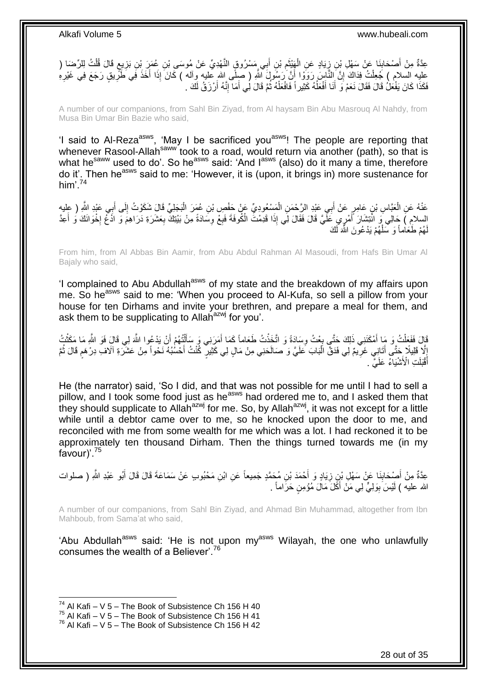عِدَّةٌ مِنْ أَصْحَابِنَا عَنْ سَهْلِ بْنِ زِيَادٍ عَنِ الْهِّنْثِمِ بْنِ أَبِي مَسْرُوقٍ النَّهْدِيِّ عَنْ مُوسَى بْنِ عُمَرَ بْنِ بَزِيعٍ قَالَ قُلْتُ لِلرِّضَا ( ِ َ ْ ِ ِ َ ْ **≀** ِ عليه السلام ) جُعِلْتُ فِذَاكَ إِنَّ النَّاسَ رَوَوْا أَنَّ رَسُولَ اللَّهِ ( صلَّى الله عليه وآله ) كَانَ إِذَا أَخَذَ فَبِي طَرِّيقٍ رَجَعَ فِي غَيْرِهِ<br>يَكِن يَسونُ بِنَ يَعْدَ يَعْدَلَ إِنَّ أَيُّنُوْ إِنَّ يَعْدُوْ و َ יִי, ِ فَكَذَا كَانَ يَفْعَلُ قَالَ فَقَالَ نَعَمْ وَ أَنَا أَفْعَلُهُ كَثِيراً فَافْعَلْهُ ثُمَّ قَالَ لِي أَمَا إِنَّهُ أَرْزَقُ لَكَ . َ ُ ْ ٔ<br>ا َ َ َ

A number of our companions, from Sahl Bin Ziyad, from Al haysam Bin Abu Masrouq Al Nahdy, from Musa Bin Umar Bin Bazie who said,

'I said to Al-Reza<sup>asws</sup>, 'May I be sacrificed you<sup>asws</sup>! The people are reporting that whenever Rasool-Allah<sup>saww</sup> took to a road, would return via another (path), so that is what he<sup>saww</sup> used to do'. So he<sup>asws</sup> said: 'And I<sup>asws</sup> (also) do it many a time, therefore do it'. Then he<sup>asws</sup> said to me: 'However, it is (upon, it brings in) more sustenance for him'.<sup>74</sup>

عَذْهُ عَنِ الْعَبَّاسِ بْنِ عَامِرٍ عَنْ أَبِي عَبْدِ الرَّحْمَنِ الْمَسْعُودِيِّ عَنْ حَفْصِ بْنِ عُمَرَ الْبَجَلِيِّ قَالَ شَكَوْتُ إِلَى أَبِي عَبْدِ اللَّهِ ( عِليه ْ ْ َ ْ َ ِ السلامِ ) حَالِي وَ انْتِشَارَ أَمْرِي عَلَّيَّ قَالَ فَقَالَ لِي إِذَا قَدِمْتُ الْمُوفَةَ فَبِعْ وِسَادَةً مِنْ بَيْتِكَ بِعَشَرَةِ دَرَاهِمَ وَ اذْتُح إِخْوَانَكَ وُ أَعِدَّ َ َ **∶** ِ ِ ِ هُمْ طَـٰعَاٰماً وَ سَلْـهُمْ يَدْعُونَ اللَّهَ لَكَ لَ ْ لَ

From him, from Al Abbas Bin Aamir, from Abu Abdul Rahman Al Masoudi, from Hafs Bin Umar Al Bajaly who said,

'I complained to Abu Abdullah<sup>asws</sup> of my state and the breakdown of my affairs upon me. So he<sup>asws</sup> said to me: 'When you proceed to Al-Kufa, so sell a pillow from your house for ten Dirhams and invite your brethren, and prepare a meal for them, and ask them to be supplicating to Allah<sup>azwj</sup> for you'.

َّقَالَ فَفَعَلْتُ وَ مَا أَمْكَنَنِي ذَلِكَ حَتَّى بِعْتُ وِسَادَةً وَ اتَّخَذْتُ طَعَاماً كَمَا أَمَرَنِي وَ سَأَلْتُهُمْ أَنْ يَدْعُوا اللَّهَ لِي قَالَ فَوَ اللَّهِ مَا مَكَثْتُ َ ْ ĺ َ **ٔ ∶** ្ត<br>ខ្ َ ْ **ٔ** إِنَّا فَلِيلًا جَتَّى أَتَانِِي غَرِيمٌ لِي فَدَقَّ الْبَابَ عَلَيَّ وَ صَالَحَنِي مِنْ مَالٍ لِي كَثِيرٍ كُنْتُ أَحْسُبُهُ نَحْواً مِنْ عَشَرَةِ آلَافِ دِرْهَمٍ قَالَ ثُمَّ ِ َ ِ ر<br>: م<br>وا َ ْ أَقْبَلَتِ الْأَشْيَاءُ عَلَيَّ . َ

He (the narrator) said, 'So I did, and that was not possible for me until I had to sell a pillow, and I took some food just as he<sup>asws</sup> had ordered me to, and I asked them that they should supplicate to Allah<sup>azwj</sup> for me. So, by Allah<sup>azwj</sup>, it was not except for a little while until a debtor came over to me, so he knocked upon the door to me, and reconciled with me from some wealth for me which was a lot. I had reckoned it to be approximately ten thousand Dirham. Then the things turned towards me (in my favour)'.<sup>75</sup>

عِدَّةٌ مِنْ أَصْحَابِنَا عَنْ سَهْلِ بْنِِ زِيَادٍ وَ أَحْمَدَ بْنِ مُحَمَّدٍ جَمِيعاً عَنِ ابْنِ مَحْبُوبٍ عَنْ سَمَاعَةَ قَالَ قَالَ أَبُو عَبْدِ اللَّهِ ( صلوات ِ **ِ** َ الله عليه ) لَيْسَ بِوَلِيٍّ لِي مَنْ أَكَّلَ مَالَ مُؤْمِنٍ حَرَاماً . َ **∣** 

A number of our companions, from Sahl Bin Ziyad, and Ahmad Bin Muhammad, altogether from Ibn Mahboub, from Sama'at who said,

'Abu Abdullah<sup>asws</sup> said: 'He is not upon my<sup>asws</sup> Wilayah, the one who unlawfully consumes the wealth of a Believer<sup>' 76</sup>

<sup>&</sup>lt;sup>74</sup> Al Kafi – V 5 – The Book of Subsistence Ch 156 H 40

 $75$  Al Kafi – V 5 – The Book of Subsistence Ch 156 H 41

 $76$  Al Kafi – V 5 – The Book of Subsistence Ch 156 H 42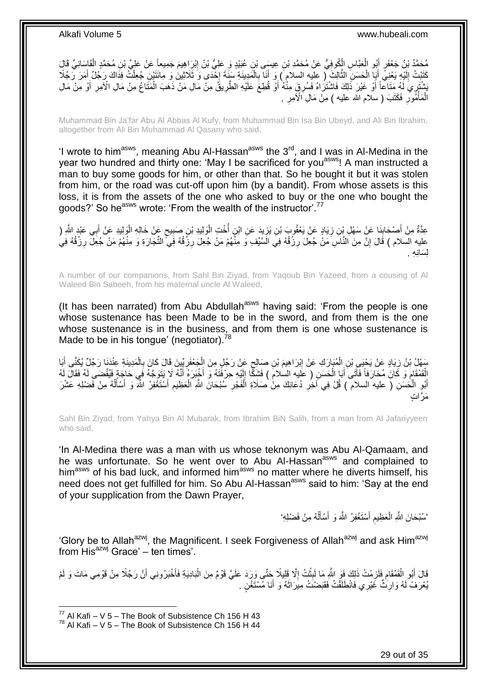مُحَمَّدُ بْنُ جَعْفَرٍ أَبُو الْعَبَّاسِ الْكُوفِيُّ عَنْ مُحَمَّدِ بْنِ عِيسَى بْنِ عُبَيْدٍ وَ عَلِيُّ بْنُ إِبْرَِاهِيمَ جَمِيعاً عَنْ عَلِيِّ بْنِ مُحَمَّدٍ الْقَاسَانِيِّ قَالَ<br>ِ ِ ْ َ ْ كَتَبْتُ إِلَيْهِ يَعْنِيَ أَبَإِ الْحَسَنِ الثَّالِثَ ( عليه السلام ) وَ أَنَا بِالْمَدِينَةِ سَنَةَ إِخْدَى وَ ثَلَاثِينَ وَ مِائَتَيْنِ جُعِلْتُ فِذَاكَ رَجُلًا أَمَرَ رَجُلًا ِ ْ ِ َ َّ ْ َ لَ  $\frac{1}{2}$ َ ْ ِّ شَتْهَا مَّا عَا أَوْ غَيْرَ ذَلِكَ فَاشْتَرَاهُ فَسُرِقٍّ مِنْهُ أَوْ قُطِعَ عَلَيْهِ الطَّرِيقُ مِنْ مَالِ مَنْ ذَهَبَ الْمَتَاعُ مِنْ مَالِ الْأَمِرِ أَوْ مِنْ مَالِ<br>يَشْتَهُدٍ مَنَ مَالِ الْأَمِرِ أَوْ مِنْ مَالِ ْ ِ َ ; َ أ الْمَأْمُورِ فَكَتَبَ ( سلام الله عليه ) مِنْ مَالِ الْأَمِرِ . ِ **∶** ْ ْ

Muhammad Bin Ja'far Abu Al Abbas Al Kufy, from Muhammad Bin Isa Bin Ubeyd, and Ali Bin Ibrahim, altogether from Ali Bin Muhammad Al Qasany who said,

'I wrote to him<sup>asws</sup>, meaning Abu Al-Hassan<sup>asws</sup> the  $3<sup>rd</sup>$ , and I was in Al-Medina in the year two hundred and thirty one: 'May I be sacrificed for you<sup>asws</sup>! A man instructed a man to buy some goods for him, or other than that. So he bought it but it was stolen from him, or the road was cut-off upon him (by a bandit). From whose assets is this loss, it is from the assets of the one who asked to buy or the one who bought the goods?' So he<sup>asws</sup> wrote: 'From the wealth of the instructor'.<sup>77</sup>

عِدَّةٌ مِنْ أَصْحَابِنَا عَنِْ سَهْلِ بِنِ زِيَادٍ عَنْ يَعْقُوبَ بْنِ يَزِيدَ عَنِ ابْنٍ أُخْتِ الْوَلِيدِ بْنِ صَبِيحٍ عَنْ خَالِهِ الْوَلِيدِ عَنْ أَبِي عَبْدِ اللَّهِ ( ٍ ِ ْ ِ ِ ِ َ َ ْ السلام ) قَالَ إِنَّ مِنَ النَّاسِ مَنْ جُعِلَ رِزْقُهُ فِي الَسَّيْفِ وَ مِنْهُمْ مَنْ جُعِلَ رِزْقُهُ فِيَّ الثَّجَارَةِ وَ مِنْهُمْ مَنْ جُعِلَ رِزْقُهُ فِيَ ِ ِ יִי, لسَانه

A number of our companions, from Sahl Bin Ziyad, from Yaqoub Bin Yazeed, from a cousing of Al Waleed Bin Sabeeh, from his maternal uncle Al Waleed,

(It has been narrated) from Abu Abdullah<sup>asws</sup> having said: 'From the people is one whose sustenance has been Made to be in the sword, and from them is the one whose sustenance is in the business, and from them is one whose sustenance is Made to be in his tongue' (negotiator).<sup>78</sup>

سَهْلُ بْنُ زِيَادٍ عَنْ يَحْيَيِ بْنِ الْمُبَارَكِ عَنْ إِبْرَاهِيمَ بْنِ صَالِحٍ عَنْ رَجُلٍ مِنَ الْجَعْفَرِيِّينَ قَالَ كَانَ بِالْمَدِينَةِ عِنْدَنَا رَجُلٌ يُكَنَّى أَبَا<br>أَيْضَاءُ الْمَسْئِمَةِ ِ ْ ٍ ِ ْ ِ ْ ِ َ أَقَمْقَامٍ وَ كَانَ مُحَارَفاً فَأَتَى أَبَا الْحَسَنِ ( عَلَيه السلامَ ) فَشَكًّا إِلَيْهِ حِرْفَتَهُ وَ أَخْبَرَهُ أَنَّهُ لَا يَتَوَجَّهُ فَبِي حَاجَةٍ فَيُقْضَى لَهُ فَقَالَ لَهُ َ َ لَ ِ ْ َ َ ِ أَبُوِ الْكَسَنِ ( عليه السلام ) قُلْ فِي آخِرِ دُعَائِكَ مِنْ صَلَاةِ الْفَجْرِ سَبْحَانَ اللَّهِ الْعَظِيمِ أَسْتَغْفِرُ اللَّهَ وَ أَسْأَلُهُ مِنْ فَضْلِهِ عَشْرَ ِ ا<br>ا ُ َ َ َ ِ ْ ِ ْ َم َّرا ٍت

Sahl Bin Ziyad, from Yahya Bin Al Mubarak, from Ibrahim BiN Salih, from a man from Al Jafariyyeen who said,

'In Al-Medina there was a man with us whose teknonym was Abu Al-Qamaam, and he was unfortunate. So he went over to Abu Al-Hassan<sup>asws</sup> and complained to him<sup>asws</sup> of his bad luck, and informed him<sup>asws</sup> no matter where he diverts himself, his need does not get fulfilled for him. So Abu Al-Hassan<sup>asws</sup> said to him: 'Say at the end of your supplication from the Dawn Prayer,

> 'سُبْحَانَ اللَّهِ الْعَظِيمِ أَسْتَغْفِرُ اللَّهَ وَ أَسْأَلُهُ مِنْ فَضْلِهِ' ا<br>ا َ َ َ ِ ْ

'Glory be to Allah<sup>azwj</sup>, the Magnificent. I seek Forgiveness of Allah<sup>azwj</sup> and ask Him<sup>azwj</sup> from His<sup>azwj</sup> Grace' – ten times'.

قَالَ أَبُو الْقَمْقَامِ فَلَزِمْتُ ذَلِكَ فَوَ اللَّهِ مَا لَبِثْتُ إِلَّا قَلِيلًا حَتَّى وَرَدَ عَلَيَّ قَوْمٌ مِنَ الْبَادِيَةِ فَأَخْبَرُونِي أَنَّ رَجُلًا مِنْ قَوْمِي مَاتَ وَ لَمْ ْ ِ ْ **ِ** ِ ِ ْ َ َ َ ُبِعْرَفْ لَهُ وَارِنَثٌ غَيْرِي فَانْطَلَقْتُ فَقَبَضْتُ مِيَرَاثَهُ وَ أَنَا مُسْتَغْنٍ . ِ َ َ

 $77$  Al Kafi – V 5 – The Book of Subsistence Ch 156 H 43

 $78$  Al Kafi – V 5 – The Book of Subsistence Ch 156 H 44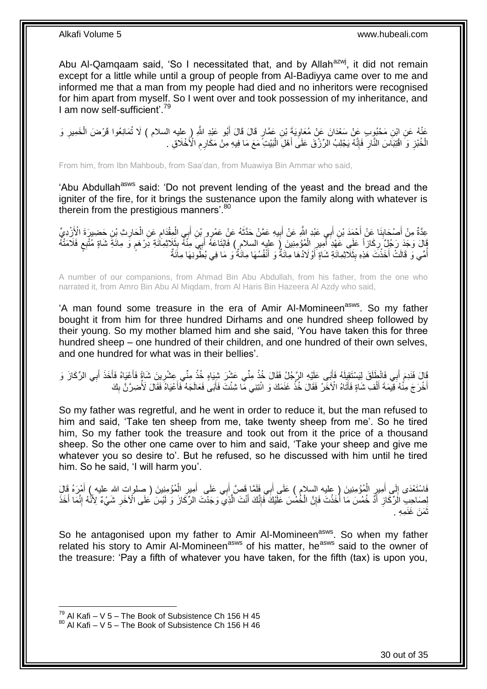Abu Al-Qamqaam said, 'So I necessitated that, and by Allah<sup>azwj</sup>, it did not remain except for a little while until a group of people from Al-Badiyya came over to me and informed me that a man from my people had died and no inheritors were recognised for him apart from myself. So I went over and took possession of my inheritance, and I am now self-sufficient'.<sup>79</sup>

عَذْهُ عَنِ ابْنِ مَحْبُوِبٍ عَنْ سَعْدَانَ عَنْ مُعَاوِيَةَ بْنِ عَمَّارٍ قَالَ قَالَ أَبُو عَبْدِ اللَّهِ ( عِليه السلام ) لَا تُمَانِعُوا قَرْضَ الْخَمِيرِ وَ<br>وَمُنْ ِ ِ ْ الْخُبْزِ وَ اقْتِبَاسَ النَّارِ فَإِنَّهُ يَجْلِبُ الرِّزْقَ عَلَى أَهْلِ الْبَيْتِ مَعَ مَا فِيهِ مِنْ مَكَارِمِ الْأَخْلَاقِ . ِ **∶** :<br>ا َ ِ ِ ِ

From him, from Ibn Mahboub, from Saa'dan, from Muawiya Bin Ammar who said,

'Abu Abdullah<sup>asws</sup> said: 'Do not prevent lending of the yeast and the bread and the igniter of the fire, for it brings the sustenance upon the family along with whatever is therein from the prestigious manners'.<sup>80</sup>

عِدَّةٌ مِنْ أَصْحَابِنَا عَنْ أَحْمَدَ بْنِ أَبِي عَبْدِ اللَّهِ عَنْ أَبِيهِ عَمَّنْ حَذَّثَهُ عَنْ عَمْرِهِ بْنِ أَبِي الْمِقْدَامِ عَنِ الْحَارِثِ بْنِ حَضِيرٍةَ الْأَزْدِيِّ<br>يَذِينَ مَنْ أَصْلَحُوا بِنَاءِ الْمَجْمَد َ ِ َ ِ ْ ِ ْ َ َ **!** َ َ َفَالَ وَجَدَ رَجُلٌ رِكَازاً عَلَى عَهْدِ أَمِيرِ الْمُؤْمِنِينَ رُ عليه السلامِ ) فَابْتَاعَهُ أَبِيَ مِنْهُ بِثَلَاثِمِاَتُةِ دَرْهَمٍ وَ مِائَةِ شُتْبِعٍ فَلَامَتْهُ ِ َ ْ ِ َ ِ ٍ م اُمِّي وَ قَالَتْ أَخَذْتَ هَٰذِهِ بِثَلَاّتِمِائَةِ شَاةٍ أَوْ لَادُهَا مِآئَةٌ وَ أَنْفُسُهَا مِائَةٌ وَ مَا فِي بُطُّورِنِهَا مِائَةٌ َ **∣ ٔ** َ ُ

A number of our companions, from Ahmad Bin Abu Abdullah, from his father, from the one who narrated it, from Amro Bin Abu Al Miqdam, from Al Haris Bin Hazeera Al Azdy who said,

'A man found some treasure in the era of Amir Al-Momineen<sup>asws</sup>. So my father bought it from him for three hundred Dirhams and one hundred sheep followed by their young. So my mother blamed him and she said, 'You have taken this for three hundred sheep – one hundred of their children, and one hundred of their own selves, and one hundred for what was in their bellies'.

َقَالَ فَلَامَ أَبِي فَانْطِلَقَ لِيَسْتَقِلِهُ فَأَبَى عَلَيْهِ الرَّجُلُ فَقَالَ خُذْ مِنِّي عَشْرَ شِبَاهٍ خُذْ مِنِّي عِشْرِينَ شَاةً فَأَعْيَاهُ فَأَخَذَ أَبِي الرِّكَازَ وَ َ َ َ **∶ ٔ** ْ َ ِ َ أَخْرَ جَ مِنْٰهُ ۚ قِيمَةَ أَلْفِ شَاةٍ فَأَتَاهُ الْآخَرُ ۚ فَقَالَ خُذْ غَنَمَكَ وَ ائْتِنِي مَا شِئْتَ فَأَبَى فَعَالَجَهُ فَأَعْيَاهُ ۖ فَقَالَ لَأُضِرَّنَّ بِكَ َ **ٔ** اَ ْ َ ِ َ

So my father was regretful, and he went in order to reduce it, but the man refused to him and said, 'Take ten sheep from me, take twenty sheep from me'. So he tired him, So my father took the treasure and took out from it the price of a thousand sheep. So the other one came over to him and said, 'Take your sheep and give me whatever you so desire to'. But he refused, so he discussed with him until he tired him. So he said, 'I will harm you'.

فَاسْتَعْدَى إِلَي أُمِيرٍ الْمُؤْمِنِينَ ( عِليهِ السِلام ) عَلَى أَبِي فَلَمَّا قَصَّ أَبِي عَلَى ۖ أُمِيرِ الْمُؤْمِنِينَ ( صلوات الله عليه ) أَمْرَهُ قَالَ ْ ِ َ َ َ ْ ِ َ  $\frac{1}{2}$ َ لِصَاحِبِ الْرِّكَازِ أَدَّ خُمُسَ مَا أَخَذْتَ فَإِنَّ الْخُمُسَ عَلَيْكَ فَإِنَّكَ أَنْتَ الَّذِي ۖ وَجَدْتَ الرِّكَازَ وَ لَيْسَ عُلَى الْآخَرِ شَيْءٌ لِأَنَّهُ إِنَّمَا أَخَذَ َّ َ ِ ِ ْ َ َ ِ ِ َ ِ نْمَنَ غَنَمِهِ . َ

So he antagonised upon my father to Amir Al-Momineen<sup>asws</sup>. So when my father related his story to Amir Al-Momineen<sup>asws</sup> of his matter, he<sup>asws</sup> said to the owner of the treasure: 'Pay a fifth of whatever you have taken, for the fifth (tax) is upon you,

 $^{79}$  Al Kafi – V 5 – The Book of Subsistence Ch 156 H 45

 $80$  Al Kafi – V 5 – The Book of Subsistence Ch 156 H 46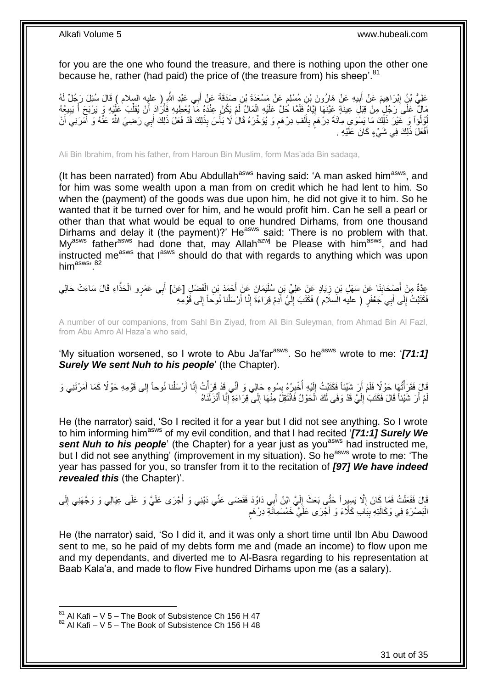for you are the one who found the treasure, and there is nothing upon the other one because he, rather (had paid) the price of (the treasure from) his sheep'.<sup>81</sup>

عَلِيُّ بْنُِ إِبْرَاهِيمَ عَنْ أَبِيهِ عَنْ هَارُونَ بْنِ مُسْلِمٍ عَنْ مَسْعَدَةَ بْنِ صَدَقَةَ عَنْ أَبِي عَبْدِ اللَّهِ إِ حابِيهِ السلام ) قَالَ سُئِلَ رَجُلٌ لَهُ َ ٍ **!** مَالٌ عَلَى رَجُلٍ مِنْ قِبَلِ عِينَةٍ عَيَّنَهَا إِيَّاهُ فَلَمَّا كُلَّ عَلَيْهِ الْمَالُ لَمْ يَكُنْ عِنْدَهُ مَآ يُعْطِيهِ فَأَرَادَ أَنْ يُقَلِّبَ عَلَيْهِ وَ يَرْبَحَ أَ يَبِيعُهُ ْ **֓**ׇ֚֓ ِ َ ِّ َ َ لِّؤُلُوْاً وَ غَيْرَ ذَلِّكَ مَا يَسْوَى مِاَئَةَ دِرْهَمٍ بِأَلْفِ دِرْهَمٍ وَ يُؤَخِّرَهُ قَالَ لَا بَأْسَ بِذَلِكَ قَدْ فَعَلَ ذَلِكَ أَبِي رَضِيَ الثَّهُ عَنْهُ وَ أَمَرَنِيَ أَنْ ْ ֧֖֧֚֚֓֝֝֝ ْ َ **∶** ٍ َ َ َ أَفْعَلَ ذَلِكَ فِي شَيْءٍ كَانَ عَلَيْهِ . َ

Ali Bin Ibrahim, from his father, from Haroun Bin Muslim, form Mas'ada Bin sadaqa,

(It has been narrated) from Abu Abdullah<sup>asws</sup> having said: 'A man asked him<sup>asws</sup>, and for him was some wealth upon a man from on credit which he had lent to him. So when the (payment) of the goods was due upon him, he did not give it to him. So he wanted that it be turned over for him, and he would profit him. Can he sell a pearl or other than that what would be equal to one hundred Dirhams, from one thousand Dirhams and delay it (the payment)?' He<sup>asws</sup> said: 'There is no problem with that. My<sup>asws</sup> father<sup>asws</sup> had done that, may Allah<sup>azwj</sup> be Please with him<sup>asws</sup>, and had instructed me<sup>asws</sup> that  $I^{asws}$  should do that with regards to anything which was upon him<sup>asws, 82</sup>

عِدَّةٌ مِنْ أَصْبِحَابِذَا عَنْ سَهْلِ بْنِ زِيَادٍ عَنِْ عَلِيٍّ بْنِ سُلَيْمَانَ عَنْ أَحْمَدَ بْنِ الْفَضْلِ [عَنْ] أَبِي عَمْرٍو الْحَذَّاءِ قَالَ سَاءَتْ حَالِي َ ْ َ **∶** ِ َ ْ فَكَتَبْتُ إِلَى أَبِي جَعْفَرٍ ( عليه الُسلَام ) فَكَتَبَ إِلَّيَّ أَدِمْ قِرَاءَةَ إِنَّا أَرْسَلْنا نُوحاً إِلى قَوْمِهِ لَ ِ َ ِ ِ ْ اُ ِ َ

A number of our companions, from Sahl Bin Ziyad, from Ali Bin Suleyman, from Ahmad Bin Al Fazl, from Abu Amro Al Haza'a who said,

'My situation worsened, so I wrote to Abu Ja'far<sup>asws</sup>. So he<sup>asws</sup> wrote to me: '[71:1] *Surely We sent Nuh to his people*' (the Chapter).

قَالَ فَقَرَأْتُهَا حَوْلًا فَلَمْ أَرَ شَيْئاً فَكَتَبْتُ إِلَيْهِ أُخْبِرُهُ بِسُوءِ حَالِي وَ أَنِّي قَدْ قَرَأْتُ إِنَّا أَرْسَلْنا نُوحاً إِلى قَوْمِهِ حَوْلًا كَمَا أَمَرْتَنِي وَ ِ َ ِ ِ المعدِّد السياسية في المستشركة المستشركة المستشركة المستشركة المستشركة المستشركة المستشركة المستشركة المستشركة<br>المستشركة المستشركة المستشركة المستشركة المستشركة المستشركة المستشركة المستشركة المستشركة المستشركة المستشركة لَ  $\frac{1}{2}$ ْ َ ِ ْ َ لْمْ أَرَ شَيْئاً قَالَ فَكَتَبَ إِلَيَّ قَدْ وَفَى لَكَ الْحَوْلُ فَانْتَقِلْ مِنْهَا إِلَى قِرَاءَةِ إِنَّا أَنْزَلْنَاهُ ْ َ ِ ِ ْ لَ ِ

He (the narrator) said, 'So I recited it for a year but I did not see anything. So I wrote to him informing himasws of my evil condition, and that I had recited '*[71:1] Surely We*  **sent Nuh to his people**' (the Chapter) for a year just as you<sup>asws</sup> had instructed me, but I did not see anything' (improvement in my situation). So he<sup>asws</sup> wrote to me: 'The year has passed for you, so transfer from it to the recitation of *[97] We have indeed revealed this* (the Chapter)'.

قَالَ فَفَعَلْتُ فَمَا كَانَ إِلَّا يَسِيِراً حَتَّى بَعَثَ إِلَيَّ ابْنُ أَبِي دَاوُدَ فَقَضَى عَنِّي دَيْنِي وَ أَجْرَى عَلَيَّ وَ عَلَى عِيَالِي وَ وَجَّهَنِي إِلَى َ لَ  $\frac{1}{2}$ ِ ْ ِ الْبَصْرَةِ فِي وَكَالَتِهِ بِبَابِ كَلَّاءَ وَ أَجْرَى عَلَيَّ خَمْسَمِائَةِ دِرْهَم :<br>ا ֧֖֧֖֚֚֚֓֝֬֝ **∣** 

He (the narrator) said, 'So I did it, and it was only a short time until Ibn Abu Dawood sent to me, so he paid of my debts form me and (made an income) to flow upon me and my dependants, and diverted me to Al-Basra regarding to his representation at Baab Kala'a, and made to flow Five hundred Dirhams upon me (as a salary).

 $81$  Al Kafi – V 5 – The Book of Subsistence Ch 156 H 47

 $82$  Al Kafi – V 5 – The Book of Subsistence Ch 156 H 48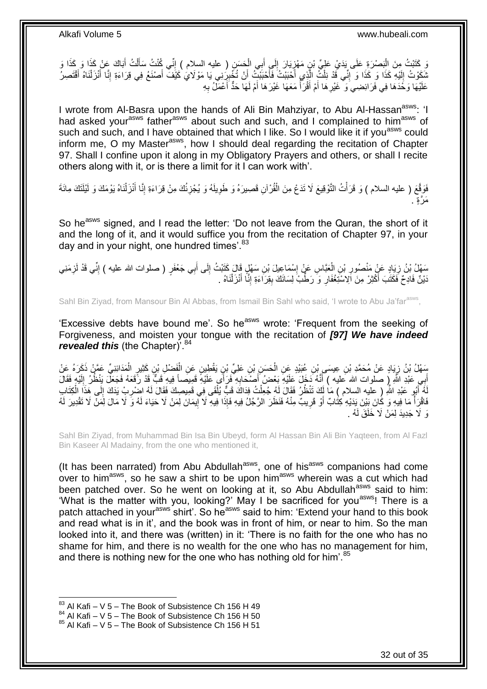ِ كَتَبْتُ مِنَ الْبَصْرَةِ عَلَى يَدَيْ عَلِيِّ بْنِ مَهْزِيَارَ إِلَي أَبِي الْحَسَنِ ( عليه السلام ) إِنِّي كُنْتُ سَأَلْتُ أَبَاكَ عَنْ كَذَا وَ كَذَا وَ<br>وَيَذَبَّبُ مِنَ الْبَصْرَةِ عَلَى يَدَيْ عَلِيِّ بْنِ مَهْزِيَ ِ ْ َ ِ **∶** :<br>ا َ ْ َ نْدَوْتُ إِلَيْهِ كَذَا وَ إِنِّي قَدْ نِلْتُ الَّذِي أَحْبَبْتُ فَأَحْبَبْتُ أَنْ تُخْبِرُِنِي يَا مَوْلَايُ كَيْفَ أَصْنَعُ فِي قِرَاءَةِ إِنَّا أَنْزَلْنَاهُ أَقْتَصِرُ ِ َ َ ا<br>ا َّ ْ יִי (ו لَ  $\frac{1}{2}$ َ ْ َ ِ َ عَلَيْهَا وَخُدَهَا فِي فَرَائِضِيَ وَ ۚ غَيْرِ هَا أَمْ أَقْرَأَ مَعَهَا غَيْرَ هَا أَمْ لَهَا حَدٌّ أَعْمَلُ بِهِ ِ َ َ المناسبة المستشفى.<br>وفيات َ َ ِ

I wrote from Al-Basra upon the hands of Ali Bin Mahziyar, to Abu Al-Hassan<sup>asws</sup>: 'I had asked your<sup>asws</sup> father<sup>asws</sup> about such and such, and I complained to him<sup>asws</sup> of such and such, and I have obtained that which I like. So I would like it if you<sup>asws</sup> could inform me, O my Master<sup>asws</sup>, how I should deal regarding the recitation of Chapter 97. Shall I confine upon it along in my Obligatory Prayers and others, or shall I recite others along with it, or is there a limit for it I can work with'.

فَوَقَّعَ ( عليه السلام ) وَ قَرَأْتُ النَّوْقِيعَ لَا تَدَعُ مِنَ الْقُرْآنِ قَصِيرَهُ وَ طَوِيلَهُ وَ يُجْزِئُكَ مِنْ قِرَاءَةِ إِنَّا أَنْزَلْنَاهُ يَوْمَكَ وَ لَيْلَنَكَ مِائَةَ ِ ِ ْ ْ ْ َ ِ مَرٌةٍ .

So he<sup>asws</sup> signed, and I read the letter: 'Do not leave from the Quran, the short of it and the long of it, and it would suffice you from the recitation of Chapter 97, in your day and in your night, one hundred times'.<sup>83</sup>

مَهْلُ بْنُ زِيَادٍ عَنٍْ مَنْصُورِ بْنِ الْعَبَّاسِ عَنْ إِسْمَاعِيلَ بْنِ سَهْلٍ قَالَ كَتَبْتُ إِلَى أَبِي جَعْفَرٍ ( صلوات الله عليه ) إنِّي قَدْ لَزِمَنِي **∶** ِ ِ َ ِ ∣l<br>∶ ْ ِ َنْيْنٌ فَادِحٌ فََكَتَبَ أَكْثِرْ مِنَ اِلِّاسْتَغْفَارِ وَ رَطِّبٌ لِسَانَكَ بِقِرَاءَةِ إِنَّا أَنْزَلْنَاهُ . ْ َ ِ **!** ِ

Sahl Bin Ziyad, from Mansour Bin Al Abbas, from Ismail Bin Sahl who said, 'I wrote to Abu Ja'far<sup>asws</sup>,

'Excessive debts have bound me'. So he<sup>asws</sup> wrote: 'Frequent from the seeking of Forgiveness, and moisten your tongue with the recitation of *[97] We have indeed*  revealed this (the Chapter)<sup>'.84</sup>

َسَهْلُ بْنُ زِيَادٍ عَنْ مُحَمَّدِ بْنِ عِيسَى بْنِ عُبَيْدٍ عَنِ الْحَسَنِ بْنِ عَلِيِّ بْنٍ يَقْطِينٍ عَنِ الْفَضْلِ بْنِ كَثِيرٍ الْمَدَائِنِيِّ عَمَّنْ ذَكَرَهُ عَنْ ْ ْ **∤** ْ أَبِي عَبْدِ اللَّهِ إِ صلوات الله عليه ) أَنَّهُ دَخَلَ عَلَيْهِ بَعْضٍ أَصْحَابِهِ فَرَأَى عَلَيْهِ قَفِيصَا فِيهِ فَبِّ قَدْ رَّقَعَهُ فَجَعَلْ بَنْظُرُ إِلَيْهِ فَقَالَ َ لَ ِ ِ َ هُ أَبُو عَبْدِ اللَّهِ ( عليه السلام ) مَا لَكَ تَنْظُرُ فَقَالَ لَهُ جُعِلْتُ فِدَاكَ قَبٍّ يُلْقَى فِي قَمِيصِكَ فَقَالَ لَهُ اصْرِبْ يَدَكَ إِلَى هَذَا الْكِتَابِ ْ ْ َ لَ لَ ِ ِ ْ فَاقْرَأْ مَا فِيهِ وَ كَانَ بَيْنَ يَدَيْهِ كِتَابٌ أَوْ قَرِيبٌ مِنْهُ فَنَظَرَ الرَّجُلُ فِيهِ فَإِذَا فِيهِ لَا ْإِيمَانَ لِمَنْ لَا حَيَاءَ لَهُ وَ لَا مَالَ لِمَنْ لَا تَقْدِيرَ لَهُ ֖֧֦֧֦֧֦֧֦֧֦֧֦֧֦֧ׅ֧֦֧ׅ֧֦֧֦֧֦֧֦֧֦֧֦֧֦֧֦֧֦֧֦֧֦֧֦֧֦֧֦֧֦֧֦֧֚֜֓֓֜֓֓֓֞֡<br>֧֜֩֞֘ **∶** ْ وَ لَا جَدِيدَ لِمَنْ لَا خَلَقَ لَهُ .

Sahl Bin Ziyad, from Muhammad Bin Isa Bin Ubeyd, form Al Hassan Bin Ali Bin Yaqteen, from Al Fazl Bin Kaseer Al Madainy, from the one who mentioned it,

(It has been narrated) from Abu Abdullah<sup>asws</sup>, one of his<sup>asws</sup> companions had come over to him<sup>asws</sup>, so he saw a shirt to be upon him<sup>asws</sup> wherein was a cut which had been patched over. So he went on looking at it, so Abu Abdullah<sup>asws</sup> said to him: 'What is the matter with you, looking?' May I be sacrificed for you<sup>asws</sup>! There is a patch attached in your<sup>asws</sup> shirt'. So he<sup>asws</sup> said to him: 'Extend your hand to this book and read what is in it', and the book was in front of him, or near to him. So the man looked into it, and there was (written) in it: 'There is no faith for the one who has no shame for him, and there is no wealth for the one who has no management for him, and there is nothing new for the one who has nothing old for him'.<sup>85</sup>

 $83$  Al Kafi – V 5 – The Book of Subsistence Ch 156 H 49

 $84$  Al Kafi – V  $5$  – The Book of Subsistence Ch 156 H 50

<sup>85</sup> Al Kafi – V 5 – The Book of Subsistence Ch 156 H 51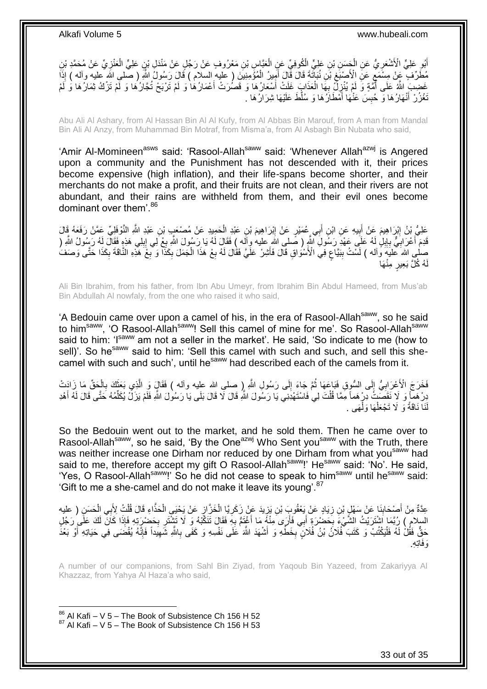أَبُو عَلِيٍّ الْأَشْعَرِ يُّ عَنِ الْجَسَنِ بْنِ عَلِيٍّ الْكُوفِيِّ عَنِ الْعَبَّاسِ بْنِ مَعْرُوفٍ عَنْ رَجُلٍ عَنْ مَنْذَلِ بْنِ عَلِيٍّ الْعَنْزِيِّ عَنْ مُحَمَّدِ بْنِ ْ ْ ِ ِ ْ مُطَّرِّفٍ ۖ عَنْ مِسْمَعٍ عَنِّ الْأَصْبَعِ بْنِ نُبَأَتَةَ قَالَ قَمِّلَ أَمِيرُ الْمُؤْمِنِيَّنَ ( عَليه السلام ) قَالَ رَسُولُ اللَّهِ ( صلى اللَّه عليه وآله ) إِذَا ْ َ ِ ٍ عَضِبَ اللَّهُ عَلَى أَمَّةٍ وَ لَمْ يُنْزِلُّ بِهَا الْعَذَابِ غَلَثْ أَسْعَارُهَا وَ قَصُرَتْ أَعْمَارُهَا وَ لَمْ تَرْبَحْ تُجَارُهَا وَ لَمْ تَرْكُ ثِمَارُها وَ لَمْ ْ <u>:</u> ِ ُ َ َ َّغْزُرْ أَنْهَارُهَا وَ حُبِسَ عَنْٰهَا أَمْطَارُهَا وَ سُلِّطَ عَلَيْهَا شِرَارُهَا . َ **ِ** َ

Abu Ali Al Ashary, from Al Hassan Bin Al Al Kufy, from Al Abbas Bin Marouf, from A man from Mandal Bin Ali Al Anzy, from Muhammad Bin Motraf, from Misma'a, from Al Asbagh Bin Nubata who said,

'Amir Al-Momineen<sup>asws</sup> said: 'Rasool-Allah<sup>saww</sup> said: 'Whenever Allah<sup>azwj</sup> is Angered upon a community and the Punishment has not descended with it, their prices become expensive (high inflation), and their life-spans become shorter, and their merchants do not make a profit, and their fruits are not clean, and their rivers are not abundant, and their rains are withheld from them, and their evil ones become dominant over them'.<sup>86</sup>

عَلِيُّ بْنُ إِبْرَاهِيمَ عَنْ أَبِيهِ عَنِ ابْنِ أَبِي عُمَيْرٍ عَنْ إِبْرَاهِيمَ بْنِ عَبْدِ الْحَمِيدِ عَنْ مُصْنَعَبٍ بْنِ عَبْدِ اللَّهِ النَّوْفَلِيِّ عَمَّنْ رَفَعَهُ قَالَ ْ ِ َ **!**  ِ قَدِمَ أَعْرَابِيٌّ بِإِبْلِ لَهُ عَلَى عَهْدِ رَسُولِ اللَّهِ ( صَلى اللهِ عليه وآله ) فَقَالَ لَهُ يَا رَسُولَ اللَّهِ بِعْ لِي إِبِلِي هَذِهِ فَقَالَ لِهُ رَسُولُ اللَّهِ ( **!** ِ ِ **∶** ا<br>ا ِ ِ ِ صلى الله عليهَ وَاله ) لَسَّتُ بِبَيَّاحٍ فِي الْأَسْوُاقِ قَالَ فَأَشِرْ عَلَّيَّ فَقَالَ لَهُ بِعْ هَذَا الْجَمَلَ بِكَذَا وَ بِعْ َهَذِهِ النَّاقَةَ بِكَذَا حَتَّى وَصَفَ ْ ِ َ ;<br>; **∣** ِ ِ ِ لُه كُلَّ بَعِيرٍ مِنْهَا لَ

Ali Bin Ibrahim, from his father, from Ibn Abu Umeyr, from Ibrahim Bin Abdul Hameed, from Mus'ab Bin Abdullah Al nowfaly, from the one who raised it who said,

'A Bedouin came over upon a camel of his, in the era of Rasool-Allah<sup>saww</sup>, so he said to him<sup>saww</sup>, 'O Rasool-Allah<sup>saww</sup>! Sell this camel of mine for me'. So Rasool-Allah<sup>saww</sup> said to him: 'Isaww am not a seller in the market'. He said, 'So indicate to me (how to sell)'. So he<sup>saww</sup> said to him: 'Sell this camel with such and such, and sell this shecamel with such and such', until he<sup>saww</sup> had described each of the camels from it.

فَخَرَجَ الْأَعْرَابِيُّ إِلَى السُّوِقِ فَبَاعَهَا ثُمَّ جَاءَ إِلَى رَسُولِ اللَّهِ ( صلى الله عليه وأله ) فَقَالٍ وَ الَّذِي بَعَثَكَ بِالْحَقِّ مَا زَادَتْ  $\frac{1}{2}$ ا با الله ا  $\frac{1}{6}$ **∶** ْ **∶** َ َّ دِرْ هَمَّأٍ وَ ۖ لَا نَقَصَّتُ ۖ دِرْ هَما مَمَّا قُلْتَ لِي فَاسْتَهْدِنِي يَا رَسُولَ اللَّهِ قَالَ لَا قَالَ بَلَى يَا رَسُولَ اشْهِ فَلَمْ يَزَلْ يُكَلِّمُهُ حَتَّى قَالَ لَهُ أَهْدِ ْ َ ِّ لَنَا نَاقَةً وَ لَا تَجْعَلْهَا وَلْهَى . ْ ْ

So the Bedouin went out to the market, and he sold them. Then he came over to Rasool-Allah<sup>saww</sup>, so he said, 'By the One<sup>azwj</sup> Who Sent you<sup>saww</sup> with the Truth, there was neither increase one Dirham nor reduced by one Dirham from what you<sup>saww</sup> had said to me, therefore accept my gift O Rasool-Allah<sup>saww</sup>!' He<sup>saww</sup> said: 'No'. He said, 'Yes, O Rasool-Allah<sup>saww</sup>!' So he did not cease to speak to him<sup>saww</sup> until he<sup>saww</sup> said: 'Gift to me a she-camel and do not make it leave its young'. $87$ 

عِدَّةٌ مِنْ أَصْحَابِنَا عَنْ سَهْلٍ بْنِ زِيَادٍ عَنْ يَعْقُوبَ بْنِ يَزِيدَ عَنْ زَكَرِيًّا الْخَزَّازِ عَنْ يَحْيَي الْحَذَّاءِ قَالَ قُلْتُ لِأَبِي الْحَسَنِ ( عليه ْ ¦ ْ **∶** ֦֧֦֧ ِ **∣** ْ ْ السلامِ ) رُبَّمَا اَشْتَرَيْتُ الشَّيْءَ بِحَضْرَةٍ أَبِي فَأَرَى مِنْهُ مَا أَغْنَمُّ بِهِ فَقَالَ تَتَكَّبُهُ وَ لَا تَشْتَرِ بِحَضْرِيَةٍ فَإِذَا كَانَ لَكَ عَلَى رَجُلٍ َ َ َ ِ ِ ِ حَقٌّ فَقُلْ لَهُ فَلْيَكْتُبْ وَ كَتَبَ ۖفُلاَنُ بْنُ فُلَانٍ بِخَطِّهِ وَ أَشْهَدَ اللَّهَ ٰعَلَى نَفْسِهِ وَ كَفَى بِاللَّهِ شَهِيَداً فَإِنَّهُ يُقْضَىَى فِي حَيَاتِهِ أَوْ بَعْدً ِ َ ِ ا<br>ا ا∣<br>ِ∘ ِ َو . َفاِت ِه

A number of our companions, from Sahl Bin Ziyad, from Yaqoub Bin Yazeed, from Zakariyya Al Khazzaz, from Yahya Al Haza'a who said,

 $86$  Al Kafi – V 5 – The Book of Subsistence Ch 156 H 52  $87$  Al Kafi – V 5 – The Book of Subsistence Ch 156 H 53

1

33 out of 35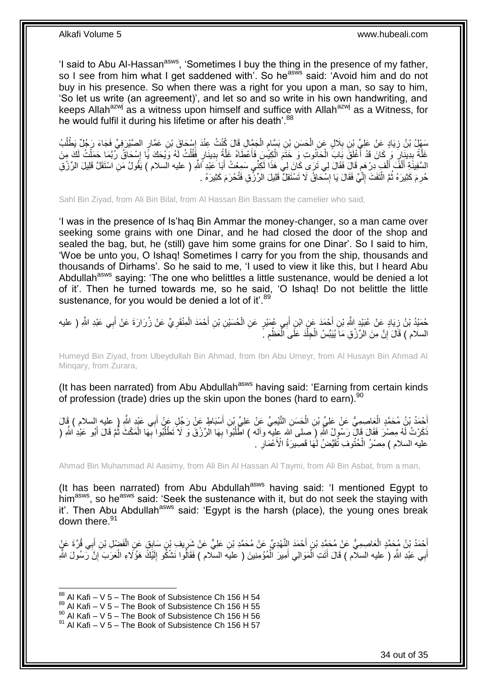'I said to Abu Al-Hassan<sup>asws</sup>, 'Sometimes I buy the thing in the presence of my father, so I see from him what I get saddened with'. So he<sup>asws</sup> said: 'Avoid him and do not buy in his presence. So when there was a right for you upon a man, so say to him, 'So let us write (an agreement)', and let so and so write in his own handwriting, and keeps Allah<sup>azwj</sup> as a witness upon himself and suffice with Allah<sup>azwj</sup> as a Witness, for he would fulfil it during his lifetime or after his death'.<sup>88</sup>

سَفْلُ بْنُ زِيَادٍ عَنْ عَلِيٍّ بْنِ بِلَالٍ عَنِ الْحَسَنِ بْنِ بَسَّامٍ الْجَمَّالِ قَالَ كُنْتُ عِنْدَ إِسْحَاقَ بْنِ عَمَّارٍ الصَّيْرَفِيِّ فَجَاءَ رَجُلٌ يَطْلُبُ ِ ْ ֧֖֧֚֚֓֝֝֝ ْ **∶ ∶** ُ عَلَّةً بِدِينَارٍ وَ كَانَ قَدْ أَغْلَقَ بَابَ الْحَانُوتِ وَ خَتَمَ الْكِيسُ فَأَعْطَاهُ غَلَّةً بِدِينَارٍ فَقُلْتُ لَهُ وَيْحَكَ يًا إِسْحَاقُ رُبِّمَا حَمَلْتُ لَكَ مِنَ ْ **!** َّ َ ْ ْ َ ِ َّ ْ ِ السَّفِيذَةِ أَلْفَ أَلْفٍ دِرْ هَمٍ قَالَ فَقَالَ لِي تَرَى كَانَ لِي هَذَا لَكِنِّي سَمِعْتُ أَبَا عَبْدِ ٱللَّهِ ( عليه السلام ) يَقُولُ مَنِ اسْتَقَلَّ قَلِيلَ الرِّزْقِ ٍ ْ َ ْ َ َ حُرِمَ كَثِيرَهُ ثُمَّ الْنَفَتَ إِلَّيَّ فَقَالَ يَا إِسّْحَاقُ لَا تَسْتَقِلُّ قَلِيلَ الرِّرْْقِ فَتُحْرَمَ كَثِيرَهُ . **֡** لَ ∣l<br>∶ ْ ُ

Sahl Bin Ziyad, from Ali Bin Bilal, from Al Hassan Bin Bassam the camelier who said,

'I was in the presence of Is'haq Bin Ammar the money-changer, so a man came over seeking some grains with one Dinar, and he had closed the door of the shop and sealed the bag, but, he (still) gave him some grains for one Dinar'. So I said to him, 'Woe be unto you, O Ishaq! Sometimes I carry for you from the ship, thousands and thousands of Dirhams'. So he said to me, 'I used to view it like this, but I heard Abu Abdullah<sup>asws</sup> saying: 'The one who belittles a little sustenance, would be denied a lot of it'. Then he turned towards me, so he said, 'O Ishaq! Do not belittle the little sustenance, for you would be denied a lot of it'.<sup>89</sup>

حُمَيْدُ بْنُ زِيَادٍ عَنْ عُبَيْدٍ اللَّهِ بْنِ أَحْمَدَ عَنِ ابْنِ أَبِي عُمَيْرٍ عَنِ الْحُسَيْنِ بْنِ أَحْمَدَ الْمِنْقَرِيِّ عَنْ زُرَارَةَ عَنْ أَبِي عَبْدِ اللَّهِ ( عليه ِ َ ِ ْ َ ْ َ السلام ) قَالَ َإِنَّ مِنَ الرِّزْقِ مَا يُيَبِّسُ الْجِلَّدَ عَلَى الْعَظْمِ ۚ ۚ ِ ْ ْ ْ ِ

Humeyd Bin Ziyad, from Ubeydullah Bin Ahmad, from Ibn Abu Umeyr, from Al Husayn Bin Ahmad Al Minqary, from Zurara,

(It has been narrated) from Abu Abdullah<sup>asws</sup> having said: 'Earning from certain kinds of profession (trade) dries up the skin upon the bones (hard to earn).<sup>90</sup>

أَحْمَدُ بْنُ مُحَمَّدٍ الْعَاصِمِيُّ عَنْ عَلِيِّ بْنِ الْحَسَنِ النَّيْمِيِّ عَنْ عَلِيِّ بْنِ أَسْبَاطٍ عَنْ رَجُلٍ عَنْ أَبِي عَبْدٍ اللَّهِ ( عليه السلام ) قَالَ َ َ َ ْ ا<br>ا َنَكَرْتُ لَّهُ مِصْرَ فَقَالَ قَالَ رَسُولُ اللَّهِ (ِ َصلى الله عِليه وآله ) اطَّلُبُوا بِهَا الزَّرْقَ وَ لاَ تَطْلُبُوا بِهَا الْمَكْثَ نُّمَّ قَالَ أَبُو عَبْدِ اللَّهِ ( ِ ُ َ  $\ddot{\phantom{a}}$ ْ **∶** عليه السلام ) مِصْرُ الْحُثُوفَ ثَقَيَّضُ لَمَهَا قَصِيرَةُ الْأَعْمَارِ . **∶** ْ

Ahmad Bin Muhammad Al Aasimy, from Ali Bin Al Hassan Al Taymi, from Ali Bin Asbat, from a man,

(It has been narrated) from Abu Abdullah<sup>asws</sup> having said: 'I mentioned Egypt to him<sup>asws</sup>, so he<sup>asws</sup> said: 'Seek the sustenance with it, but do not seek the staying with it'. Then Abu Abdullah<sup>asws</sup> said: 'Egypt is the harsh (place), the young ones break down there.<sup>91</sup>

أَحْمَدُ بْنُ مُجَمَّدٍ الْعَاصِمِيُّ عَنْ مُحَمَّدِ بْنِ أَحْمَدَ النَّهْدِيِّ عَنْ مُحَمَّدِ بْنِ عَلِيٍّ عَنْ شَرِيفِ بْنِ سَابِقٍ عَنِ الْفَضْلِ بْنِ أَبِي قُرَّةَ عَنٍْ َ ْ ِ َ َ أَبِي عَبْدِ اللَّهِ ( عليه السلام ) قَالَ أَتَتِ الْمَوَالِي أَمِيرَ الْمُؤْمِنِينَ ( عليه السلام ) فَقَالُوا نَشْكُو إِلَيْكَ هَؤُلَاءِ الْعَرَبَ َإِنَّ رَسُولَ اللَّهِ ْ َ ْ َ َ ِ ْ لَ ِ

 $88$  Al Kafi – V 5 – The Book of Subsistence Ch 156 H 54

 $89$  Al Kafi – V 5 – The Book of Subsistence Ch 156 H 55

 $^{90}$  Al Kafi – V 5 – The Book of Subsistence Ch 156 H 56

 $91$  Al Kafi – V 5 – The Book of Subsistence Ch 156 H 57